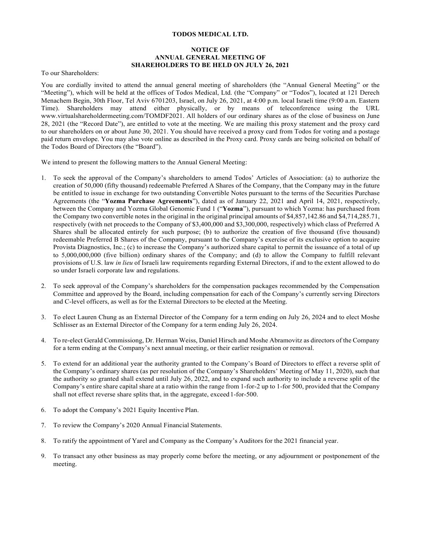### **TODOS MEDICAL LTD.**

## **NOTICE OF ANNUAL GENERAL MEETING OF SHAREHOLDERS TO BE HELD ON JULY 26, 2021**

To our Shareholders:

You are cordially invited to attend the annual general meeting of shareholders (the "Annual General Meeting" or the "Meeting"), which will be held at the offices of Todos Medical, Ltd. (the "Company" or "Todos"), located at 121 Derech Menachem Begin, 30th Floor, Tel Aviv 6701203, Israel, on July 26, 2021, at 4:00 p.m. local Israeli time (9:00 a.m. Eastern Time). Shareholders may attend either physically, or by means of teleconference using the URL www.virtualshareholdermeeting.com/TOMDF2021. All holders of our ordinary shares as of the close of business on June 28, 2021 (the "Record Date"), are entitled to vote at the meeting. We are mailing this proxy statement and the proxy card to our shareholders on or about June 30, 2021. You should have received a proxy card from Todos for voting and a postage paid return envelope. You may also vote online as described in the Proxy card. Proxy cards are being solicited on behalf of the Todos Board of Directors (the "Board").

We intend to present the following matters to the Annual General Meeting:

- 1. To seek the approval of the Company's shareholders to amend Todos' Articles of Association: (a) to authorize the creation of 50,000 (fifty thousand) redeemable Preferred A Shares of the Company, that the Company may in the future be entitled to issue in exchange for two outstanding Convertible Notes pursuant to the terms of the Securities Purchase Agreements (the "**Yozma Purchase Agreements**"), dated as of January 22, 2021 and April 14, 2021, respectively, between the Company and Yozma Global Genomic Fund 1 ("**Yozma**"), pursuant to which Yozma: has purchased from the Company two convertible notes in the original in the original principal amounts of \$4,857,142.86 and \$4,714,285.71, respectively (with net proceeds to the Company of \$3,400,000 and \$3,300,000, respectively) which class of Preferred A Shares shall be allocated entirely for such purpose; (b) to authorize the creation of five thousand (five thousand) redeemable Preferred B Shares of the Company, pursuant to the Company's exercise of its exclusive option to acquire Provista Diagnostics, Inc.; (c) to increase the Company's authorized share capital to permit the issuance of a total of up to 5,000,000,000 (five billion) ordinary shares of the Company; and (d) to allow the Company to fulfill relevant provisions of U.S. law *in lieu* of Israeli law requirements regarding External Directors, if and to the extent allowed to do so under Israeli corporate law and regulations.
- 2. To seek approval of the Company's shareholders for the compensation packages recommended by the Compensation Committee and approved by the Board, including compensation for each of the Company's currently serving Directors and C-level officers, as well as for the External Directors to be elected at the Meeting.
- 3. To elect Lauren Chung as an External Director of the Company for a term ending on July 26, 2024 and to elect Moshe Schlisser as an External Director of the Company for a term ending July 26, 2024.
- 4. To re-elect Gerald Commissiong, Dr. Herman Weiss, Daniel Hirsch and Moshe Abramovitz as directors of the Company for a term ending at the Company's next annual meeting, or their earlier resignation or removal.
- 5. To extend for an additional year the authority granted to the Company's Board of Directors to effect a reverse split of the Company's ordinary shares (as per resolution of the Company's Shareholders' Meeting of May 11, 2020), such that the authority so granted shall extend until July 26, 2022, and to expand such authority to include a reverse split of the Company's entire share capital share at a ratio within the range from 1-for-2 up to 1-for 500, provided that the Company shall not effect reverse share splits that, in the aggregate, exceed 1-for-500.
- 6. To adopt the Company's 2021 Equity Incentive Plan.
- 7. To review the Company's 2020 Annual Financial Statements.
- 8. To ratify the appointment of Yarel and Company as the Company's Auditors for the 2021 financial year.
- 9. To transact any other business as may properly come before the meeting, or any adjournment or postponement of the meeting.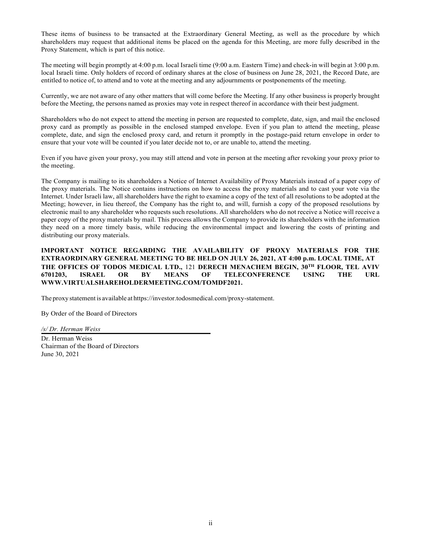These items of business to be transacted at the Extraordinary General Meeting, as well as the procedure by which shareholders may request that additional items be placed on the agenda for this Meeting, are more fully described in the Proxy Statement, which is part of this notice.

The meeting will begin promptly at 4:00 p.m. local Israeli time (9:00 a.m. Eastern Time) and check-in will begin at 3:00 p.m. local Israeli time. Only holders of record of ordinary shares at the close of business on June 28, 2021, the Record Date, are entitled to notice of, to attend and to vote at the meeting and any adjournments or postponements of the meeting.

Currently, we are not aware of any other matters that will come before the Meeting. If any other business is properly brought before the Meeting, the persons named as proxies may vote in respect thereof in accordance with their best judgment.

Shareholders who do not expect to attend the meeting in person are requested to complete, date, sign, and mail the enclosed proxy card as promptly as possible in the enclosed stamped envelope. Even if you plan to attend the meeting, please complete, date, and sign the enclosed proxy card, and return it promptly in the postage-paid return envelope in order to ensure that your vote will be counted if you later decide not to, or are unable to, attend the meeting.

Even if you have given your proxy, you may still attend and vote in person at the meeting after revoking your proxy prior to the meeting.

The Company is mailing to its shareholders a Notice of Internet Availability of Proxy Materials instead of a paper copy of the proxy materials. The Notice contains instructions on how to access the proxy materials and to cast your vote via the Internet. Under Israeli law, all shareholders have the right to examine a copy of the text of all resolutions to be adopted at the Meeting; however, in lieu thereof, the Company has the right to, and will, furnish a copy of the proposed resolutions by electronic mail to any shareholder who requests such resolutions. All shareholders who do not receive a Notice will receive a paper copy of the proxy materials by mail. This process allows the Company to provide its shareholders with the information they need on a more timely basis, while reducing the environmental impact and lowering the costs of printing and distributing our proxy materials.

# **IMPORTANT NOTICE REGARDING THE AVAILABILITY OF PROXY MATERIALS FOR THE EXTRAORDINARY GENERAL MEETING TO BE HELD ON JULY 26, 2021, AT 4:00 p.m. LOCAL TIME, AT THE OFFICES OF TODOS MEDICAL LTD.,** 121 **DERECH MENACHEM BEGIN, 30TH FLOOR, TEL AVIV 6701203, ISRAEL OR BY MEANS OF TELECONFERENCE USING THE URL WWW.VIRTUALSHAREHOLDERMEETING.COM/TOMDF2021.**

The proxy statement is available at https://investor.todosmedical.com/proxy-statement.

By Order of the Board of Directors

*/s/ Dr. Herman Weiss*

Dr. Herman Weiss Chairman of the Board of Directors June 30, 2021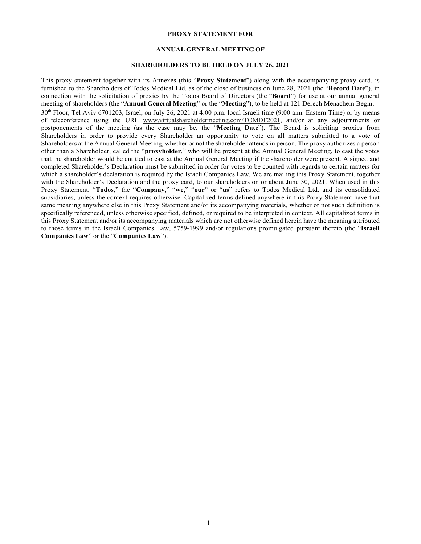### **PROXY STATEMENT FOR**

## **ANNUAL GENERAL MEETING OF**

## **SHAREHOLDERS TO BE HELD ON JULY 26, 2021**

This proxy statement together with its Annexes (this "**Proxy Statement**") along with the accompanying proxy card, is furnished to the Shareholders of Todos Medical Ltd. as of the close of business on June 28, 2021 (the "**Record Date**"), in connection with the solicitation of proxies by the Todos Board of Directors (the "**Board**") for use at our annual general meeting of shareholders (the "**Annual General Meeting**" or the "**Meeting**"), to be held at 121 Derech Menachem Begin, 30th Floor, Tel Aviv 6701203, Israel, on July 26, 2021 at 4:00 p.m. local Israeli time (9:00 a.m. Eastern Time) or by means of teleconference using the URL www.virtualshareholdermeeting.com/TOMDF2021, and/or at any adjournments or postponements of the meeting (as the case may be, the "**Meeting Date**"). The Board is soliciting proxies from Shareholders in order to provide every Shareholder an opportunity to vote on all matters submitted to a vote of Shareholders at the Annual General Meeting, whether or not the shareholder attends in person. The proxy authorizes a person other than a Shareholder, called the "**proxyholder**," who will be present at the Annual General Meeting, to cast the votes that the shareholder would be entitled to cast at the Annual General Meeting if the shareholder were present. A signed and completed Shareholder's Declaration must be submitted in order for votes to be counted with regards to certain matters for which a shareholder's declaration is required by the Israeli Companies Law. We are mailing this Proxy Statement, together with the Shareholder's Declaration and the proxy card, to our shareholders on or about June 30, 2021. When used in this Proxy Statement, "**Todos**," the "**Company**," "**we**," "**our**" or "**us**" refers to Todos Medical Ltd. and its consolidated subsidiaries, unless the context requires otherwise. Capitalized terms defined anywhere in this Proxy Statement have that same meaning anywhere else in this Proxy Statement and/or its accompanying materials, whether or not such definition is specifically referenced, unless otherwise specified, defined, or required to be interpreted in context. All capitalized terms in this Proxy Statement and/or its accompanying materials which are not otherwise defined herein have the meaning attributed to those terms in the Israeli Companies Law, 5759-1999 and/or regulations promulgated pursuant thereto (the "**Israeli Companies Law**" or the "**Companies Law**").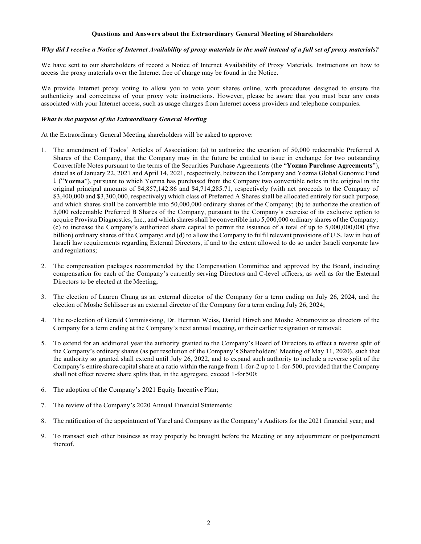#### **Questions and Answers about the Extraordinary General Meeting of Shareholders**

# *Why did I receive a Notice of Internet Availability of proxy materials in the mail instead of a full set of proxy materials?*

We have sent to our shareholders of record a Notice of Internet Availability of Proxy Materials. Instructions on how to access the proxy materials over the Internet free of charge may be found in the Notice.

We provide Internet proxy voting to allow you to vote your shares online, with procedures designed to ensure the authenticity and correctness of your proxy vote instructions. However, please be aware that you must bear any costs associated with your Internet access, such as usage charges from Internet access providers and telephone companies.

### *What is the purpose of the Extraordinary General Meeting*

At the Extraordinary General Meeting shareholders will be asked to approve:

- 1. The amendment of Todos' Articles of Association: (a) to authorize the creation of 50,000 redeemable Preferred A Shares of the Company, that the Company may in the future be entitled to issue in exchange for two outstanding Convertible Notes pursuant to the terms of the Securities Purchase Agreements (the "**Yozma Purchase Agreements**"), dated as of January 22, 2021 and April 14, 2021, respectively, between the Company and Yozma Global Genomic Fund 1 ("**Yozma**"), pursuant to which Yozma has purchased from the Company two convertible notes in the original in the original principal amounts of \$4,857,142.86 and \$4,714,285.71, respectively (with net proceeds to the Company of \$3,400,000 and \$3,300,000, respectively) which class of Preferred A Shares shall be allocated entirely for such purpose, and which shares shall be convertible into 50,000,000 ordinary shares of the Company; (b) to authorize the creation of 5,000 redeemable Preferred B Shares of the Company, pursuant to the Company's exercise of its exclusive option to acquire Provista Diagnostics, Inc., and which shares shall be convertible into 5,000,000 ordinary shares of the Company; (c) to increase the Company's authorized share capital to permit the issuance of a total of up to 5,000,000,000 (five billion) ordinary shares of the Company; and (d) to allow the Company to fulfil relevant provisions of U.S. law in lieu of Israeli law requirements regarding External Directors, if and to the extent allowed to do so under Israeli corporate law and regulations;
- 2. The compensation packages recommended by the Compensation Committee and approved by the Board, including compensation for each of the Company's currently serving Directors and C-level officers, as well as for the External Directors to be elected at the Meeting;
- 3. The election of Lauren Chung as an external director of the Company for a term ending on July 26, 2024, and the election of Moshe Schlisser as an external director of the Company for a term ending July 26, 2024;
- 4. The re-election of Gerald Commissiong, Dr. Herman Weiss, Daniel Hirsch and Moshe Abramovitz as directors of the Company for a term ending at the Company's next annual meeting, or their earlier resignation or removal;
- 5. To extend for an additional year the authority granted to the Company's Board of Directors to effect a reverse split of the Company's ordinary shares (as per resolution of the Company's Shareholders' Meeting of May 11, 2020), such that the authority so granted shall extend until July 26, 2022, and to expand such authority to include a reverse split of the Company's entire share capital share at a ratio within the range from 1-for-2 up to 1-for-500, provided that the Company shall not effect reverse share splits that, in the aggregate, exceed 1-for 500;
- 6. The adoption of the Company's 2021 Equity Incentive Plan;
- 7. The review of the Company's 2020 Annual Financial Statements;
- 8. The ratification of the appointment of Yarel and Company as the Company's Auditors for the 2021 financial year; and
- 9. To transact such other business as may properly be brought before the Meeting or any adjournment or postponement thereof.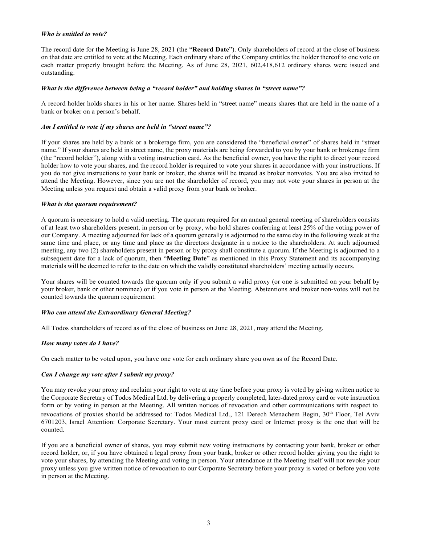### *Who is entitled to vote?*

The record date for the Meeting is June 28, 2021 (the "**Record Date**"). Only shareholders of record at the close of business on that date are entitled to vote at the Meeting. Each ordinary share of the Company entitles the holder thereof to one vote on each matter properly brought before the Meeting. As of June 28, 2021, 602,418,612 ordinary shares were issued and outstanding.

#### *What is the difference between being a "record holder" and holding shares in "street name"?*

A record holder holds shares in his or her name. Shares held in "street name" means shares that are held in the name of a bank or broker on a person's behalf.

#### *Am I entitled to vote if my shares are held in "street name"?*

If your shares are held by a bank or a brokerage firm, you are considered the "beneficial owner" of shares held in "street name." If your shares are held in street name, the proxy materials are being forwarded to you by your bank or brokerage firm (the "record holder"), along with a voting instruction card. As the beneficial owner, you have the right to direct your record holder how to vote your shares, and the record holder is required to vote your shares in accordance with your instructions. If you do not give instructions to your bank or broker, the shares will be treated as broker nonvotes. You are also invited to attend the Meeting. However, since you are not the shareholder of record, you may not vote your shares in person at the Meeting unless you request and obtain a valid proxy from your bank or broker.

#### *What is the quorum requirement?*

A quorum is necessary to hold a valid meeting. The quorum required for an annual general meeting of shareholders consists of at least two shareholders present, in person or by proxy, who hold shares conferring at least 25% of the voting power of our Company. A meeting adjourned for lack of a quorum generally is adjourned to the same day in the following week at the same time and place, or any time and place as the directors designate in a notice to the shareholders. At such adjourned meeting, any two (2) shareholders present in person or by proxy shall constitute a quorum. If the Meeting is adjourned to a subsequent date for a lack of quorum, then "**Meeting Date**" as mentioned in this Proxy Statement and its accompanying materials will be deemed to refer to the date on which the validly constituted shareholders' meeting actually occurs.

Your shares will be counted towards the quorum only if you submit a valid proxy (or one is submitted on your behalf by your broker, bank or other nominee) or if you vote in person at the Meeting. Abstentions and broker non-votes will not be counted towards the quorum requirement.

### *Who can attend the Extraordinary General Meeting?*

All Todos shareholders of record as of the close of business on June 28, 2021, may attend the Meeting.

#### *How many votes do I have?*

On each matter to be voted upon, you have one vote for each ordinary share you own as of the Record Date.

### *Can I change my vote after I submit my proxy?*

You may revoke your proxy and reclaim your right to vote at any time before your proxy is voted by giving written notice to the Corporate Secretary of Todos Medical Ltd. by delivering a properly completed, later-dated proxy card or vote instruction form or by voting in person at the Meeting. All written notices of revocation and other communications with respect to revocations of proxies should be addressed to: Todos Medical Ltd., 121 Derech Menachem Begin, 30<sup>th</sup> Floor, Tel Aviv 6701203, Israel Attention: Corporate Secretary. Your most current proxy card or Internet proxy is the one that will be counted.

If you are a beneficial owner of shares, you may submit new voting instructions by contacting your bank, broker or other record holder, or, if you have obtained a legal proxy from your bank, broker or other record holder giving you the right to vote your shares, by attending the Meeting and voting in person. Your attendance at the Meeting itself will not revoke your proxy unless you give written notice of revocation to our Corporate Secretary before your proxy is voted or before you vote in person at the Meeting.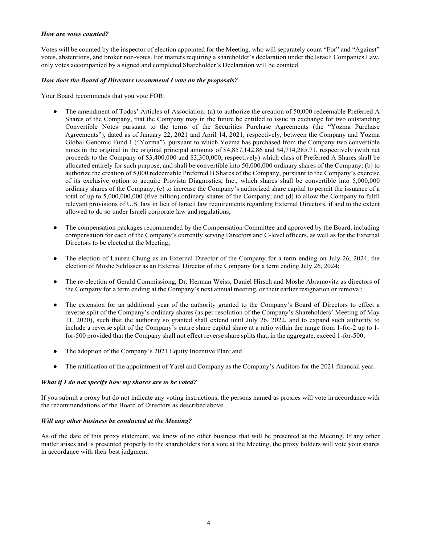### *How are votes counted?*

Votes will be counted by the inspector of election appointed for the Meeting, who will separately count "For" and "Against" votes, abstentions, and broker non-votes. For matters requiring a shareholder's declaration under the Israeli Companies Law, only votes accompanied by a signed and completed Shareholder's Declaration will be counted.

## *How does the Board of Directors recommend I vote on the proposals?*

Your Board recommends that you vote FOR:

- The amendment of Todos' Articles of Association: (a) to authorize the creation of 50,000 redeemable Preferred A Shares of the Company, that the Company may in the future be entitled to issue in exchange for two outstanding Convertible Notes pursuant to the terms of the Securities Purchase Agreements (the "Yozma Purchase Agreements"), dated as of January 22, 2021 and April 14, 2021, respectively, between the Company and Yozma Global Genomic Fund 1 ("Yozma"), pursuant to which Yozma has purchased from the Company two convertible notes in the original in the original principal amounts of \$4,857,142.86 and \$4,714,285.71, respectively (with net proceeds to the Company of \$3,400,000 and \$3,300,000, respectively) which class of Preferred A Shares shall be allocated entirely for such purpose, and shall be convertible into 50,000,000 ordinary shares of the Company; (b) to authorize the creation of 5,000 redeemable Preferred B Shares of the Company, pursuant to the Company's exercise of its exclusive option to acquire Provista Diagnostics, Inc., which shares shall be convertible into 5,000,000 ordinary shares of the Company; (c) to increase the Company's authorized share capital to permit the issuance of a total of up to 5,000,000,000 (five billion) ordinary shares of the Company; and (d) to allow the Company to fulfil relevant provisions of U.S. law in lieu of Israeli law requirements regarding External Directors, if and to the extent allowed to do so under Israeli corporate law and regulations;
- The compensation packages recommended by the Compensation Committee and approved by the Board, including compensation for each of the Company's currently serving Directors and C-level officers, as well as for the External Directors to be elected at the Meeting;
- The election of Lauren Chung as an External Director of the Company for a term ending on July 26, 2024, the election of Moshe Schlisser as an External Director of the Company for a term ending July 26, 2024;
- The re-election of Gerald Commissiong, Dr. Herman Weiss, Daniel Hirsch and Moshe Abramovitz as directors of the Company for a term ending at the Company's next annual meeting, or their earlier resignation or removal;
- The extension for an additional year of the authority granted to the Company's Board of Directors to effect a reverse split of the Company's ordinary shares (as per resolution of the Company's Shareholders' Meeting of May 11, 2020), such that the authority so granted shall extend until July 26, 2022, and to expand such authority to include a reverse split of the Company's entire share capital share at a ratio within the range from 1-for-2 up to 1 for-500 provided that the Company shall not effect reverse share splits that, in the aggregate, exceed 1-for-500;
- The adoption of the Company's 2021 Equity Incentive Plan; and
- The ratification of the appointment of Yarel and Company as the Company's Auditors for the 2021 financial year.

### *What if I do not specify how my shares are to be voted?*

If you submit a proxy but do not indicate any voting instructions, the persons named as proxies will vote in accordance with the recommendations of the Board of Directors as described above.

### *Will any other business be conducted at the Meeting?*

As of the date of this proxy statement, we know of no other business that will be presented at the Meeting. If any other matter arises and is presented properly to the shareholders for a vote at the Meeting, the proxy holders will vote your shares in accordance with their best judgment.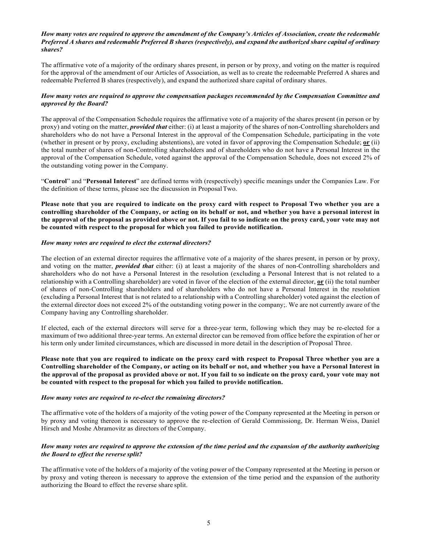### *How many votes are required to approve the amendment of the Company's Articles of Association, create the redeemable Preferred A shares and redeemable Preferred B shares (respectively), and expand the authorized share capital of ordinary shares?*

The affirmative vote of a majority of the ordinary shares present, in person or by proxy, and voting on the matter is required for the approval of the amendment of our Articles of Association, as well as to create the redeemable Preferred A shares and redeemable Preferred B shares (respectively), and expand the authorized share capital of ordinary shares.

## *How many votes are required to approve the compensation packages recommended by the Compensation Committee and approved by the Board?*

The approval of the Compensation Schedule requires the affirmative vote of a majority of the shares present (in person or by proxy) and voting on the matter, *provided that* either: (i) at least a majority of the shares of non-Controlling shareholders and shareholders who do not have a Personal Interest in the approval of the Compensation Schedule, participating in the vote (whether in present or by proxy, excluding abstentions), are voted in favor of approving the Compensation Schedule; **or** (ii) the total number of shares of non-Controlling shareholders and of shareholders who do not have a Personal Interest in the approval of the Compensation Schedule, voted against the approval of the Compensation Schedule, does not exceed 2% of the outstanding voting power in the Company.

"**Control**" and "**Personal Interest**" are defined terms with (respectively) specific meanings under the Companies Law. For the definition of these terms, please see the discussion in Proposal Two.

**Please note that you are required to indicate on the proxy card with respect to Proposal Two whether you are a controlling shareholder of the Company, or acting on its behalf or not, and whether you have a personal interest in the approval of the proposal as provided above or not. If you fail to so indicate on the proxy card, your vote may not be counted with respect to the proposal for which you failed to provide notification.**

### *How many votes are required to elect the external directors?*

The election of an external director requires the affirmative vote of a majority of the shares present, in person or by proxy, and voting on the matter, *provided that* either: (i) at least a majority of the shares of non-Controlling shareholders and shareholders who do not have a Personal Interest in the resolution (excluding a Personal Interest that is not related to a relationship with a Controlling shareholder) are voted in favor of the election of the external director, **or** (ii) the total number of shares of non-Controlling shareholders and of shareholders who do not have a Personal Interest in the resolution (excluding a Personal Interest that is not related to a relationship with a Controlling shareholder) voted against the election of the external director does not exceed 2% of the outstanding voting power in the company;. We are not currently aware of the Company having any Controlling shareholder.

If elected, each of the external directors will serve for a three-year term, following which they may be re-elected for a maximum of two additional three-year terms. An external director can be removed from office before the expiration of her or his term only under limited circumstances, which are discussed in more detail in the description of Proposal Three.

**Please note that you are required to indicate on the proxy card with respect to Proposal Three whether you are a Controlling shareholder of the Company, or acting on its behalf or not, and whether you have a Personal Interest in the approval of the proposal as provided above or not. If you fail to so indicate on the proxy card, your vote may not be counted with respect to the proposal for which you failed to provide notification.**

### *How many votes are required to re-elect the remaining directors?*

The affirmative vote of the holders of a majority of the voting power of the Company represented at the Meeting in person or by proxy and voting thereon is necessary to approve the re-election of Gerald Commissiong, Dr. Herman Weiss, Daniel Hirsch and Moshe Abramovitz as directors of the Company.

## *How many votes are required to approve the extension of the time period and the expansion of the authority authorizing the Board to effect the reverse split?*

The affirmative vote of the holders of a majority of the voting power of the Company represented at the Meeting in person or by proxy and voting thereon is necessary to approve the extension of the time period and the expansion of the authority authorizing the Board to effect the reverse share split.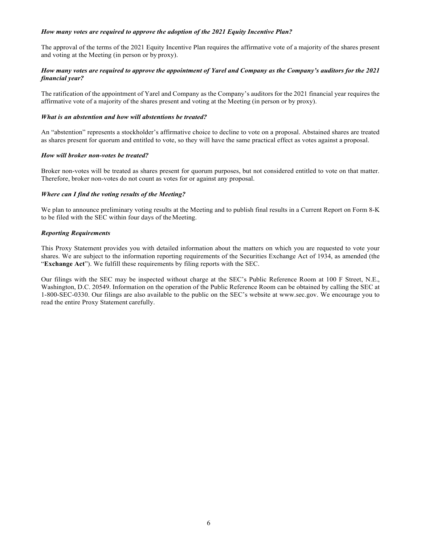## *How many votes are required to approve the adoption of the 2021 Equity Incentive Plan?*

The approval of the terms of the 2021 Equity Incentive Plan requires the affirmative vote of a majority of the shares present and voting at the Meeting (in person or by proxy).

## *How many votes are required to approve the appointment of Yarel and Company as the Company's auditors for the 2021 financial year?*

The ratification of the appointment of Yarel and Company as the Company's auditors for the 2021 financial year requires the affirmative vote of a majority of the shares present and voting at the Meeting (in person or by proxy).

### *What is an abstention and how will abstentions be treated?*

An "abstention" represents a stockholder's affirmative choice to decline to vote on a proposal. Abstained shares are treated as shares present for quorum and entitled to vote, so they will have the same practical effect as votes against a proposal.

### *How will broker non-votes be treated?*

Broker non-votes will be treated as shares present for quorum purposes, but not considered entitled to vote on that matter. Therefore, broker non-votes do not count as votes for or against any proposal.

## *Where can I find the voting results of the Meeting?*

We plan to announce preliminary voting results at the Meeting and to publish final results in a Current Report on Form 8-K to be filed with the SEC within four days of the Meeting.

## *Reporting Requirements*

This Proxy Statement provides you with detailed information about the matters on which you are requested to vote your shares. We are subject to the information reporting requirements of the Securities Exchange Act of 1934, as amended (the "**Exchange Act**"). We fulfill these requirements by filing reports with the SEC.

Our filings with the SEC may be inspected without charge at the SEC's Public Reference Room at 100 F Street, N.E., Washington, D.C. 20549. Information on the operation of the Public Reference Room can be obtained by calling the SEC at 1-800-SEC-0330. Our filings are also available to the public on the SEC's website at www.sec.gov. We encourage you to read the entire Proxy Statement carefully.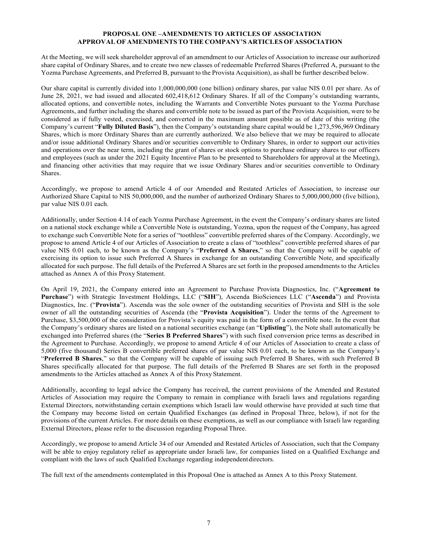## **PROPOSAL ONE –AMENDMENTS TO ARTICLES OF ASSOCIATION APPROVAL OF AMENDMENTS TO THE COMPANY'S ARTICLES OF ASSOCIATION**

At the Meeting, we will seek shareholder approval of an amendment to our Articles of Association to increase our authorized share capital of Ordinary Shares, and to create two new classes of redeemable Preferred Shares (Preferred A, pursuant to the Yozma Purchase Agreements, and Preferred B, pursuant to the Provista Acquisition), as shall be further described below.

Our share capital is currently divided into 1,000,000,000 (one billion) ordinary shares, par value NIS 0.01 per share. As of June 28, 2021, we had issued and allocated 602,418,612 Ordinary Shares. If all of the Company's outstanding warrants, allocated options, and convertible notes, including the Warrants and Convertible Notes pursuant to the Yozma Purchase Agreements, and further including the shares and convertible note to be issued as part of the Provista Acquisition, were to be considered as if fully vested, exercised, and converted in the maximum amount possible as of date of this writing (the Company's current "**Fully Diluted Basis**"), then the Company's outstanding share capital would be 1,273,596,969 Ordinary Shares, which is more Ordinary Shares than are currently authorized. We also believe that we may be required to allocate and/or issue additional Ordinary Shares and/or securities convertible to Ordinary Shares, in order to support our activities and operations over the near term, including the grant of shares or stock options to purchase ordinary shares to our officers and employees (such as under the 2021 Equity Incentive Plan to be presented to Shareholders for approval at the Meeting), and financing other activities that may require that we issue Ordinary Shares and/or securities convertible to Ordinary Shares.

Accordingly, we propose to amend Article 4 of our Amended and Restated Articles of Association, to increase our Authorized Share Capital to NIS 50,000,000, and the number of authorized Ordinary Shares to 5,000,000,000 (five billion), par value NIS 0.01 each.

Additionally, under Section 4.14 of each Yozma Purchase Agreement, in the event the Company's ordinary shares are listed on a national stock exchange while a Convertible Note is outstanding, Yozma, upon the request of the Company, has agreed to exchange such Convertible Note for a series of "toothless" convertible preferred shares of the Company. Accordingly, we propose to amend Article 4 of our Articles of Association to create a class of "toothless" convertible preferred shares of par value NIS 0.01 each, to be known as the Company's "**Preferred A Shares**," so that the Company will be capable of exercising its option to issue such Preferred A Shares in exchange for an outstanding Convertible Note, and specifically allocated for such purpose. The full details of the Preferred A Shares are set forth in the proposed amendments to the Articles attached as Annex A of this Proxy Statement.

On April 19, 2021, the Company entered into an Agreement to Purchase Provista Diagnostics, Inc. ("**Agreement to Purchase**") with Strategic Investment Holdings, LLC ("**SIH**"), Ascenda BioSciences LLC ("**Ascenda**") and Provista Diagnostics, Inc. ("**Provista**"). Ascenda was the sole owner of the outstanding securities of Provista and SIH is the sole owner of all the outstanding securities of Ascenda (the "**Provista Acquisition**"). Under the terms of the Agreement to Purchase, \$3,500,000 of the consideration for Provista's equity was paid in the form of a convertible note. In the event that the Company's ordinary shares are listed on a national securities exchange (an "**Uplisting**"), the Note shall automatically be exchanged into Preferred shares (the "**Series B Preferred Shares**") with such fixed conversion price terms as described in the Agreement to Purchase. Accordingly, we propose to amend Article 4 of our Articles of Association to create a class of 5,000 (five thousand) Series B convertible preferred shares of par value NIS 0.01 each, to be known as the Company's "**Preferred B Shares**," so that the Company will be capable of issuing such Preferred B Shares, with such Preferred B Shares specifically allocated for that purpose. The full details of the Preferred B Shares are set forth in the proposed amendments to the Articles attached as Annex A of this Proxy Statement.

Additionally, according to legal advice the Company has received, the current provisions of the Amended and Restated Articles of Association may require the Company to remain in compliance with Israeli laws and regulations regarding External Directors, notwithstanding certain exemptions which Israeli law would otherwise have provided at such time that the Company may become listed on certain Qualified Exchanges (as defined in Proposal Three, below), if not for the provisions of the current Articles. For more details on these exemptions, as well as our compliance with Israeli law regarding External Directors, please refer to the discussion regarding Proposal Three.

Accordingly, we propose to amend Article 34 of our Amended and Restated Articles of Association, such that the Company will be able to enjoy regulatory relief as appropriate under Israeli law, for companies listed on a Qualified Exchange and compliant with the laws of such Qualified Exchange regarding independent directors.

The full text of the amendments contemplated in this Proposal One is attached as Annex A to this Proxy Statement.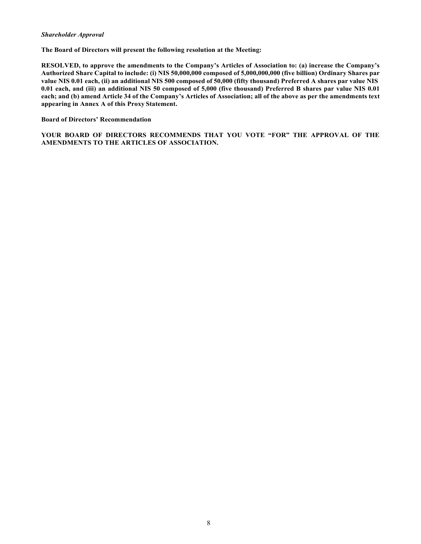### *Shareholder Approval*

**The Board of Directors will present the following resolution at the Meeting:**

**RESOLVED, to approve the amendments to the Company's Articles of Association to: (a) increase the Company's Authorized Share Capital to include: (i) NIS 50,000,000 composed of 5,000,000,000 (five billion) Ordinary Shares par value NIS 0.01 each, (ii) an additional NIS 500 composed of 50,000 (fifty thousand) Preferred A shares par value NIS 0.01 each, and (iii) an additional NIS 50 composed of 5,000 (five thousand) Preferred B shares par value NIS 0.01 each; and (b) amend Article 34 of the Company's Articles of Association; all of the above as per the amendments text appearing in Annex A of this Proxy Statement.**

#### **Board of Directors' Recommendation**

**YOUR BOARD OF DIRECTORS RECOMMENDS THAT YOU VOTE "FOR" THE APPROVAL OF THE AMENDMENTS TO THE ARTICLES OF ASSOCIATION.**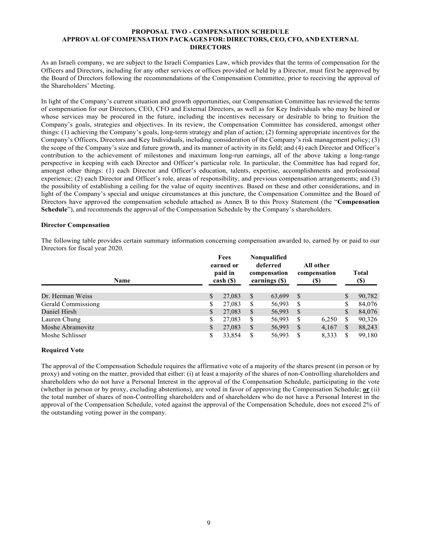### **PROPOSAL TWO - COMPENSATION SCHEDULE APPROVAL OF COMPENSATION PACKAGES FOR: DIRECTORS, CEO, CFO, AND EXTERNAL DIRECTORS**

As an Israeli company, we are subject to the Israeli Companies Law, which provides that the terms of compensation for the Officers and Directors, including for any other services or offices provided or held by a Director, must first be approved by the Board of Directors following the recommendations of the Compensation Committee, prior to receiving the approval of the Shareholders' Meeting.

In light of the Company's current situation and growth opportunities, our Compensation Committee has reviewed the terms of compensation for our Directors, CEO, CFO and External Directors, as well as for Key Individuals who may be hired or whose services may be procured in the future, including the incentives necessary or desirable to bring to fruition the Company's goals, strategies and objectives. In its review, the Compensation Committee has considered, amongst other things: (1) achieving the Company's goals, long-term strategy and plan of action; (2) forming appropriate incentives for the Company's Officers, Directors and Key Individuals, including consideration of the Company's risk management policy; (3) the scope of the Company's size and future growth, and its manner of activity in its field; and (4) each Director and Officer's contribution to the achievement of milestones and maximum long-run earnings, all of the above taking a long-range perspective in keeping with each Director and Officer's particular role. In particular, the Committee has had regard for, amongst other things: (1) each Director and Officer's education, talents, expertise, accomplishments and professional experience; (2) each Director and Officer's role, areas of responsibility, and previous compensation arrangements; and (3) the possibility of establishing a ceiling for the value of equity incentives. Based on these and other considerations, and in light of the Company's special and unique circumstances at this juncture, the Compensation Committee and the Board of Directors have approved the compensation schedule attached as Annex B to this Proxy Statement (the "**Compensation Schedule**"), and recommends the approval of the Compensation Schedule by the Company's shareholders.

### **Director Compensation**

The following table provides certain summary information concerning compensation awarded to, earned by or paid to our Directors for fiscal year 2020.

| Name               |    | Fees<br>earned or<br>paid in<br>$\cosh( \mathcal{S})$ |              | <b>Nonqualified</b><br>deferred<br>compensation<br>earnings (\$) |              | All other<br>compensation<br>(S) |    | <b>Total</b><br>$(\$)$ |
|--------------------|----|-------------------------------------------------------|--------------|------------------------------------------------------------------|--------------|----------------------------------|----|------------------------|
| Dr. Herman Weiss   | S  | 27,083                                                | <sup>S</sup> | 63,699                                                           | <sup>S</sup> |                                  | \$ | 90,782                 |
| Gerald Commissiong | S  | 27,083                                                | S            | 56,993                                                           | S            |                                  | \$ | 84,076                 |
| Daniel Hirsh       | \$ | 27,083                                                | \$           | 56,993                                                           | S            |                                  | \$ | 84,076                 |
| Lauren Chung       | \$ | 27,083                                                | S            | 56,993                                                           | S            | 6,250                            | \$ | 90,326                 |
| Moshe Abramovitz   | \$ | 27,083                                                | S            | 56,993                                                           | S            | 4,167                            | S  | 88,243                 |
| Moshe Schlisser    | \$ | 33,854                                                | S            | 56,993                                                           | S            | 8,333                            | \$ | 99,180                 |

### **Required Vote**

The approval of the Compensation Schedule requires the affirmative vote of a majority of the shares present (in person or by proxy) and voting on the matter, provided that either: (i) at least a majority of the shares of non-Controlling shareholders and shareholders who do not have a Personal Interest in the approval of the Compensation Schedule, participating in the vote (whether in person or by proxy, excluding abstentions), are voted in favor of approving the Compensation Schedule; **or** (ii) the total number of shares of non-Controlling shareholders and of shareholders who do not have a Personal Interest in the approval of the Compensation Schedule, voted against the approval of the Compensation Schedule, does not exceed 2% of the outstanding voting power in the company.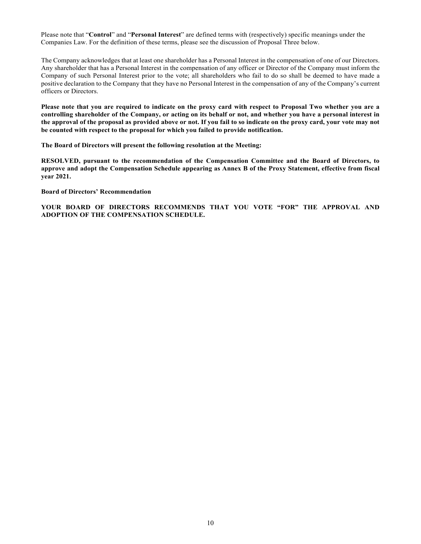Please note that "**Control**" and "**Personal Interest**" are defined terms with (respectively) specific meanings under the Companies Law. For the definition of these terms, please see the discussion of Proposal Three below.

The Company acknowledges that at least one shareholder has a Personal Interest in the compensation of one of our Directors. Any shareholder that has a Personal Interest in the compensation of any officer or Director of the Company must inform the Company of such Personal Interest prior to the vote; all shareholders who fail to do so shall be deemed to have made a positive declaration to the Company that they have no Personal Interest in the compensation of any of the Company's current officers or Directors.

**Please note that you are required to indicate on the proxy card with respect to Proposal Two whether you are a controlling shareholder of the Company, or acting on its behalf or not, and whether you have a personal interest in the approval of the proposal as provided above or not. If you fail to so indicate on the proxy card, your vote may not be counted with respect to the proposal for which you failed to provide notification.**

**The Board of Directors will present the following resolution at the Meeting:**

**RESOLVED, pursuant to the recommendation of the Compensation Committee and the Board of Directors, to approve and adopt the Compensation Schedule appearing as Annex B of the Proxy Statement, effective from fiscal year 2021.**

**Board of Directors' Recommendation**

**YOUR BOARD OF DIRECTORS RECOMMENDS THAT YOU VOTE "FOR" THE APPROVAL AND ADOPTION OF THE COMPENSATION SCHEDULE.**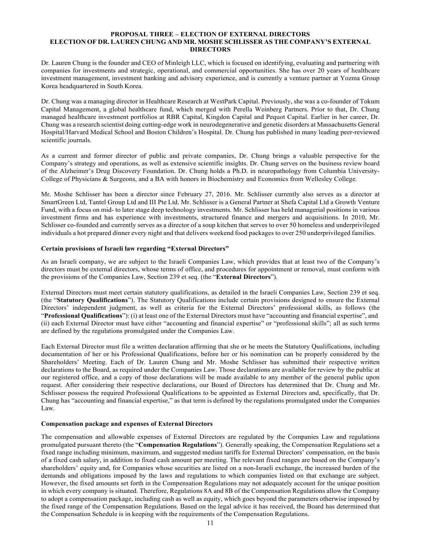### **PROPOSAL THREE – ELECTION OF EXTERNAL DIRECTORS ELECTION OF DR. LAUREN CHUNG AND MR. MOSHE SCHLISSER AS THE COMPANY'S EXTERNAL DIRECTORS**

Dr. Lauren Chung is the founder and CEO of Minleigh LLC, which is focused on identifying, evaluating and partnering with companies for investments and strategic, operational, and commercial opportunities. She has over 20 years of healthcare investment management, investment banking and advisory experience, and is currently a venture partner at Yozma Group Korea headquartered in South Korea.

Dr. Chung was a managing director in Healthcare Research at WestPark Capital. Previously, she was a co-founder of Tokum Capital Management, a global healthcare fund, which merged with Perella Weinberg Partners. Prior to that, Dr. Chung managed healthcare investment portfolios at RBR Capital, Kingdon Capital and Pequot Capital. Earlier in her career, Dr. Chung was a research scientist doing cutting-edge work in neurodegenerative and genetic disorders at Massachusetts General Hospital/Harvard Medical School and Boston Children's Hospital. Dr. Chung has published in many leading peer-reviewed scientific journals.

As a current and former director of public and private companies, Dr. Chung brings a valuable perspective for the Company's strategy and operations, as well as extensive scientific insights. Dr. Chung serves on the business review board of the Alzheimer's Drug Discovery Foundation. Dr. Chung holds a Ph.D. in neuropathology from Columbia University-College of Physicians & Surgeons, and a BA with honors in Biochemistry and Economics from Wellesley College.

Mr. Moshe Schlisser has been a director since February 27, 2016. Mr. Schlisser currently also serves as a director at SmartGreen Ltd, Tantel Group Ltd and III Pte Ltd. Mr. Schlisser is a General Partner at Shefa Capital Ltd a Growth Venture Fund, with a focus on mid- to later stage deep technology investments. Mr. Schlisser has held managerial positions in various investment firms and has experience with investments, structured finance and mergers and acquisitions. In 2010, Mr. Schlisser co-founded and currently serves as a director of a soup kitchen that serves to over 50 homeless and underprivileged individuals a hot prepared dinner every night and that delivers weekend food packages to over 250 underprivileged families.

### **Certain provisions of Israeli law regarding "External Directors"**

As an Israeli company, we are subject to the Israeli Companies Law, which provides that at least two of the Company's directors must be external directors, whose terms of office, and procedures for appointment or removal, must conform with the provisions of the Companies Law, Section 239 et seq. (the "**External Directors**").

External Directors must meet certain statutory qualifications, as detailed in the Israeli Companies Law, Section 239 et seq. (the "**Statutory Qualifications**"). The Statutory Qualifications include certain provisions designed to ensure the External Directors' independent judgment, as well as criteria for the External Directors' professional skills, as follows (the "**Professional Qualifications**"): (i) at least one of the External Directors must have "accounting and financial expertise", and (ii) each External Director must have either "accounting and financial expertise" or "professional skills"; all as such terms are defined by the regulations promulgated under the Companies Law.

Each External Director must file a written declaration affirming that she or he meets the Statutory Qualifications, including documentation of her or his Professional Qualifications, before her or his nomination can be properly considered by the Shareholders' Meeting. Each of Dr. Lauren Chung and Mr. Moshe Schlisser has submitted their respective written declarations to the Board, as required under the Companies Law. Those declarations are available for review by the public at our registered office, and a copy of those declarations will be made available to any member of the general public upon request. After considering their respective declarations, our Board of Directors has determined that Dr. Chung and Mr. Schlisser possess the required Professional Qualifications to be appointed as External Directors and, specifically, that Dr. Chung has "accounting and financial expertise," as that term is defined by the regulations promulgated under the Companies Law.

### **Compensation package and expenses of External Directors**

The compensation and allowable expenses of External Directors are regulated by the Companies Law and regulations promulgated pursuant thereto (the "**Compensation Regulations**"). Generally speaking, the Compensation Regulations set a fixed range including minimum, maximum, and suggested median tariffs for External Directors' compensation, on the basis of a fixed cash salary, in addition to fixed cash amount per meeting. The relevant fixed ranges are based on the Company's shareholders' equity and, for Companies whose securities are listed on a non-Israeli exchange, the increased burden of the demands and obligations imposed by the laws and regulations to which companies listed on that exchange are subject. However, the fixed amounts set forth in the Compensation Regulations may not adequately account for the unique position in which every company is situated. Therefore, Regulations 8A and 8B of the Compensation Regulations allow the Company to adopt a compensation package, including cash as well as equity, which goes beyond the parameters otherwise imposed by the fixed range of the Compensation Regulations. Based on the legal advice it has received, the Board has determined that the Compensation Schedule is in keeping with the requirements of the Compensation Regulations.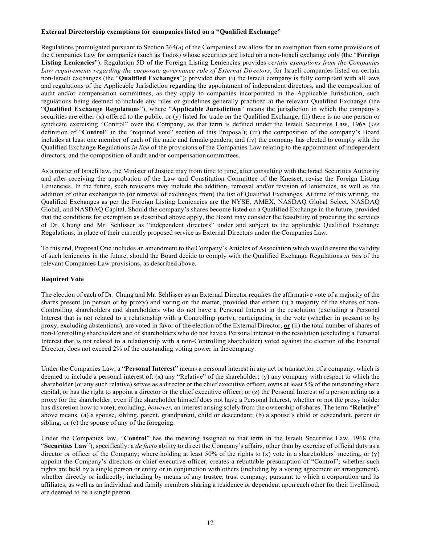### **External Directorship exemptions for companies listed on a "Qualified Exchange"**

Regulations promulgated pursuant to Section 364(a) of the Companies Law allow for an exemption from some provisions of the Companies Law for companies (such as Todos) whose securities are listed on a non-Israeli exchange only (the "**Foreign Listing Leniencies**"). Regulation 5D of the Foreign Listing Leniencies provides *certain exemptions from the Companies Law requirements regarding the corporate governance role of External Directors*, for Israeli companies listed on certain non-Israeli exchanges (the "**Qualified Exchanges**"); provided that: (i) the Israeli company is fully compliant with all laws and regulations of the Applicable Jurisdiction regarding the appointment of independent directors, and the composition of audit and/or compensation committees, as they apply to companies incorporated in the Applicable Jurisdiction, such regulations being deemed to include any rules or guidelines generally practiced at the relevant Qualified Exchange (the "**Qualified Exchange Regulations**"), where "**Applicable Jurisdiction**" means the jurisdiction in which the company's securities are either (x) offered to the public, or (y) listed for trade on the Qualified Exchange; (ii) there is no one person or syndicate exercising "Control" over the Company, as that term is defined under the Israeli Securities Law, 1968 (*see*  definition of "**Control**" in the "required vote" section of this Proposal); (iii) the composition of the company's Board includes at least one member of each of the male and female genders; and (iv) the company has elected to comply with the Qualified Exchange Regulations *in lieu* of the provisions of the Companies Law relating to the appointment of independent directors, and the composition of audit and/or compensation committees.

As a matter of Israeli law, the Minister of Justice may from time to time, after consulting with the Israel Securities Authority and after receiving the approbation of the Law and Constitution Committee of the Knesset, revise the Foreign Listing Leniencies. In the future, such revisions may include the addition, removal and/or revision of leniencies, as well as the addition of other exchanges to (or removal of exchanges from) the list of Qualified Exchanges. At time of this writing, the Qualified Exchanges as per the Foreign Listing Leniencies are the NYSE, AMEX, NASDAQ Global Select, NASDAQ Global, and NASDAQ Capital. Should the company's shares become listed on a Qualified Exchange in the future, provided that the conditions for exemption as described above apply, the Board may consider the feasibility of procuring the services of Dr. Chung and Mr. Schlisser as "independent directors" under and subject to the applicable Qualified Exchange Regulations, in place of their currently proposed service as External Directors under the Companies Law.

To this end, Proposal One includes an amendment to the Company's Articles of Association which would ensure the validity of such leniencies in the future, should the Board decide to comply with the Qualified Exchange Regulations *in lieu* of the relevant Companies Law provisions, as described above.

## **Required Vote**

The election of each of Dr. Chung and Mr. Schlisser as an External Director requires the affirmative vote of a majority of the shares present (in person or by proxy) and voting on the matter, provided that either: (i) a majority of the shares of non-Controlling shareholders and shareholders who do not have a Personal Interest in the resolution (excluding a Personal Interest that is not related to a relationship with a Controlling party), participating in the vote (whether in present or by proxy, excluding abstentions), are voted in favor of the election of the External Director, **or** (ii) the total number of shares of non-Controlling shareholders and of shareholders who do not have a Personal interest in the resolution (excluding a Personal Interest that is not related to a relationship with a non-Controlling shareholder) voted against the election of the External Director, does not exceed 2% of the outstanding voting power in the company.

Under the Companies Law, a "**Personal Interest**" means a personal interest in any act or transaction of a company, which is deemed to include a personal interest of: (x) any "Relative" of the shareholder; (y) any company with respect to which the shareholder (or any such relative) serves as a director or the chief executive officer, owns at least 5% of the outstanding share capital, or has the right to appoint a director or the chief executive officer; or (z) the Personal Interest of a person acting as a proxy for the shareholder, even if the shareholder himself does not have a Personal Interest, whether or not the proxy holder has discretion how to vote); excluding*, however,* an interest arising solely from the ownership of shares. The term "**Relative**" above means: (a) a spouse, sibling, parent, grandparent, child or descendant; (b) a spouse's child or descendant, parent or sibling; or (c) the spouse of any of the foregoing.

Under the Companies law, "**Control**" has the meaning assigned to that term in the Israeli Securities Law, 1968 (the "**Securities Law**"), specifically: a *de facto* ability to direct the Company's affairs, other than by exercise of official duty as a director or officer of the Company; where holding at least  $50\%$  of the rights to (x) vote in a shareholders' meeting, or (y) appoint the Company's directors or chief executive officer, creates a rebuttable presumption of "Control"; whether such rights are held by a single person or entity or in conjunction with others (including by a voting agreement or arrangement), whether directly or indirectly, including by means of any trustee, trust company; pursuant to which a corporation and its affiliates, as well as an individual and family members sharing a residence or dependent upon each other for their livelihood, are deemed to be a single person.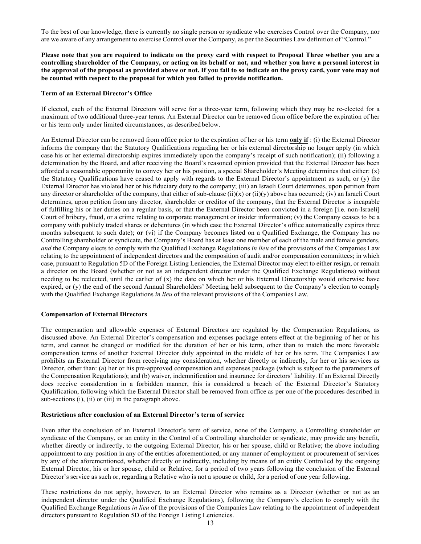To the best of our knowledge, there is currently no single person or syndicate who exercises Control over the Company, nor are we aware of any arrangement to exercise Control over the Company, as per the Securities Law definition of "Control."

**Please note that you are required to indicate on the proxy card with respect to Proposal Three whether you are a controlling shareholder of the Company, or acting on its behalf or not, and whether you have a personal interest in the approval of the proposal as provided above or not. If you fail to so indicate on the proxy card, your vote may not be counted with respect to the proposal for which you failed to provide notification.**

#### **Term of an External Director's Office**

If elected, each of the External Directors will serve for a three-year term, following which they may be re-elected for a maximum of two additional three-year terms. An External Director can be removed from office before the expiration of her or his term only under limited circumstances, as described below.

An External Director can be removed from office prior to the expiration of her or his term **only if** : (i) the External Director informs the company that the Statutory Qualifications regarding her or his external directorship no longer apply (in which case his or her external directorship expires immediately upon the company's receipt of such notification); (ii) following a determination by the Board, and after receiving the Board's reasoned opinion provided that the External Director has been afforded a reasonable opportunity to convey her or his position, a special Shareholder's Meeting determines that either: (x) the Statutory Qualifications have ceased to apply with regards to the External Director's appointment as such, or (y) the External Director has violated her or his fiduciary duty to the company; (iii) an Israeli Court determines, upon petition from any director or shareholder of the company, that either of sub-clause  $(ii)(x)$  or  $(ii)(y)$  above has occurred;  $(iv)$  an Israeli Court determines, upon petition from any director, shareholder or creditor of the company, that the External Director is incapable of fulfilling his or her duties on a regular basis, or that the External Director been convicted in a foreign [i.e. non-Israeli] Court of bribery, fraud, or a crime relating to corporate management or insider information; (v) the Company ceases to be a company with publicly traded shares or debentures (in which case the External Director's office automatically expires three months subsequent to such date); **or** (vi) if the Company becomes listed on a Qualified Exchange, the Company has no Controlling shareholder or syndicate, the Company's Board has at least one member of each of the male and female genders, *and* the Company elects to comply with the Qualified Exchange Regulations *in lieu* of the provisions of the Companies Law relating to the appointment of independent directors and the composition of audit and/or compensation committees; in which case, pursuant to Regulation 5D of the Foreign Listing Leniencies, the External Director may elect to either resign, or remain a director on the Board (whether or not as an independent director under the Qualified Exchange Regulations) without needing to be reelected, until the earlier of (x) the date on which her or his External Directorship would otherwise have expired, or (y) the end of the second Annual Shareholders' Meeting held subsequent to the Company's election to comply with the Qualified Exchange Regulations *in lieu* of the relevant provisions of the Companies Law.

#### **Compensation of External Directors**

The compensation and allowable expenses of External Directors are regulated by the Compensation Regulations, as discussed above. An External Director's compensation and expenses package enters effect at the beginning of her or his term, and cannot be changed or modified for the duration of her or his term, other than to match the more favorable compensation terms of another External Director duly appointed in the middle of her or his term. The Companies Law prohibits an External Director from receiving any consideration, whether directly or indirectly, for her or his services as Director, other than: (a) her or his pre-approved compensation and expenses package (which is subject to the parameters of the Compensation Regulations); and (b) waiver, indemnification and insurance for directors' liability. If an External Directly does receive consideration in a forbidden manner, this is considered a breach of the External Director's Statutory Qualification, following which the External Director shall be removed from office as per one of the procedures described in sub-sections (i), (ii) or (iii) in the paragraph above.

#### **Restrictions after conclusion of an External Director's term of service**

Even after the conclusion of an External Director's term of service, none of the Company, a Controlling shareholder or syndicate of the Company, or an entity in the Control of a Controlling shareholder or syndicate, may provide any benefit, whether directly or indirectly, to the outgoing External Director, his or her spouse, child or Relative; the above including appointment to any position in any of the entities aforementioned, or any manner of employment or procurement of services by any of the aforementioned, whether directly or indirectly, including by means of an entity Controlled by the outgoing External Director, his or her spouse, child or Relative, for a period of two years following the conclusion of the External Director's service as such or, regarding a Relative who is not a spouse or child, for a period of one year following.

These restrictions do not apply, however, to an External Director who remains as a Director (whether or not as an independent director under the Qualified Exchange Regulations), following the Company's election to comply with the Qualified Exchange Regulations *in lieu* of the provisions of the Companies Law relating to the appointment of independent directors pursuant to Regulation 5D of the Foreign Listing Leniencies.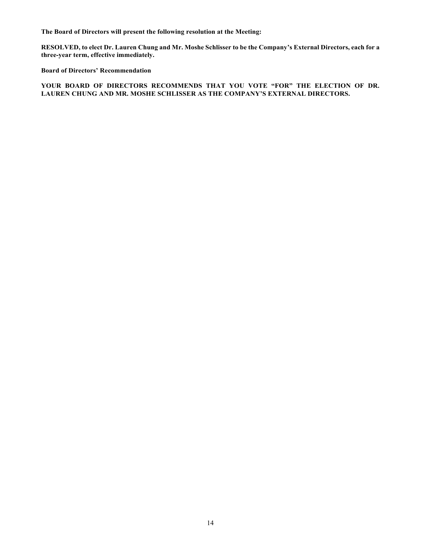**The Board of Directors will present the following resolution at the Meeting:**

**RESOLVED, to elect Dr. Lauren Chung and Mr. Moshe Schlisser to be the Company's External Directors, each for a three-year term, effective immediately.**

**Board of Directors' Recommendation**

**YOUR BOARD OF DIRECTORS RECOMMENDS THAT YOU VOTE "FOR" THE ELECTION OF DR. LAUREN CHUNG AND MR. MOSHE SCHLISSER AS THE COMPANY'S EXTERNAL DIRECTORS.**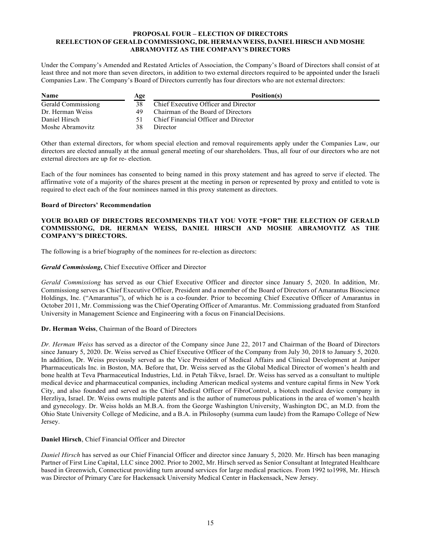## **PROPOSAL FOUR – ELECTION OF DIRECTORS REELECTION OF GERALD COMMISSIONG, DR. HERMAN WEISS, DANIEL HIRSCH AND MOSHE ABRAMOVITZ AS THE COMPANY'S DIRECTORS**

Under the Company's Amended and Restated Articles of Association, the Company's Board of Directors shall consist of at least three and not more than seven directors, in addition to two external directors required to be appointed under the Israeli Companies Law. The Company's Board of Directors currently has four directors who are not external directors:

| <b>Name</b>        | Age | Position(s)                          |
|--------------------|-----|--------------------------------------|
| Gerald Commissiong |     | Chief Executive Officer and Director |
| Dr. Herman Weiss   | 49  | Chairman of the Board of Directors   |
| Daniel Hirsch      |     | Chief Financial Officer and Director |
| Moshe Abramovitz   | 38  | Director                             |

Other than external directors, for whom special election and removal requirements apply under the Companies Law, our directors are elected annually at the annual general meeting of our shareholders. Thus, all four of our directors who are not external directors are up for re- election.

Each of the four nominees has consented to being named in this proxy statement and has agreed to serve if elected. The affirmative vote of a majority of the shares present at the meeting in person or represented by proxy and entitled to vote is required to elect each of the four nominees named in this proxy statement as directors.

## **Board of Directors' Recommendation**

## **YOUR BOARD OF DIRECTORS RECOMMENDS THAT YOU VOTE "FOR" THE ELECTION OF GERALD COMMISSIONG, DR. HERMAN WEISS, DANIEL HIRSCH AND MOSHE ABRAMOVITZ AS THE COMPANY'S DIRECTORS.**

The following is a brief biography of the nominees for re-election as directors:

## *Gerald Commissiong,* Chief Executive Officer and Director

*Gerald Commissiong* has served as our Chief Executive Officer and director since January 5, 2020. In addition, Mr. Commissiong serves as Chief Executive Officer, President and a member of the Board of Directors of Amarantus Bioscience Holdings, Inc. ("Amarantus"), of which he is a co-founder. Prior to becoming Chief Executive Officer of Amarantus in October 2011, Mr. Commissiong was the Chief Operating Officer of Amarantus. Mr. Commissiong graduated from Stanford University in Management Science and Engineering with a focus on Financial Decisions.

## **Dr. Herman Weiss**, Chairman of the Board of Directors

*Dr. Herman Weiss* has served as a director of the Company since June 22, 2017 and Chairman of the Board of Directors since January 5, 2020. Dr. Weiss served as Chief Executive Officer of the Company from July 30, 2018 to January 5, 2020. In addition, Dr. Weiss previously served as the Vice President of Medical Affairs and Clinical Development at Juniper Pharmaceuticals Inc. in Boston, MA. Before that, Dr. Weiss served as the Global Medical Director of women's health and bone health at Teva Pharmaceutical Industries, Ltd. in Petah Tikve, Israel. Dr. Weiss has served as a consultant to multiple medical device and pharmaceutical companies, including American medical systems and venture capital firms in New York City, and also founded and served as the Chief Medical Officer of FibroControl, a biotech medical device company in Herzliya, Israel. Dr. Weiss owns multiple patents and is the author of numerous publications in the area of women's health and gynecology. Dr. Weiss holds an M.B.A. from the George Washington University, Washington DC, an M.D. from the Ohio State University College of Medicine, and a B.A. in Philosophy (summa cum laude) from the Ramapo College of New Jersey.

### **Daniel Hirsch**, Chief Financial Officer and Director

*Daniel Hirsch* has served as our Chief Financial Officer and director since January 5, 2020. Mr. Hirsch has been managing Partner of First Line Capital, LLC since 2002. Prior to 2002, Mr. Hirsch served as Senior Consultant at Integrated Healthcare based in Greenwich, Connecticut providing turn around services for large medical practices. From 1992 to1998, Mr. Hirsch was Director of Primary Care for Hackensack University Medical Center in Hackensack, New Jersey.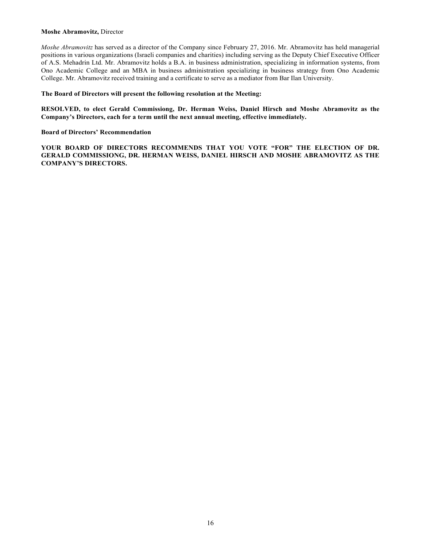### **Moshe Abramovitz,** Director

*Moshe Abramovitz* has served as a director of the Company since February 27, 2016. Mr. Abramovitz has held managerial positions in various organizations (Israeli companies and charities) including serving as the Deputy Chief Executive Officer of A.S. Mehadrin Ltd. Mr. Abramovitz holds a B.A. in business administration, specializing in information systems, from Ono Academic College and an MBA in business administration specializing in business strategy from Ono Academic College. Mr. Abramovitz received training and a certificate to serve as a mediator from Bar Ilan University.

#### **The Board of Directors will present the following resolution at the Meeting:**

**RESOLVED, to elect Gerald Commissiong, Dr. Herman Weiss, Daniel Hirsch and Moshe Abramovitz as the Company's Directors, each for a term until the next annual meeting, effective immediately.**

### **Board of Directors' Recommendation**

YOUR BOARD OF DIRECTORS RECOMMENDS THAT YOU VOTE "FOR" THE ELECTION OF DR. **GERALD COMMISSIONG, DR. HERMAN WEISS, DANIEL HIRSCH AND MOSHE ABRAMOVITZ AS THE COMPANY'S DIRECTORS.**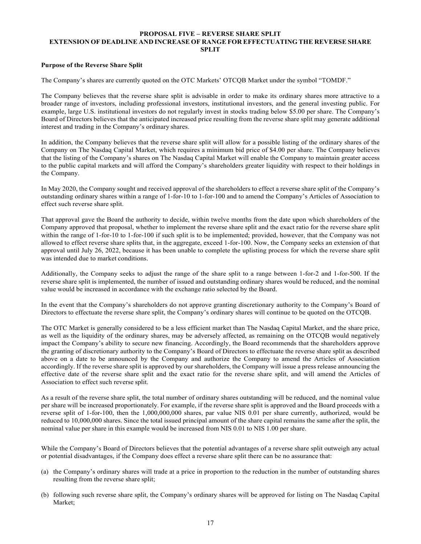## **PROPOSAL FIVE – REVERSE SHARE SPLIT EXTENSION OF DEADLINE AND INCREASE OF RANGE FOR EFFECTUATING THE REVERSE SHARE SPLIT**

## **Purpose of the Reverse Share Split**

The Company's shares are currently quoted on the OTC Markets' OTCQB Market under the symbol "TOMDF."

The Company believes that the reverse share split is advisable in order to make its ordinary shares more attractive to a broader range of investors, including professional investors, institutional investors, and the general investing public. For example, large U.S. institutional investors do not regularly invest in stocks trading below \$5.00 per share. The Company's Board of Directors believes that the anticipated increased price resulting from the reverse share split may generate additional interest and trading in the Company's ordinary shares.

In addition, the Company believes that the reverse share split will allow for a possible listing of the ordinary shares of the Company on The Nasdaq Capital Market, which requires a minimum bid price of \$4.00 per share. The Company believes that the listing of the Company's shares on The Nasdaq Capital Market will enable the Company to maintain greater access to the public capital markets and will afford the Company's shareholders greater liquidity with respect to their holdings in the Company.

In May 2020, the Company sought and received approval of the shareholders to effect a reverse share split of the Company's outstanding ordinary shares within a range of 1-for-10 to 1-for-100 and to amend the Company's Articles of Association to effect such reverse share split.

That approval gave the Board the authority to decide, within twelve months from the date upon which shareholders of the Company approved that proposal, whether to implement the reverse share split and the exact ratio for the reverse share split within the range of 1-for-10 to 1-for-100 if such split is to be implemented; provided, however, that the Company was not allowed to effect reverse share splits that, in the aggregate, exceed 1-for-100. Now, the Company seeks an extension of that approval until July 26, 2022, because it has been unable to complete the uplisting process for which the reverse share split was intended due to market conditions.

Additionally, the Company seeks to adjust the range of the share split to a range between 1-for-2 and 1-for-500. If the reverse share split is implemented, the number of issued and outstanding ordinary shares would be reduced, and the nominal value would be increased in accordance with the exchange ratio selected by the Board.

In the event that the Company's shareholders do not approve granting discretionary authority to the Company's Board of Directors to effectuate the reverse share split, the Company's ordinary shares will continue to be quoted on the OTCQB.

The OTC Market is generally considered to be a less efficient market than The Nasdaq Capital Market, and the share price, as well as the liquidity of the ordinary shares, may be adversely affected, as remaining on the OTCQB would negatively impact the Company's ability to secure new financing. Accordingly, the Board recommends that the shareholders approve the granting of discretionary authority to the Company's Board of Directors to effectuate the reverse share split as described above on a date to be announced by the Company and authorize the Company to amend the Articles of Association accordingly. If the reverse share split is approved by our shareholders, the Company will issue a press release announcing the effective date of the reverse share split and the exact ratio for the reverse share split, and will amend the Articles of Association to effect such reverse split.

As a result of the reverse share split, the total number of ordinary shares outstanding will be reduced, and the nominal value per share will be increased proportionately. For example, if the reverse share split is approved and the Board proceeds with a reverse split of 1-for-100, then the 1,000,000,000 shares, par value NIS 0.01 per share currently, authorized, would be reduced to 10,000,000 shares. Since the total issued principal amount of the share capital remains the same after the split, the nominal value per share in this example would be increased from NIS 0.01 to NIS 1.00 per share.

While the Company's Board of Directors believes that the potential advantages of a reverse share split outweigh any actual or potential disadvantages, if the Company does effect a reverse share split there can be no assurance that:

- (a) the Company's ordinary shares will trade at a price in proportion to the reduction in the number of outstanding shares resulting from the reverse share split;
- (b) following such reverse share split, the Company's ordinary shares will be approved for listing on The Nasdaq Capital Market;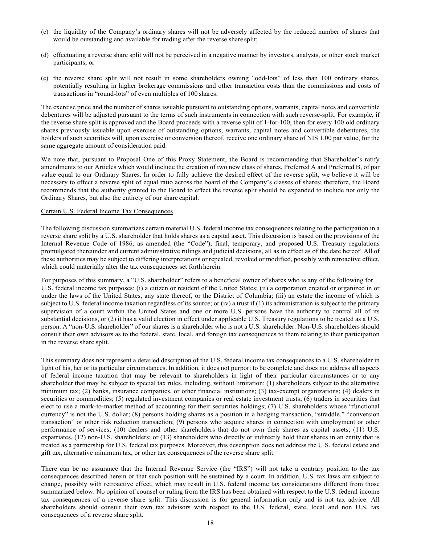- (c) the liquidity of the Company's ordinary shares will not be adversely affected by the reduced number of shares that would be outstanding and available for trading after the reverse share split;
- (d) effectuating a reverse share split will not be perceived in a negative manner by investors, analysts, or other stock market participants; or
- (e) the reverse share split will not result in some shareholders owning "odd-lots" of less than 100 ordinary shares, potentially resulting in higher brokerage commissions and other transaction costs than the commissions and costs of transactions in "round-lots" of even multiples of 100 shares.

The exercise price and the number of shares issuable pursuant to outstanding options, warrants, capital notes and convertible debentures will be adjusted pursuant to the terms of such instruments in connection with such reverse-split. For example, if the reverse share split is approved and the Board proceeds with a reverse split of 1-for-100, then for every 100 old ordinary shares previously issuable upon exercise of outstanding options, warrants, capital notes and convertible debentures, the holders of such securities will, upon exercise or conversion thereof, receive one ordinary share of NIS 1.00 par value, for the same aggregate amount of consideration paid.

We note that, pursuant to Proposal One of this Proxy Statement, the Board is recommending that Shareholder's ratify amendments to our Articles which would include the creation of two new class of shares, Preferred A and Preferred B, of par value equal to our Ordinary Shares. In order to fully achieve the desired effect of the reverse split, we believe it will be necessary to effect a reverse split of equal ratio across the board of the Company's classes of shares; therefore, the Board recommends that the authority granted to the Board to effect the reverse split should be expanded to include not only the Ordinary Shares, but also the entirety of our share capital.

#### Certain U.S. Federal Income Tax Consequences

The following discussion summarizes certain material U.S. federal income tax consequences relating to the participation in a reverse share split by a U.S. shareholder that holds shares as a capital asset. This discussion is based on the provisions of the Internal Revenue Code of 1986, as amended (the "Code"), final, temporary, and proposed U.S. Treasury regulations promulgated thereunder and current administrative rulings and judicial decisions, all as in effect as of the date hereof. All of these authorities may be subject to differing interpretations or repealed, revoked or modified, possibly with retroactive effect, which could materially alter the tax consequences set forth herein.

For purposes of this summary, a "U.S. shareholder" refers to a beneficial owner of shares who is any of the following for U.S. federal income tax purposes: (i) a citizen or resident of the United States; (ii) a corporation created or organized in or under the laws of the United States, any state thereof, or the District of Columbia; (iii) an estate the income of which is subject to U.S. federal income taxation regardless of its source; or (iv) a trust if (1) its administration is subject to the primary supervision of a court within the United States and one or more U.S. persons have the authority to control all of its substantial decisions, or (2) it has a valid election in effect under applicable U.S. Treasury regulations to be treated as a U.S. person. A "non-U.S. shareholder" of our shares is a shareholder who is not a U.S. shareholder. Non-U.S. shareholders should consult their own advisors as to the federal, state, local, and foreign tax consequences to them relating to their participation in the reverse share split.

This summary does not represent a detailed description of the U.S. federal income tax consequences to a U.S. shareholder in light of his, her or its particular circumstances. In addition, it does not purport to be complete and does not address all aspects of federal income taxation that may be relevant to shareholders in light of their particular circumstances or to any shareholder that may be subject to special tax rules, including, without limitation: (1) shareholders subject to the alternative minimum tax; (2) banks, insurance companies, or other financial institutions; (3) tax-exempt organizations; (4) dealers in securities or commodities; (5) regulated investment companies or real estate investment trusts; (6) traders in securities that elect to use a mark-to-market method of accounting for their securities holdings; (7) U.S. shareholders whose "functional currency" is not the U.S. dollar; (8) persons holding shares as a position in a hedging transaction, "straddle," "conversion transaction" or other risk reduction transaction; (9) persons who acquire shares in connection with employment or other performance of services; (10) dealers and other shareholders that do not own their shares as capital assets; (11) U.S. expatriates, (12) non-U.S. shareholders; or (13) shareholders who directly or indirectly hold their shares in an entity that is treated as a partnership for U.S. federal tax purposes. Moreover, this description does not address the U.S. federal estate and gift tax, alternative minimum tax, or other tax consequences of the reverse share split.

There can be no assurance that the Internal Revenue Service (the "IRS") will not take a contrary position to the tax consequences described herein or that such position will be sustained by a court. In addition, U.S. tax laws are subject to change, possibly with retroactive effect, which may result in U.S. federal income tax considerations different from those summarized below. No opinion of counsel or ruling from the IRS has been obtained with respect to the U.S. federal income tax consequences of a reverse share split. This discussion is for general information only and is not tax advice. All shareholders should consult their own tax advisors with respect to the U.S. federal, state, local and non U.S. tax consequences of a reverse share split.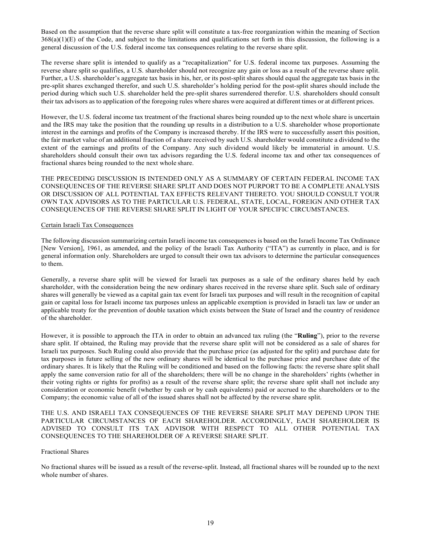Based on the assumption that the reverse share split will constitute a tax-free reorganization within the meaning of Section  $368(a)(1)(E)$  of the Code, and subject to the limitations and qualifications set forth in this discussion, the following is a general discussion of the U.S. federal income tax consequences relating to the reverse share split.

The reverse share split is intended to qualify as a "recapitalization" for U.S. federal income tax purposes. Assuming the reverse share split so qualifies, a U.S. shareholder should not recognize any gain or loss as a result of the reverse share split. Further, a U.S. shareholder's aggregate tax basis in his, her, or its post-split shares should equal the aggregate tax basis in the pre-split shares exchanged therefor, and such U.S. shareholder's holding period for the post-split shares should include the period during which such U.S. shareholder held the pre-split shares surrendered therefor. U.S. shareholders should consult their tax advisors as to application of the foregoing rules where shares were acquired at different times or at different prices.

However, the U.S. federal income tax treatment of the fractional shares being rounded up to the next whole share is uncertain and the IRS may take the position that the rounding up results in a distribution to a U.S. shareholder whose proportionate interest in the earnings and profits of the Company is increased thereby. If the IRS were to successfully assert this position, the fair market value of an additional fraction of a share received by such U.S. shareholder would constitute a dividend to the extent of the earnings and profits of the Company. Any such dividend would likely be immaterial in amount. U.S. shareholders should consult their own tax advisors regarding the U.S. federal income tax and other tax consequences of fractional shares being rounded to the next whole share.

THE PRECEDING DISCUSSION IS INTENDED ONLY AS A SUMMARY OF CERTAIN FEDERAL INCOME TAX CONSEQUENCES OF THE REVERSE SHARE SPLIT AND DOES NOT PURPORT TO BE A COMPLETE ANALYSIS OR DISCUSSION OF ALL POTENTIAL TAX EFFECTS RELEVANT THERETO. YOU SHOULD CONSULT YOUR OWN TAX ADVISORS AS TO THE PARTICULAR U.S. FEDERAL, STATE, LOCAL, FOREIGN AND OTHER TAX CONSEQUENCES OF THE REVERSE SHARE SPLIT IN LIGHT OF YOUR SPECIFIC CIRCUMSTANCES.

### Certain Israeli Tax Consequences

The following discussion summarizing certain Israeli income tax consequences is based on the Israeli Income Tax Ordinance [New Version], 1961, as amended, and the policy of the Israeli Tax Authority ("ITA") as currently in place, and is for general information only. Shareholders are urged to consult their own tax advisors to determine the particular consequences to them.

Generally, a reverse share split will be viewed for Israeli tax purposes as a sale of the ordinary shares held by each shareholder, with the consideration being the new ordinary shares received in the reverse share split. Such sale of ordinary shares will generally be viewed as a capital gain tax event for Israeli tax purposes and will result in the recognition of capital gain or capital loss for Israeli income tax purposes unless an applicable exemption is provided in Israeli tax law or under an applicable treaty for the prevention of double taxation which exists between the State of Israel and the country of residence of the shareholder.

However, it is possible to approach the ITA in order to obtain an advanced tax ruling (the "**Ruling**"), prior to the reverse share split. If obtained, the Ruling may provide that the reverse share split will not be considered as a sale of shares for Israeli tax purposes. Such Ruling could also provide that the purchase price (as adjusted for the split) and purchase date for tax purposes in future selling of the new ordinary shares will be identical to the purchase price and purchase date of the ordinary shares. It is likely that the Ruling will be conditioned and based on the following facts: the reverse share split shall apply the same conversion ratio for all of the shareholders; there will be no change in the shareholders' rights (whether in their voting rights or rights for profits) as a result of the reverse share split; the reverse share split shall not include any consideration or economic benefit (whether by cash or by cash equivalents) paid or accrued to the shareholders or to the Company; the economic value of all of the issued shares shall not be affected by the reverse share split.

THE U.S. AND ISRAELI TAX CONSEQUENCES OF THE REVERSE SHARE SPLIT MAY DEPEND UPON THE PARTICULAR CIRCUMSTANCES OF EACH SHAREHOLDER. ACCORDINGLY, EACH SHAREHOLDER IS ADVISED TO CONSULT ITS TAX ADVISOR WITH RESPECT TO ALL OTHER POTENTIAL TAX CONSEQUENCES TO THE SHAREHOLDER OF A REVERSE SHARE SPLIT.

### Fractional Shares

No fractional shares will be issued as a result of the reverse-split. Instead, all fractional shares will be rounded up to the next whole number of shares.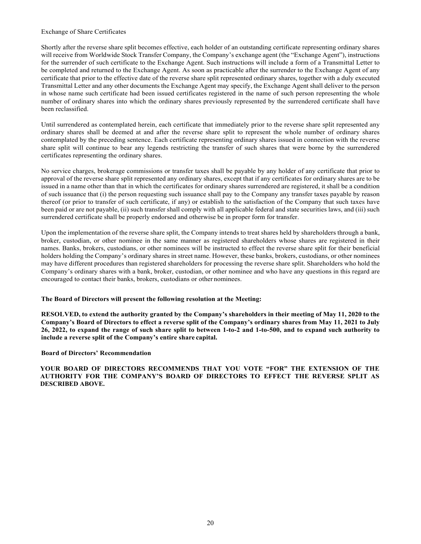#### Exchange of Share Certificates

Shortly after the reverse share split becomes effective, each holder of an outstanding certificate representing ordinary shares will receive from Worldwide Stock Transfer Company, the Company's exchange agent (the "Exchange Agent"), instructions for the surrender of such certificate to the Exchange Agent. Such instructions will include a form of a Transmittal Letter to be completed and returned to the Exchange Agent. As soon as practicable after the surrender to the Exchange Agent of any certificate that prior to the effective date of the reverse share split represented ordinary shares, together with a duly executed Transmittal Letter and any other documents the Exchange Agent may specify, the Exchange Agent shall deliver to the person in whose name such certificate had been issued certificates registered in the name of such person representing the whole number of ordinary shares into which the ordinary shares previously represented by the surrendered certificate shall have been reclassified.

Until surrendered as contemplated herein, each certificate that immediately prior to the reverse share split represented any ordinary shares shall be deemed at and after the reverse share split to represent the whole number of ordinary shares contemplated by the preceding sentence. Each certificate representing ordinary shares issued in connection with the reverse share split will continue to bear any legends restricting the transfer of such shares that were borne by the surrendered certificates representing the ordinary shares.

No service charges, brokerage commissions or transfer taxes shall be payable by any holder of any certificate that prior to approval of the reverse share split represented any ordinary shares, except that if any certificates for ordinary shares are to be issued in a name other than that in which the certificates for ordinary shares surrendered are registered, it shall be a condition of such issuance that (i) the person requesting such issuance shall pay to the Company any transfer taxes payable by reason thereof (or prior to transfer of such certificate, if any) or establish to the satisfaction of the Company that such taxes have been paid or are not payable, (ii) such transfer shall comply with all applicable federal and state securities laws, and (iii) such surrendered certificate shall be properly endorsed and otherwise be in proper form for transfer.

Upon the implementation of the reverse share split, the Company intends to treat shares held by shareholders through a bank, broker, custodian, or other nominee in the same manner as registered shareholders whose shares are registered in their names. Banks, brokers, custodians, or other nominees will be instructed to effect the reverse share split for their beneficial holders holding the Company's ordinary shares in street name. However, these banks, brokers, custodians, or other nominees may have different procedures than registered shareholders for processing the reverse share split. Shareholders who hold the Company's ordinary shares with a bank, broker, custodian, or other nominee and who have any questions in this regard are encouraged to contact their banks, brokers, custodians or other nominees.

### **The Board of Directors will present the following resolution at the Meeting:**

**RESOLVED, to extend the authority granted by the Company's shareholders in their meeting of May 11, 2020 to the Company's Board of Directors to effect a reverse split of the Company's ordinary shares from May 11, 2021 to July 26, 2022, to expand the range of such share split to between 1-to-2 and 1-to-500, and to expand such authority to include a reverse split of the Company's entire share capital.**

### **Board of Directors' Recommendation**

**YOUR BOARD OF DIRECTORS RECOMMENDS THAT YOU VOTE "FOR" THE EXTENSION OF THE AUTHORITY FOR THE COMPANY'S BOARD OF DIRECTORS TO EFFECT THE REVERSE SPLIT AS DESCRIBED ABOVE.**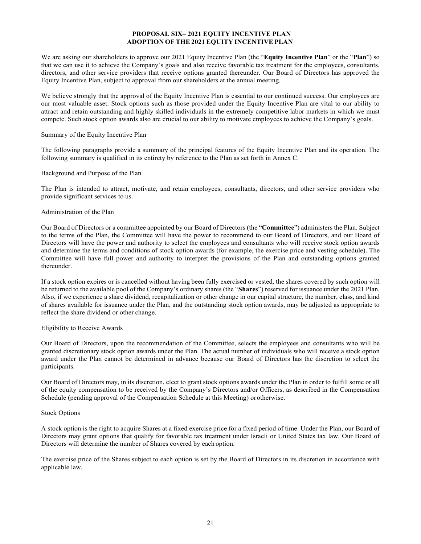## **PROPOSAL SIX– 2021 EQUITY INCENTIVE PLAN ADOPTION OF THE 2021 EQUITY INCENTIVE PLAN**

We are asking our shareholders to approve our 2021 Equity Incentive Plan (the "**Equity Incentive Plan**" or the "**Plan**") so that we can use it to achieve the Company's goals and also receive favorable tax treatment for the employees, consultants, directors, and other service providers that receive options granted thereunder. Our Board of Directors has approved the Equity Incentive Plan, subject to approval from our shareholders at the annual meeting.

We believe strongly that the approval of the Equity Incentive Plan is essential to our continued success. Our employees are our most valuable asset. Stock options such as those provided under the Equity Incentive Plan are vital to our ability to attract and retain outstanding and highly skilled individuals in the extremely competitive labor markets in which we must compete. Such stock option awards also are crucial to our ability to motivate employees to achieve the Company's goals.

## Summary of the Equity Incentive Plan

The following paragraphs provide a summary of the principal features of the Equity Incentive Plan and its operation. The following summary is qualified in its entirety by reference to the Plan as set forth in Annex C.

## Background and Purpose of the Plan

The Plan is intended to attract, motivate, and retain employees, consultants, directors, and other service providers who provide significant services to us.

## Administration of the Plan

Our Board of Directors or a committee appointed by our Board of Directors (the "**Committee**") administers the Plan. Subject to the terms of the Plan, the Committee will have the power to recommend to our Board of Directors, and our Board of Directors will have the power and authority to select the employees and consultants who will receive stock option awards and determine the terms and conditions of stock option awards (for example, the exercise price and vesting schedule). The Committee will have full power and authority to interpret the provisions of the Plan and outstanding options granted thereunder.

If a stock option expires or is cancelled without having been fully exercised or vested, the shares covered by such option will be returned to the available pool of the Company's ordinary shares (the "**Shares**") reserved for issuance under the 2021 Plan. Also, if we experience a share dividend, recapitalization or other change in our capital structure, the number, class, and kind of shares available for issuance under the Plan, and the outstanding stock option awards, may be adjusted as appropriate to reflect the share dividend or other change.

### Eligibility to Receive Awards

Our Board of Directors, upon the recommendation of the Committee, selects the employees and consultants who will be granted discretionary stock option awards under the Plan. The actual number of individuals who will receive a stock option award under the Plan cannot be determined in advance because our Board of Directors has the discretion to select the participants.

Our Board of Directors may, in its discretion, elect to grant stock options awards under the Plan in order to fulfill some or all of the equity compensation to be received by the Company's Directors and/or Officers, as described in the Compensation Schedule (pending approval of the Compensation Schedule at this Meeting) or otherwise.

### Stock Options

A stock option is the right to acquire Shares at a fixed exercise price for a fixed period of time. Under the Plan, our Board of Directors may grant options that qualify for favorable tax treatment under Israeli or United States tax law. Our Board of Directors will determine the number of Shares covered by each option.

The exercise price of the Shares subject to each option is set by the Board of Directors in its discretion in accordance with applicable law.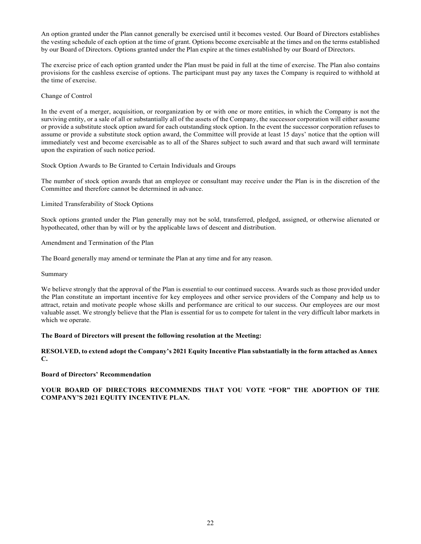An option granted under the Plan cannot generally be exercised until it becomes vested. Our Board of Directors establishes the vesting schedule of each option at the time of grant. Options become exercisable at the times and on the terms established by our Board of Directors. Options granted under the Plan expire at the times established by our Board of Directors.

The exercise price of each option granted under the Plan must be paid in full at the time of exercise. The Plan also contains provisions for the cashless exercise of options. The participant must pay any taxes the Company is required to withhold at the time of exercise.

### Change of Control

In the event of a merger, acquisition, or reorganization by or with one or more entities, in which the Company is not the surviving entity, or a sale of all or substantially all of the assets of the Company, the successor corporation will either assume or provide a substitute stock option award for each outstanding stock option. In the event the successor corporation refuses to assume or provide a substitute stock option award, the Committee will provide at least 15 days' notice that the option will immediately vest and become exercisable as to all of the Shares subject to such award and that such award will terminate upon the expiration of such notice period.

Stock Option Awards to Be Granted to Certain Individuals and Groups

The number of stock option awards that an employee or consultant may receive under the Plan is in the discretion of the Committee and therefore cannot be determined in advance.

Limited Transferability of Stock Options

Stock options granted under the Plan generally may not be sold, transferred, pledged, assigned, or otherwise alienated or hypothecated, other than by will or by the applicable laws of descent and distribution.

Amendment and Termination of the Plan

The Board generally may amend or terminate the Plan at any time and for any reason.

Summary

We believe strongly that the approval of the Plan is essential to our continued success. Awards such as those provided under the Plan constitute an important incentive for key employees and other service providers of the Company and help us to attract, retain and motivate people whose skills and performance are critical to our success. Our employees are our most valuable asset. We strongly believe that the Plan is essential for us to compete for talent in the very difficult labor markets in which we operate.

## **The Board of Directors will present the following resolution at the Meeting:**

## **RESOLVED, to extend adopt the Company's 2021 Equity Incentive Plan substantially in the form attached as Annex C.**

### **Board of Directors' Recommendation**

## **YOUR BOARD OF DIRECTORS RECOMMENDS THAT YOU VOTE "FOR" THE ADOPTION OF THE COMPANY'S 2021 EQUITY INCENTIVE PLAN.**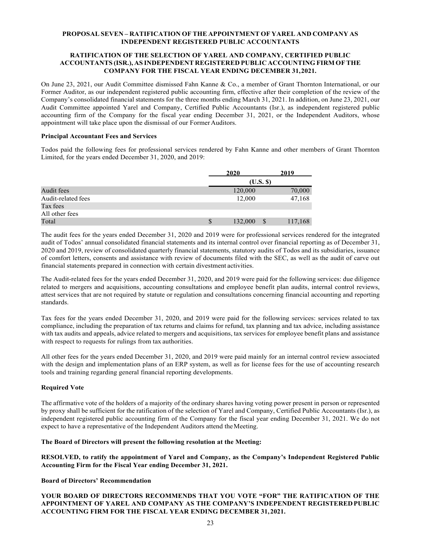## **PROPOSAL SEVEN – RATIFICATION OF THE APPOINTMENT OF YAREL AND COMPANY AS INDEPENDENT REGISTERED PUBLIC ACCOUNTANTS**

### **RATIFICATION OF THE SELECTION OF YAREL AND COMPANY, CERTIFIED PUBLIC ACCOUNTANTS (ISR.), AS INDEPENDENT REGISTERED PUBLIC ACCOUNTING FIRM OF THE COMPANY FOR THE FISCAL YEAR ENDING DECEMBER 31, 2021.**

On June 23, 2021, our Audit Committee dismissed Fahn Kanne & Co., a member of Grant Thornton International, or our Former Auditor, as our independent registered public accounting firm, effective after their completion of the review of the Company's consolidated financial statements for the three months ending March 31, 2021. In addition, on June 23, 2021, our Audit Committee appointed Yarel and Company, Certified Public Accountants (Isr.), as independent registered public accounting firm of the Company for the fiscal year ending December 31, 2021, or the Independent Auditors, whose appointment will take place upon the dismissal of our Former Auditors.

### **Principal Accountant Fees and Services**

Todos paid the following fees for professional services rendered by Fahn Kanne and other members of Grant Thornton Limited, for the years ended December 31, 2020, and 2019:

|                    |   | 2020      | 2019    |
|--------------------|---|-----------|---------|
|                    |   | (U.S. \$) |         |
| Audit fees         |   | 120,000   | 70,000  |
| Audit-related fees |   | 12,000    | 47,168  |
| Tax fees           |   |           |         |
| All other fees     |   |           |         |
| Total              | S | 132,000   | 117,168 |

The audit fees for the years ended December 31, 2020 and 2019 were for professional services rendered for the integrated audit of Todos' annual consolidated financial statements and its internal control over financial reporting as of December 31, 2020 and 2019, review of consolidated quarterly financial statements, statutory audits of Todos and its subsidiaries, issuance of comfort letters, consents and assistance with review of documents filed with the SEC, as well as the audit of carve out financial statements prepared in connection with certain divestment activities.

The Audit-related fees for the years ended December 31, 2020, and 2019 were paid for the following services: due diligence related to mergers and acquisitions, accounting consultations and employee benefit plan audits, internal control reviews, attest services that are not required by statute or regulation and consultations concerning financial accounting and reporting standards.

Tax fees for the years ended December 31, 2020, and 2019 were paid for the following services: services related to tax compliance, including the preparation of tax returns and claims for refund, tax planning and tax advice, including assistance with tax audits and appeals, advice related to mergers and acquisitions, tax services for employee benefit plans and assistance with respect to requests for rulings from tax authorities.

All other fees for the years ended December 31, 2020, and 2019 were paid mainly for an internal control review associated with the design and implementation plans of an ERP system, as well as for license fees for the use of accounting research tools and training regarding general financial reporting developments.

### **Required Vote**

The affirmative vote of the holders of a majority of the ordinary shares having voting power present in person or represented by proxy shall be sufficient for the ratification of the selection of Yarel and Company, Certified Public Accountants (Isr.), as independent registered public accounting firm of the Company for the fiscal year ending December 31, 2021. We do not expect to have a representative of the Independent Auditors attend the Meeting.

### **The Board of Directors will present the following resolution at the Meeting:**

**RESOLVED, to ratify the appointment of Yarel and Company, as the Company's Independent Registered Public Accounting Firm for the Fiscal Year ending December 31, 2021.**

### **Board of Directors' Recommendation**

**YOUR BOARD OF DIRECTORS RECOMMENDS THAT YOU VOTE "FOR" THE RATIFICATION OF THE APPOINTMENT OF YAREL AND COMPANY AS THE COMPANY'S INDEPENDENT REGISTERED PUBLIC ACCOUNTING FIRM FOR THE FISCAL YEAR ENDING DECEMBER 31, 2021.**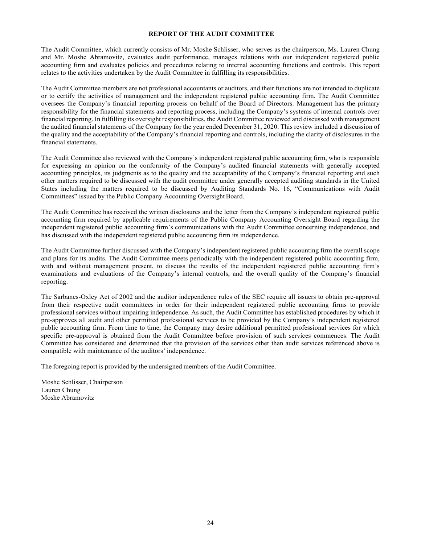## **REPORT OF THE AUDIT COMMITTEE**

The Audit Committee, which currently consists of Mr. Moshe Schlisser, who serves as the chairperson, Ms. Lauren Chung and Mr. Moshe Abramovitz, evaluates audit performance, manages relations with our independent registered public accounting firm and evaluates policies and procedures relating to internal accounting functions and controls. This report relates to the activities undertaken by the Audit Committee in fulfilling its responsibilities.

The Audit Committee members are not professional accountants or auditors, and their functions are not intended to duplicate or to certify the activities of management and the independent registered public accounting firm. The Audit Committee oversees the Company's financial reporting process on behalf of the Board of Directors. Management has the primary responsibility for the financial statements and reporting process, including the Company's systems of internal controls over financial reporting. In fulfilling its oversight responsibilities, the Audit Committee reviewed and discussed with management the audited financial statements of the Company for the year ended December 31, 2020. This review included a discussion of the quality and the acceptability of the Company's financial reporting and controls, including the clarity of disclosures in the financial statements.

The Audit Committee also reviewed with the Company's independent registered public accounting firm, who is responsible for expressing an opinion on the conformity of the Company's audited financial statements with generally accepted accounting principles, its judgments as to the quality and the acceptability of the Company's financial reporting and such other matters required to be discussed with the audit committee under generally accepted auditing standards in the United States including the matters required to be discussed by Auditing Standards No. 16, "Communications with Audit Committees" issued by the Public Company Accounting Oversight Board.

The Audit Committee has received the written disclosures and the letter from the Company's independent registered public accounting firm required by applicable requirements of the Public Company Accounting Oversight Board regarding the independent registered public accounting firm's communications with the Audit Committee concerning independence, and has discussed with the independent registered public accounting firm its independence.

The Audit Committee further discussed with the Company's independent registered public accounting firm the overall scope and plans for its audits. The Audit Committee meets periodically with the independent registered public accounting firm, with and without management present, to discuss the results of the independent registered public accounting firm's examinations and evaluations of the Company's internal controls, and the overall quality of the Company's financial reporting.

The Sarbanes-Oxley Act of 2002 and the auditor independence rules of the SEC require all issuers to obtain pre-approval from their respective audit committees in order for their independent registered public accounting firms to provide professional services without impairing independence. As such, the Audit Committee has established procedures by which it pre-approves all audit and other permitted professional services to be provided by the Company's independent registered public accounting firm. From time to time, the Company may desire additional permitted professional services for which specific pre-approval is obtained from the Audit Committee before provision of such services commences. The Audit Committee has considered and determined that the provision of the services other than audit services referenced above is compatible with maintenance of the auditors' independence.

The foregoing report is provided by the undersigned members of the Audit Committee.

Moshe Schlisser, Chairperson Lauren Chung Moshe Abramovitz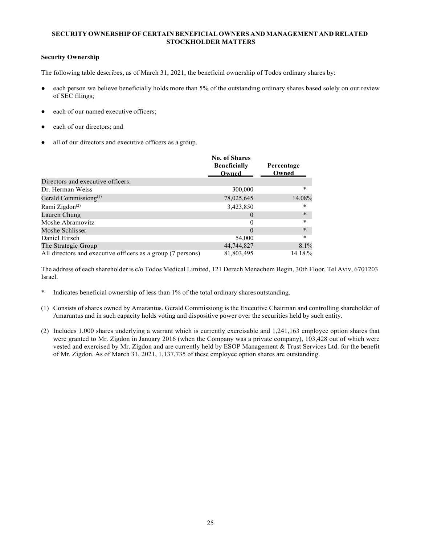# **SECURITY OWNERSHIP OF CERTAIN BENEFICIAL OWNERS AND MANAGEMENT AND RELATED STOCKHOLDER MATTERS**

# **Security Ownership**

The following table describes, as of March 31, 2021, the beneficial ownership of Todos ordinary shares by:

- each person we believe beneficially holds more than 5% of the outstanding ordinary shares based solely on our review of SEC filings;
- each of our named executive officers:
- each of our directors; and
- all of our directors and executive officers as a group.

|                                                             | <b>No. of Shares</b><br><b>Beneficially</b><br>Owned | Percentage<br>Owned |
|-------------------------------------------------------------|------------------------------------------------------|---------------------|
| Directors and executive officers:                           |                                                      |                     |
| Dr. Herman Weiss                                            | 300,000                                              | *                   |
| Gerald Commissiong $^{(1)}$                                 | 78,025,645                                           | 14.08%              |
| Rami Zigdon <sup>(2)</sup>                                  | 3,423,850                                            | *                   |
| Lauren Chung                                                | $\theta$                                             | $\ast$              |
| Moshe Abramovitz                                            |                                                      | *                   |
| Moshe Schlisser                                             | $\theta$                                             | $\ast$              |
| Daniel Hirsch                                               | 54,000                                               | $\ast$              |
| The Strategic Group                                         | 44,744,827                                           | 8.1%                |
| All directors and executive officers as a group (7 persons) | 81,803,495                                           | 14.18.%             |

The address of each shareholder is c/o Todos Medical Limited, 121 Derech Menachem Begin, 30th Floor, Tel Aviv, 6701203 Israel.

- \* Indicates beneficial ownership of less than 1% of the total ordinary shares outstanding.
- (1) Consists of shares owned by Amarantus. Gerald Commissiong is the Executive Chairman and controlling shareholder of Amarantus and in such capacity holds voting and dispositive power over the securities held by such entity.
- (2) Includes 1,000 shares underlying a warrant which is currently exercisable and 1,241,163 employee option shares that were granted to Mr. Zigdon in January 2016 (when the Company was a private company), 103,428 out of which were vested and exercised by Mr. Zigdon and are currently held by ESOP Management & Trust Services Ltd. for the benefit of Mr. Zigdon. As of March 31, 2021, 1,137,735 of these employee option shares are outstanding.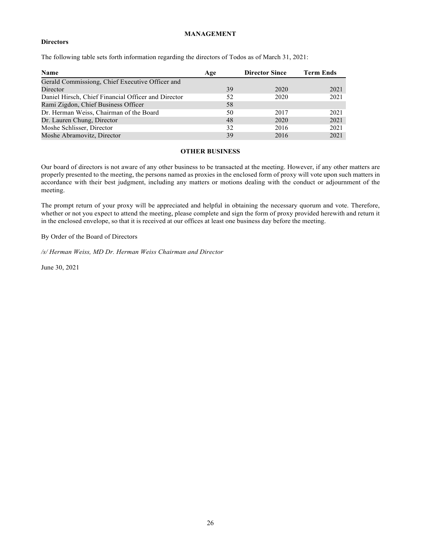# **MANAGEMENT**

## **Directors**

The following table sets forth information regarding the directors of Todos as of March 31, 2021:

| <b>Name</b>                                         | Age | <b>Director Since</b> | <b>Term Ends</b> |
|-----------------------------------------------------|-----|-----------------------|------------------|
| Gerald Commissiong, Chief Executive Officer and     |     |                       |                  |
| Director                                            | 39  | 2020                  | 2021             |
| Daniel Hirsch, Chief Financial Officer and Director | 52  | 2020                  | 2021             |
| Rami Zigdon, Chief Business Officer                 | 58  |                       |                  |
| Dr. Herman Weiss, Chairman of the Board             | 50  | 2017                  | 2021             |
| Dr. Lauren Chung, Director                          | 48  | 2020                  | 2021             |
| Moshe Schlisser, Director                           | 32  | 2016                  | 2021             |
| Moshe Abramovitz, Director                          | 39  | 2016                  | 2021             |

# **OTHER BUSINESS**

Our board of directors is not aware of any other business to be transacted at the meeting. However, if any other matters are properly presented to the meeting, the persons named as proxies in the enclosed form of proxy will vote upon such matters in accordance with their best judgment, including any matters or motions dealing with the conduct or adjournment of the meeting.

The prompt return of your proxy will be appreciated and helpful in obtaining the necessary quorum and vote. Therefore, whether or not you expect to attend the meeting, please complete and sign the form of proxy provided herewith and return it in the enclosed envelope, so that it is received at our offices at least one business day before the meeting.

By Order of the Board of Directors

*/s/ Herman Weiss, MD Dr. Herman Weiss Chairman and Director*

June 30, 2021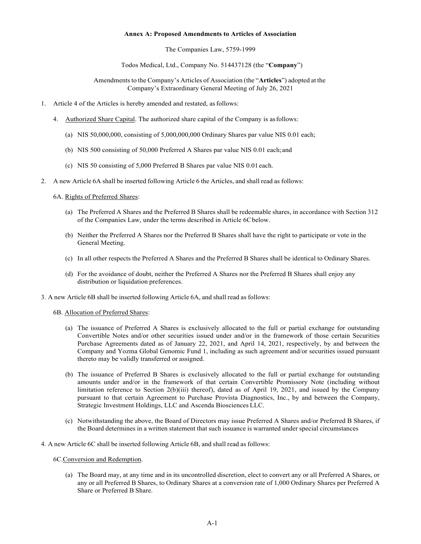#### **Annex A: Proposed Amendments to Articles of Association**

The Companies Law, 5759-1999

Todos Medical, Ltd., Company No. 514437128 (the "**Company**")

Amendments to the Company's Articles of Association (the "**Articles**") adopted at the Company's Extraordinary General Meeting of July 26, 2021

- 1. Article 4 of the Articles is hereby amended and restated, as follows:
	- 4. Authorized Share Capital. The authorized share capital of the Company is as follows:
		- (a) NIS 50,000,000, consisting of 5,000,000,000 Ordinary Shares par value NIS 0.01 each;
		- (b) NIS 500 consisting of 50,000 Preferred A Shares par value NIS 0.01 each; and
		- (c) NIS 50 consisting of 5,000 Preferred B Shares par value NIS 0.01 each.
- 2. A new Article 6A shall be inserted following Article 6 the Articles, and shall read as follows:
	- 6A. Rights of Preferred Shares:
		- (a) The Preferred A Shares and the Preferred B Shares shall be redeemable shares, in accordance with Section 312 of the Companies Law, under the terms described in Article 6C below.
		- (b) Neither the Preferred A Shares nor the Preferred B Shares shall have the right to participate or vote in the General Meeting.
		- (c) In all other respects the Preferred A Shares and the Preferred B Shares shall be identical to Ordinary Shares.
		- (d) For the avoidance of doubt, neither the Preferred A Shares nor the Preferred B Shares shall enjoy any distribution or liquidation preferences.
- 3. A new Article 6B shall be inserted following Article 6A, and shall read as follows:

### 6B. Allocation of Preferred Shares:

- (a) The issuance of Preferred A Shares is exclusively allocated to the full or partial exchange for outstanding Convertible Notes and/or other securities issued under and/or in the framework of those certain Securities Purchase Agreements dated as of January 22, 2021, and April 14, 2021, respectively, by and between the Company and Yozma Global Genomic Fund 1, including as such agreement and/or securities issued pursuant thereto may be validly transferred or assigned.
- (b) The issuance of Preferred B Shares is exclusively allocated to the full or partial exchange for outstanding amounts under and/or in the framework of that certain Convertible Promissory Note (including without limitation reference to Section 2(b)(iii) thereof), dated as of April 19, 2021, and issued by the Company pursuant to that certain Agreement to Purchase Provista Diagnostics, Inc., by and between the Company, Strategic Investment Holdings, LLC and Ascenda Biosciences LLC.
- (c) Notwithstanding the above, the Board of Directors may issue Preferred A Shares and/or Preferred B Shares, if the Board determines in a written statement that such issuance is warranted under special circumstances
- 4. A new Article 6C shall be inserted following Article 6B, and shall read as follows:
	- 6C.Conversion and Redemption.
		- (a) The Board may, at any time and in its uncontrolled discretion, elect to convert any or all Preferred A Shares, or any or all Preferred B Shares, to Ordinary Shares at a conversion rate of 1,000 Ordinary Shares per Preferred A Share or Preferred B Share.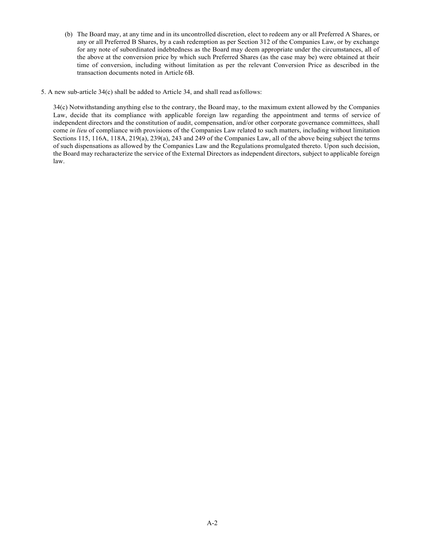- (b) The Board may, at any time and in its uncontrolled discretion, elect to redeem any or all Preferred A Shares, or any or all Preferred B Shares, by a cash redemption as per Section 312 of the Companies Law, or by exchange for any note of subordinated indebtedness as the Board may deem appropriate under the circumstances, all of the above at the conversion price by which such Preferred Shares (as the case may be) were obtained at their time of conversion, including without limitation as per the relevant Conversion Price as described in the transaction documents noted in Article 6B.
- 5. A new sub-article 34(c) shall be added to Article 34, and shall read as follows:

34(c) Notwithstanding anything else to the contrary, the Board may, to the maximum extent allowed by the Companies Law, decide that its compliance with applicable foreign law regarding the appointment and terms of service of independent directors and the constitution of audit, compensation, and/or other corporate governance committees, shall come *in lieu* of compliance with provisions of the Companies Law related to such matters, including without limitation Sections 115, 116A, 118A, 219(a), 239(a), 243 and 249 of the Companies Law, all of the above being subject the terms of such dispensations as allowed by the Companies Law and the Regulations promulgated thereto. Upon such decision, the Board may recharacterize the service of the External Directors as independent directors, subject to applicable foreign law.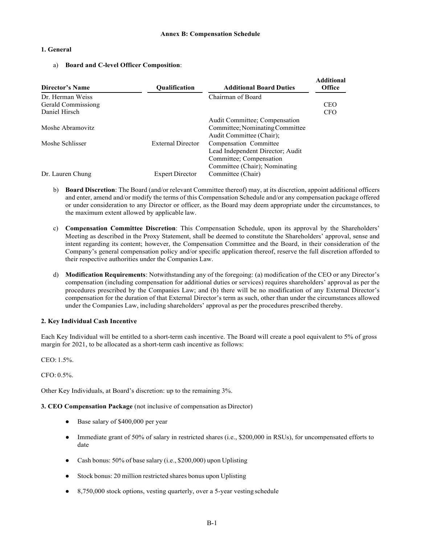**Additional** 

## **1. General**

a) **Board and C-level Officer Composition**:

| Additional<br><b>Office</b> |
|-----------------------------|
|                             |
| <b>CEO</b>                  |
| <b>CFO</b>                  |
|                             |
|                             |
|                             |
|                             |
|                             |
|                             |
|                             |
|                             |
|                             |

- b) **Board Discretion**: The Board (and/or relevant Committee thereof) may, at its discretion, appoint additional officers and enter, amend and/or modify the terms of this Compensation Schedule and/or any compensation package offered or under consideration to any Director or officer, as the Board may deem appropriate under the circumstances, to the maximum extent allowed by applicable law.
- c) **Compensation Committee Discretion**: This Compensation Schedule, upon its approval by the Shareholders' Meeting as described in the Proxy Statement, shall be deemed to constitute the Shareholders' approval, sense and intent regarding its content; however, the Compensation Committee and the Board, in their consideration of the Company's general compensation policy and/or specific application thereof, reserve the full discretion afforded to their respective authorities under the Companies Law.
- d) **Modification Requirements**: Notwithstanding any of the foregoing: (a) modification of the CEO or any Director's compensation (including compensation for additional duties or services) requires shareholders' approval as per the procedures prescribed by the Companies Law; and (b) there will be no modification of any External Director's compensation for the duration of that External Director's term as such, other than under the circumstances allowed under the Companies Law, including shareholders' approval as per the procedures prescribed thereby.

## **2. Key Individual Cash Incentive**

Each Key Individual will be entitled to a short-term cash incentive. The Board will create a pool equivalent to 5% of gross margin for 2021, to be allocated as a short-term cash incentive as follows:

CEO: 1.5%.

CFO: 0.5%.

Other Key Individuals, at Board's discretion: up to the remaining 3%.

**3. CEO Compensation Package** (not inclusive of compensation as Director)

- Base salary of \$400,000 per year
- Immediate grant of 50% of salary in restricted shares (i.e., \$200,000 in RSUs), for uncompensated efforts to date
- Cash bonus: 50% of base salary (i.e., \$200,000) upon Uplisting
- Stock bonus: 20 million restricted shares bonus upon Uplisting
- 8,750,000 stock options, vesting quarterly, over a 5-year vesting schedule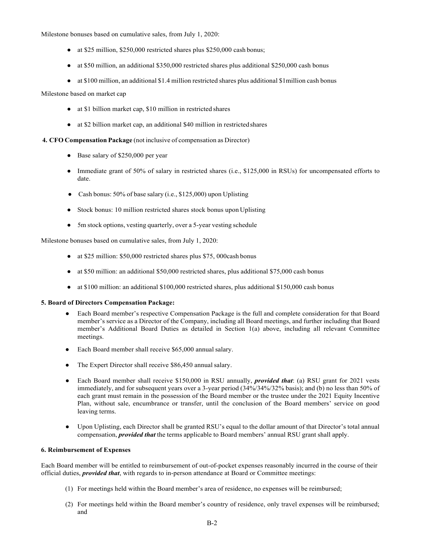Milestone bonuses based on cumulative sales, from July 1, 2020:

- at \$25 million, \$250,000 restricted shares plus \$250,000 cash bonus;
- at \$50 million, an additional \$350,000 restricted shares plus additional \$250,000 cash bonus
- at \$100 million, an additional \$1.4 million restricted shares plus additional \$1million cash bonus

Milestone based on market cap

- at \$1 billion market cap, \$10 million in restricted shares
- at \$2 billion market cap, an additional \$40 million in restricted shares

**4. CFO Compensation Package** (not inclusive of compensation as Director)

- Base salary of \$250,000 per year
- Immediate grant of 50% of salary in restricted shares (i.e., \$125,000 in RSUs) for uncompensated efforts to date.
- Cash bonus:  $50\%$  of base salary (i.e., \$125,000) upon Uplisting
- Stock bonus: 10 million restricted shares stock bonus upon Uplisting
- 5m stock options, vesting quarterly, over a 5-year vesting schedule

Milestone bonuses based on cumulative sales, from July 1, 2020:

- at \$25 million: \$50,000 restricted shares plus \$75, 000cash bonus
- at \$50 million: an additional \$50,000 restricted shares, plus additional \$75,000 cash bonus
- at \$100 million: an additional \$100,000 restricted shares, plus additional \$150,000 cash bonus

### **5. Board of Directors Compensation Package:**

- Each Board member's respective Compensation Package is the full and complete consideration for that Board member's service as a Director of the Company, including all Board meetings, and further including that Board member's Additional Board Duties as detailed in Section 1(a) above, including all relevant Committee meetings.
- Each Board member shall receive \$65,000 annual salary.
- The Expert Director shall receive \$86,450 annual salary.
- Each Board member shall receive \$150,000 in RSU annually, *provided that*: (a) RSU grant for 2021 vests immediately, and for subsequent years over a 3-year period (34%/34%/32% basis); and (b) no less than 50% of each grant must remain in the possession of the Board member or the trustee under the 2021 Equity Incentive Plan, without sale, encumbrance or transfer, until the conclusion of the Board members' service on good leaving terms.
- Upon Uplisting, each Director shall be granted RSU's equal to the dollar amount of that Director's total annual compensation, *provided that* the terms applicable to Board members' annual RSU grant shall apply.

### **6. Reimbursement of Expenses**

Each Board member will be entitled to reimbursement of out-of-pocket expenses reasonably incurred in the course of their official duties, *provided that*, with regards to in-person attendance at Board or Committee meetings:

- (1) For meetings held within the Board member's area of residence, no expenses will be reimbursed;
- (2) For meetings held within the Board member's country of residence, only travel expenses will be reimbursed; and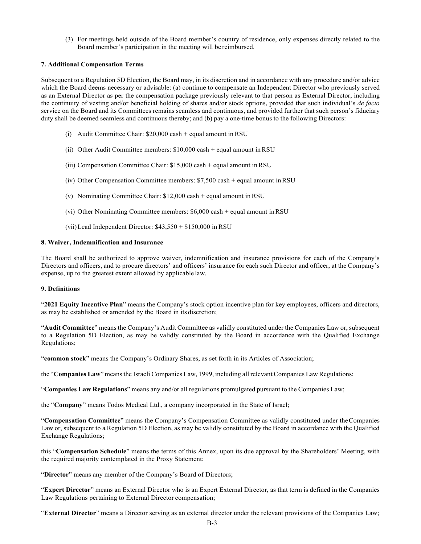(3) For meetings held outside of the Board member's country of residence, only expenses directly related to the Board member's participation in the meeting will be reimbursed.

## **7. Additional Compensation Terms**

Subsequent to a Regulation 5D Election, the Board may, in its discretion and in accordance with any procedure and/or advice which the Board deems necessary or advisable: (a) continue to compensate an Independent Director who previously served as an External Director as per the compensation package previously relevant to that person as External Director, including the continuity of vesting and/or beneficial holding of shares and/or stock options, provided that such individual's *de facto*  service on the Board and its Committees remains seamless and continuous, and provided further that such person's fiduciary duty shall be deemed seamless and continuous thereby; and (b) pay a one-time bonus to the following Directors:

- (i) Audit Committee Chair: \$20,000 cash + equal amount in RSU
- (ii) Other Audit Committee members: \$10,000 cash + equal amount in RSU
- (iii) Compensation Committee Chair: \$15,000 cash + equal amount in RSU
- (iv) Other Compensation Committee members: \$7,500 cash + equal amount in RSU
- (v) Nominating Committee Chair: \$12,000 cash + equal amount in RSU
- (vi) Other Nominating Committee members: \$6,000 cash + equal amount in RSU
- (vii)Lead Independent Director: \$43,550 + \$150,000 in RSU

## **8. Waiver, Indemnification and Insurance**

The Board shall be authorized to approve waiver, indemnification and insurance provisions for each of the Company's Directors and officers, and to procure directors' and officers' insurance for each such Director and officer, at the Company's expense, up to the greatest extent allowed by applicable law.

# **9. Definitions**

"**2021 Equity Incentive Plan**" means the Company's stock option incentive plan for key employees, officers and directors, as may be established or amended by the Board in its discretion;

"**Audit Committee**" means the Company's Audit Committee as validly constituted under the Companies Law or, subsequent to a Regulation 5D Election, as may be validly constituted by the Board in accordance with the Qualified Exchange Regulations;

"**common stock**" means the Company's Ordinary Shares, as set forth in its Articles of Association;

the "**Companies Law**" means the Israeli Companies Law, 1999, including all relevant Companies Law Regulations;

"**Companies Law Regulations**" means any and/or all regulations promulgated pursuant to the Companies Law;

the "**Company**" means Todos Medical Ltd., a company incorporated in the State of Israel;

"**Compensation Committee**" means the Company's Compensation Committee as validly constituted under the Companies Law or, subsequent to a Regulation 5D Election, as may be validly constituted by the Board in accordance with the Qualified Exchange Regulations;

this "**Compensation Schedule**" means the terms of this Annex, upon its due approval by the Shareholders' Meeting, with the required majority contemplated in the Proxy Statement;

"Director" means any member of the Company's Board of Directors;

"**Expert Director**" means an External Director who is an Expert External Director, as that term is defined in the Companies Law Regulations pertaining to External Director compensation;

"**External Director**" means a Director serving as an external director under the relevant provisions of the Companies Law;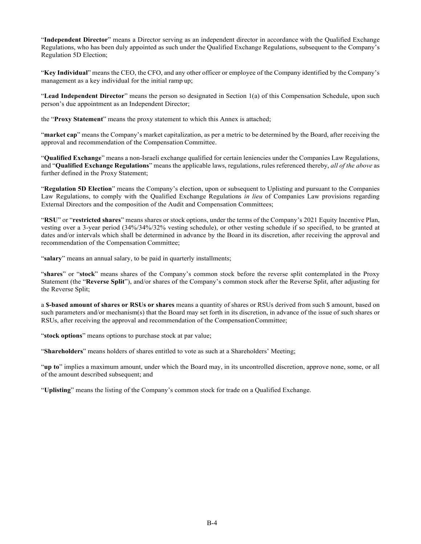"**Independent Director**" means a Director serving as an independent director in accordance with the Qualified Exchange Regulations, who has been duly appointed as such under the Qualified Exchange Regulations, subsequent to the Company's Regulation 5D Election;

"**Key Individual**" means the CEO, the CFO, and any other officer or employee of the Company identified by the Company's management as a key individual for the initial ramp up;

"**Lead Independent Director**" means the person so designated in Section 1(a) of this Compensation Schedule, upon such person's due appointment as an Independent Director;

the "**Proxy Statement**" means the proxy statement to which this Annex is attached;

"**market cap**" means the Company's market capitalization, as per a metric to be determined by the Board, after receiving the approval and recommendation of the Compensation Committee.

"**Qualified Exchange**" means a non-Israeli exchange qualified for certain leniencies under the Companies Law Regulations, and "**Qualified Exchange Regulations**" means the applicable laws, regulations, rules referenced thereby, *all of the above* as further defined in the Proxy Statement;

"**Regulation 5D Election**" means the Company's election, upon or subsequent to Uplisting and pursuant to the Companies Law Regulations, to comply with the Qualified Exchange Regulations *in lieu* of Companies Law provisions regarding External Directors and the composition of the Audit and Compensation Committees;

"**RSU**" or "**restricted shares**" means shares or stock options, under the terms of the Company's 2021 Equity Incentive Plan, vesting over a 3-year period (34%/34%/32% vesting schedule), or other vesting schedule if so specified, to be granted at dates and/or intervals which shall be determined in advance by the Board in its discretion, after receiving the approval and recommendation of the Compensation Committee;

"**salary**" means an annual salary, to be paid in quarterly installments;

"**shares**" or "**stock**" means shares of the Company's common stock before the reverse split contemplated in the Proxy Statement (the "**Reverse Split**"), and/or shares of the Company's common stock after the Reverse Split, after adjusting for the Reverse Split;

a **\$-based amount of shares or RSUs or shares** means a quantity of shares or RSUs derived from such \$ amount, based on such parameters and/or mechanism(s) that the Board may set forth in its discretion, in advance of the issue of such shares or RSUs, after receiving the approval and recommendation of the Compensation Committee;

"**stock options**" means options to purchase stock at par value;

"**Shareholders**" means holders of shares entitled to vote as such at a Shareholders' Meeting;

"**up to**" implies a maximum amount, under which the Board may, in its uncontrolled discretion, approve none, some, or all of the amount described subsequent; and

"**Uplisting**" means the listing of the Company's common stock for trade on a Qualified Exchange.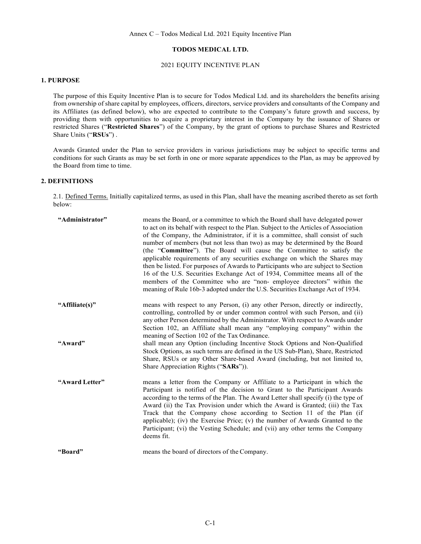## **TODOS MEDICAL LTD.**

# 2021 EQUITY INCENTIVE PLAN

## **1. PURPOSE**

The purpose of this Equity Incentive Plan is to secure for Todos Medical Ltd. and its shareholders the benefits arising from ownership of share capital by employees, officers, directors, service providers and consultants of the Company and its Affiliates (as defined below), who are expected to contribute to the Company's future growth and success, by providing them with opportunities to acquire a proprietary interest in the Company by the issuance of Shares or restricted Shares ("**Restricted Shares**") of the Company, by the grant of options to purchase Shares and Restricted Share Units ("**RSUs**") .

Awards Granted under the Plan to service providers in various jurisdictions may be subject to specific terms and conditions for such Grants as may be set forth in one or more separate appendices to the Plan, as may be approved by the Board from time to time.

# **2. DEFINITIONS**

2.1. Defined Terms. Initially capitalized terms, as used in this Plan, shall have the meaning ascribed thereto as set forth below:

| "Administrator" | means the Board, or a committee to which the Board shall have delegated power<br>to act on its behalf with respect to the Plan. Subject to the Articles of Association<br>of the Company, the Administrator, if it is a committee, shall consist of such<br>number of members (but not less than two) as may be determined by the Board<br>(the "Committee"). The Board will cause the Committee to satisfy the<br>applicable requirements of any securities exchange on which the Shares may<br>then be listed. For purposes of Awards to Participants who are subject to Section<br>16 of the U.S. Securities Exchange Act of 1934, Committee means all of the<br>members of the Committee who are "non-employee directors" within the<br>meaning of Rule 16b-3 adopted under the U.S. Securities Exchange Act of 1934. |
|-----------------|---------------------------------------------------------------------------------------------------------------------------------------------------------------------------------------------------------------------------------------------------------------------------------------------------------------------------------------------------------------------------------------------------------------------------------------------------------------------------------------------------------------------------------------------------------------------------------------------------------------------------------------------------------------------------------------------------------------------------------------------------------------------------------------------------------------------------|
| "Affiliate(s)"  | means with respect to any Person, (i) any other Person, directly or indirectly,<br>controlling, controlled by or under common control with such Person, and (ii)<br>any other Person determined by the Administrator. With respect to Awards under<br>Section 102, an Affiliate shall mean any "employing company" within the<br>meaning of Section 102 of the Tax Ordinance.                                                                                                                                                                                                                                                                                                                                                                                                                                             |
| "Award"         | shall mean any Option (including Incentive Stock Options and Non-Qualified<br>Stock Options, as such terms are defined in the US Sub-Plan), Share, Restricted<br>Share, RSUs or any Other Share-based Award (including, but not limited to,<br>Share Appreciation Rights ("SARs")).                                                                                                                                                                                                                                                                                                                                                                                                                                                                                                                                       |
| "Award Letter"  | means a letter from the Company or Affiliate to a Participant in which the<br>Participant is notified of the decision to Grant to the Participant Awards<br>according to the terms of the Plan. The Award Letter shall specify (i) the type of<br>Award (ii) the Tax Provision under which the Award is Granted; (iii) the Tax<br>Track that the Company chose according to Section 11 of the Plan (if<br>applicable); (iv) the Exercise Price; (v) the number of Awards Granted to the<br>Participant; (vi) the Vesting Schedule; and (vii) any other terms the Company<br>deems fit.                                                                                                                                                                                                                                    |
| "Board"         | means the board of directors of the Company.                                                                                                                                                                                                                                                                                                                                                                                                                                                                                                                                                                                                                                                                                                                                                                              |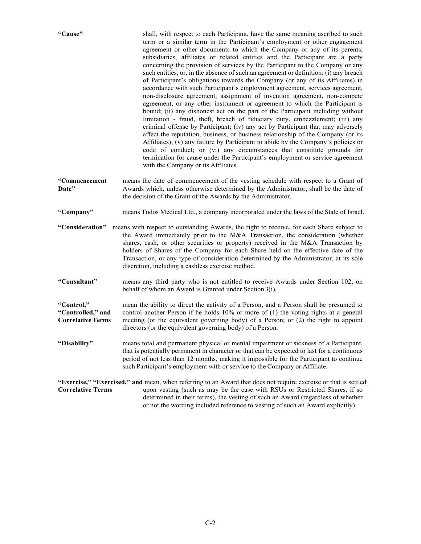| "Cause"                                                     | shall, with respect to each Participant, have the same meaning ascribed to such<br>term or a similar term in the Participant's employment or other engagement<br>agreement or other documents to which the Company or any of its parents,<br>subsidiaries, affiliates or related entities and the Participant are a party<br>concerning the provision of services by the Participant to the Company or any<br>such entities, or, in the absence of such an agreement or definition: (i) any breach<br>of Participant's obligations towards the Company (or any of its Affiliates) in<br>accordance with such Participant's employment agreement, services agreement,<br>non-disclosure agreement, assignment of invention agreement, non-compete<br>agreement, or any other instrument or agreement to which the Participant is<br>bound; (ii) any dishonest act on the part of the Participant including without<br>limitation - fraud, theft, breach of fiduciary duty, embezzlement; (iii) any<br>criminal offense by Participant; (iv) any act by Participant that may adversely<br>affect the reputation, business, or business relationship of the Company (or its<br>Affiliates); (v) any failure by Participant to abide by the Company's policies or<br>code of conduct; or (vi) any circumstances that constitute grounds for<br>termination for cause under the Participant's employment or service agreement<br>with the Company or its Affiliates. |  |  |
|-------------------------------------------------------------|-----------------------------------------------------------------------------------------------------------------------------------------------------------------------------------------------------------------------------------------------------------------------------------------------------------------------------------------------------------------------------------------------------------------------------------------------------------------------------------------------------------------------------------------------------------------------------------------------------------------------------------------------------------------------------------------------------------------------------------------------------------------------------------------------------------------------------------------------------------------------------------------------------------------------------------------------------------------------------------------------------------------------------------------------------------------------------------------------------------------------------------------------------------------------------------------------------------------------------------------------------------------------------------------------------------------------------------------------------------------------------------------------------------------------------------------------------------------|--|--|
| "Commencement<br>Date"                                      | means the date of commencement of the vesting schedule with respect to a Grant of<br>Awards which, unless otherwise determined by the Administrator, shall be the date of<br>the decision of the Grant of the Awards by the Administrator.                                                                                                                                                                                                                                                                                                                                                                                                                                                                                                                                                                                                                                                                                                                                                                                                                                                                                                                                                                                                                                                                                                                                                                                                                      |  |  |
| "Company"                                                   | means Todos Medical Ltd., a company incorporated under the laws of the State of Israel.                                                                                                                                                                                                                                                                                                                                                                                                                                                                                                                                                                                                                                                                                                                                                                                                                                                                                                                                                                                                                                                                                                                                                                                                                                                                                                                                                                         |  |  |
| "Consideration"                                             | means with respect to outstanding Awards, the right to receive, for each Share subject to<br>the Award immediately prior to the M&A Transaction, the consideration (whether<br>shares, cash, or other securities or property) received in the M&A Transaction by<br>holders of Shares of the Company for each Share held on the effective date of the<br>Transaction, or any type of consideration determined by the Administrator, at its sole<br>discretion, including a cashless exercise method.                                                                                                                                                                                                                                                                                                                                                                                                                                                                                                                                                                                                                                                                                                                                                                                                                                                                                                                                                            |  |  |
| "Consultant"                                                | means any third party who is not entitled to receive Awards under Section 102, on<br>behalf of whom an Award is Granted under Section 3(i).                                                                                                                                                                                                                                                                                                                                                                                                                                                                                                                                                                                                                                                                                                                                                                                                                                                                                                                                                                                                                                                                                                                                                                                                                                                                                                                     |  |  |
| "Control,"<br>"Controlled," and<br><b>Correlative Terms</b> | mean the ability to direct the activity of a Person, and a Person shall be presumed to<br>control another Person if he holds 10% or more of (1) the voting rights at a general<br>meeting (or the equivalent governing body) of a Person; or (2) the right to appoint<br>directors (or the equivalent governing body) of a Person.                                                                                                                                                                                                                                                                                                                                                                                                                                                                                                                                                                                                                                                                                                                                                                                                                                                                                                                                                                                                                                                                                                                              |  |  |
| "Disability"                                                | means total and permanent physical or mental impairment or sickness of a Participant,<br>that is potentially permanent in character or that can be expected to last for a continuous<br>period of not less than 12 months, making it impossible for the Participant to continue<br>such Participant's employment with or service to the Company or Affiliate.                                                                                                                                                                                                                                                                                                                                                                                                                                                                                                                                                                                                                                                                                                                                                                                                                                                                                                                                                                                                                                                                                                   |  |  |
| <b>Correlative Terms</b>                                    | "Exercise," "Exercised," and mean, when referring to an Award that does not require exercise or that is settled<br>upon vesting (such as may be the case with RSUs or Restricted Shares, if so<br>determined in their terms), the vesting of such an Award (regardless of whether<br>or not the wording included reference to vesting of such an Award explicitly).                                                                                                                                                                                                                                                                                                                                                                                                                                                                                                                                                                                                                                                                                                                                                                                                                                                                                                                                                                                                                                                                                             |  |  |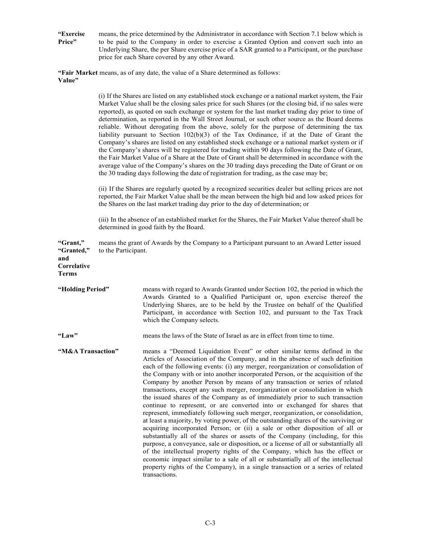**"Exercise Price"** means, the price determined by the Administrator in accordance with Section 7.1 below which is to be paid to the Company in order to exercise a Granted Option and convert such into an Underlying Share, the per Share exercise price of a SAR granted to a Participant, or the purchase price for each Share covered by any other Award.

**"Fair Market** means, as of any date, the value of a Share determined as follows: **Value"**

|                                                       |                     | (i) If the Shares are listed on any established stock exchange or a national market system, the Fair<br>Market Value shall be the closing sales price for such Shares (or the closing bid, if no sales were<br>reported), as quoted on such exchange or system for the last market trading day prior to time of<br>determination, as reported in the Wall Street Journal, or such other source as the Board deems<br>reliable. Without derogating from the above, solely for the purpose of determining the tax<br>liability pursuant to Section $102(b)(3)$ of the Tax Ordinance, if at the Date of Grant the<br>Company's shares are listed on any established stock exchange or a national market system or if<br>the Company's shares will be registered for trading within 90 days following the Date of Grant,<br>the Fair Market Value of a Share at the Date of Grant shall be determined in accordance with the<br>average value of the Company's shares on the 30 trading days preceding the Date of Grant or on<br>the 30 trading days following the date of registration for trading, as the case may be;                                                                                                                                                                                                                                                    |
|-------------------------------------------------------|---------------------|--------------------------------------------------------------------------------------------------------------------------------------------------------------------------------------------------------------------------------------------------------------------------------------------------------------------------------------------------------------------------------------------------------------------------------------------------------------------------------------------------------------------------------------------------------------------------------------------------------------------------------------------------------------------------------------------------------------------------------------------------------------------------------------------------------------------------------------------------------------------------------------------------------------------------------------------------------------------------------------------------------------------------------------------------------------------------------------------------------------------------------------------------------------------------------------------------------------------------------------------------------------------------------------------------------------------------------------------------------------------------|
|                                                       |                     | (ii) If the Shares are regularly quoted by a recognized securities dealer but selling prices are not<br>reported, the Fair Market Value shall be the mean between the high bid and low asked prices for<br>the Shares on the last market trading day prior to the day of determination; or                                                                                                                                                                                                                                                                                                                                                                                                                                                                                                                                                                                                                                                                                                                                                                                                                                                                                                                                                                                                                                                                               |
|                                                       |                     | (iii) In the absence of an established market for the Shares, the Fair Market Value thereof shall be<br>determined in good faith by the Board.                                                                                                                                                                                                                                                                                                                                                                                                                                                                                                                                                                                                                                                                                                                                                                                                                                                                                                                                                                                                                                                                                                                                                                                                                           |
| "Grant,"<br>"Granted,"<br>and<br>Correlative<br>Terms | to the Participant. | means the grant of Awards by the Company to a Participant pursuant to an Award Letter issued                                                                                                                                                                                                                                                                                                                                                                                                                                                                                                                                                                                                                                                                                                                                                                                                                                                                                                                                                                                                                                                                                                                                                                                                                                                                             |
| "Holding Period"                                      |                     | means with regard to Awards Granted under Section 102, the period in which the<br>Awards Granted to a Qualified Participant or, upon exercise thereof the<br>Underlying Shares, are to be held by the Trustee on behalf of the Qualified<br>Participant, in accordance with Section 102, and pursuant to the Tax Track<br>which the Company selects.                                                                                                                                                                                                                                                                                                                                                                                                                                                                                                                                                                                                                                                                                                                                                                                                                                                                                                                                                                                                                     |
| "Law"                                                 |                     | means the laws of the State of Israel as are in effect from time to time.                                                                                                                                                                                                                                                                                                                                                                                                                                                                                                                                                                                                                                                                                                                                                                                                                                                                                                                                                                                                                                                                                                                                                                                                                                                                                                |
| "M&A Transaction"                                     |                     | means a "Deemed Liquidation Event" or other similar terms defined in the<br>Articles of Association of the Company, and in the absence of such definition<br>each of the following events: (i) any merger, reorganization or consolidation of<br>the Company with or into another incorporated Person, or the acquisition of the<br>Company by another Person by means of any transaction or series of related<br>transactions, except any such merger, reorganization or consolidation in which<br>the issued shares of the Company as of immediately prior to such transaction<br>continue to represent, or are converted into or exchanged for shares that<br>represent, immediately following such merger, reorganization, or consolidation,<br>at least a majority, by voting power, of the outstanding shares of the surviving or<br>acquiring incorporated Person; or (ii) a sale or other disposition of all or<br>substantially all of the shares or assets of the Company (including, for this<br>purpose, a conveyance, sale or disposition, or a license of all or substantially all<br>of the intellectual property rights of the Company, which has the effect or<br>economic impact similar to a sale of all or substantially all of the intellectual<br>property rights of the Company), in a single transaction or a series of related<br>transactions. |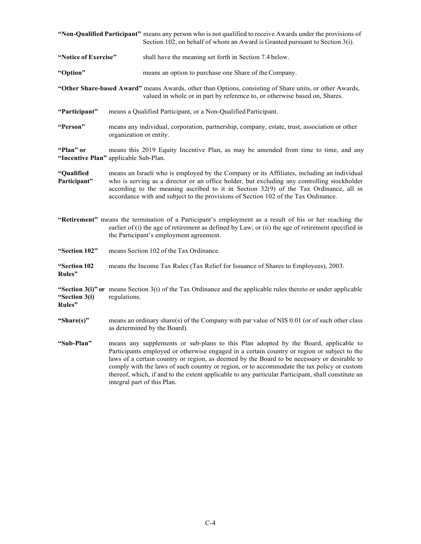|                                                    |                                                                                                                                                                                                                                                                                                                                                                            | "Non-Qualified Participant" means any person who is not qualified to receive Awards under the provisions of<br>Section 102, on behalf of whom an Award is Granted pursuant to Section 3(i).                                                                                                                                                                                                                                                                                                                          |  |  |
|----------------------------------------------------|----------------------------------------------------------------------------------------------------------------------------------------------------------------------------------------------------------------------------------------------------------------------------------------------------------------------------------------------------------------------------|----------------------------------------------------------------------------------------------------------------------------------------------------------------------------------------------------------------------------------------------------------------------------------------------------------------------------------------------------------------------------------------------------------------------------------------------------------------------------------------------------------------------|--|--|
| "Notice of Exercise"                               |                                                                                                                                                                                                                                                                                                                                                                            | shall have the meaning set forth in Section 7.4 below.                                                                                                                                                                                                                                                                                                                                                                                                                                                               |  |  |
| "Option"                                           |                                                                                                                                                                                                                                                                                                                                                                            | means an option to purchase one Share of the Company.                                                                                                                                                                                                                                                                                                                                                                                                                                                                |  |  |
|                                                    |                                                                                                                                                                                                                                                                                                                                                                            | "Other Share-based Award" means Awards, other than Options, consisting of Share units, or other Awards,<br>valued in whole or in part by reference to, or otherwise based on, Shares.                                                                                                                                                                                                                                                                                                                                |  |  |
| "Participant"                                      |                                                                                                                                                                                                                                                                                                                                                                            | means a Qualified Participant, or a Non-Qualified Participant.                                                                                                                                                                                                                                                                                                                                                                                                                                                       |  |  |
| "Person"                                           | means any individual, corporation, partnership, company, estate, trust, association or other<br>organization or entity.                                                                                                                                                                                                                                                    |                                                                                                                                                                                                                                                                                                                                                                                                                                                                                                                      |  |  |
| "Plan" or<br>"Incentive Plan" applicable Sub-Plan. |                                                                                                                                                                                                                                                                                                                                                                            | means this 2019 Equity Incentive Plan, as may be amended from time to time, and any                                                                                                                                                                                                                                                                                                                                                                                                                                  |  |  |
| "Qualified<br>Participant"                         | means an Israeli who is employed by the Company or its Affiliates, including an individual<br>who is serving as a director or an office holder, but excluding any controlling stockholder<br>according to the meaning ascribed to it in Section $32(9)$ of the Tax Ordinance, all in<br>accordance with and subject to the provisions of Section 102 of the Tax Ordinance. |                                                                                                                                                                                                                                                                                                                                                                                                                                                                                                                      |  |  |
|                                                    |                                                                                                                                                                                                                                                                                                                                                                            | "Retirement" means the termination of a Participant's employment as a result of his or her reaching the<br>earlier of (i) the age of retirement as defined by Law; or (ii) the age of retirement specified in<br>the Participant's employment agreement.                                                                                                                                                                                                                                                             |  |  |
| "Section 102"                                      |                                                                                                                                                                                                                                                                                                                                                                            | means Section 102 of the Tax Ordinance.                                                                                                                                                                                                                                                                                                                                                                                                                                                                              |  |  |
| "Section 102<br>Rules"                             |                                                                                                                                                                                                                                                                                                                                                                            | means the Income Tax Rules (Tax Relief for Issuance of Shares to Employees), 2003.                                                                                                                                                                                                                                                                                                                                                                                                                                   |  |  |
| "Section 3(i)<br>Rules"                            | "Section $3(i)$ " or means Section $3(i)$ of the Tax Ordinance and the applicable rules thereto or under applicable<br>regulations.                                                                                                                                                                                                                                        |                                                                                                                                                                                                                                                                                                                                                                                                                                                                                                                      |  |  |
| "Share(s)"                                         |                                                                                                                                                                                                                                                                                                                                                                            | means an ordinary share(s) of the Company with par value of NIS 0.01 (or of such other class<br>as determined by the Board).                                                                                                                                                                                                                                                                                                                                                                                         |  |  |
| "Sub-Plan"                                         |                                                                                                                                                                                                                                                                                                                                                                            | means any supplements or sub-plans to this Plan adopted by the Board, applicable to<br>Participants employed or otherwise engaged in a certain country or region or subject to the<br>laws of a certain country or region, as deemed by the Board to be necessary or desirable to<br>comply with the laws of such country or region, or to accommodate the tax policy or custom<br>thereof, which, if and to the extent applicable to any particular Participant, shall constitute an<br>integral part of this Plan. |  |  |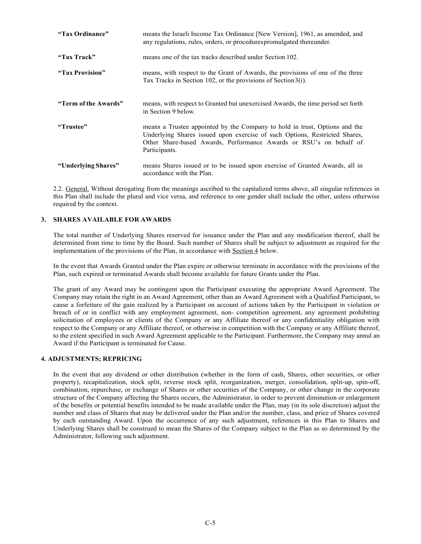| "Tax Ordinance"      | means the Israeli Income Tax Ordinance [New Version], 1961, as amended, and<br>any regulations, rules, orders, or procedures promulgated thereunder.                                                                                            |
|----------------------|-------------------------------------------------------------------------------------------------------------------------------------------------------------------------------------------------------------------------------------------------|
| "Tax Track"          | means one of the tax tracks described under Section 102.                                                                                                                                                                                        |
| "Tax Provision"      | means, with respect to the Grant of Awards, the provisions of one of the three<br>Tax Tracks in Section 102, or the provisions of Section 3(i).                                                                                                 |
| "Term of the Awards" | means, with respect to Granted but unexercised Awards, the time period set forth<br>in Section 9 below.                                                                                                                                         |
| "Trustee"            | means a Trustee appointed by the Company to hold in trust, Options and the<br>Underlying Shares issued upon exercise of such Options, Restricted Shares,<br>Other Share-based Awards, Performance Awards or RSU's on behalf of<br>Participants. |
| "Underlying Shares"  | means Shares issued or to be issued upon exercise of Granted Awards, all in<br>accordance with the Plan.                                                                                                                                        |

2.2. General. Without derogating from the meanings ascribed to the capitalized terms above, all singular references in this Plan shall include the plural and vice versa, and reference to one gender shall include the other, unless otherwise required by the context.

## **3. SHARES AVAILABLE FOR AWARDS**

The total number of Underlying Shares reserved for issuance under the Plan and any modification thereof, shall be determined from time to time by the Board. Such number of Shares shall be subject to adjustment as required for the implementation of the provisions of the Plan, in accordance with Section 4 below.

In the event that Awards Granted under the Plan expire or otherwise terminate in accordance with the provisions of the Plan, such expired or terminated Awards shall become available for future Grants under the Plan.

The grant of any Award may be contingent upon the Participant executing the appropriate Award Agreement. The Company may retain the right in an Award Agreement, other than an Award Agreement with a Qualified Participant, to cause a forfeiture of the gain realized by a Participant on account of actions taken by the Participant in violation or breach of or in conflict with any employment agreement, non- competition agreement, any agreement prohibiting solicitation of employees or clients of the Company or any Affiliate thereof or any confidentiality obligation with respect to the Company or any Affiliate thereof, or otherwise in competition with the Company or any Affiliate thereof, to the extent specified in such Award Agreement applicable to the Participant. Furthermore, the Company may annul an Award if the Participant is terminated for Cause.

## **4. ADJUSTMENTS; REPRICING**

In the event that any dividend or other distribution (whether in the form of cash, Shares, other securities, or other property), recapitalization, stock split, reverse stock split, reorganization, merger, consolidation, split-up, spin-off, combination, repurchase, or exchange of Shares or other securities of the Company, or other change in the corporate structure of the Company affecting the Shares occurs, the Administrator, in order to prevent diminution or enlargement of the benefits or potential benefits intended to be made available under the Plan, may (in its sole discretion) adjust the number and class of Shares that may be delivered under the Plan and/or the number, class, and price of Shares covered by each outstanding Award. Upon the occurrence of any such adjustment, references in this Plan to Shares and Underlying Shares shall be construed to mean the Shares of the Company subject to the Plan as so determined by the Administrator, following such adjustment.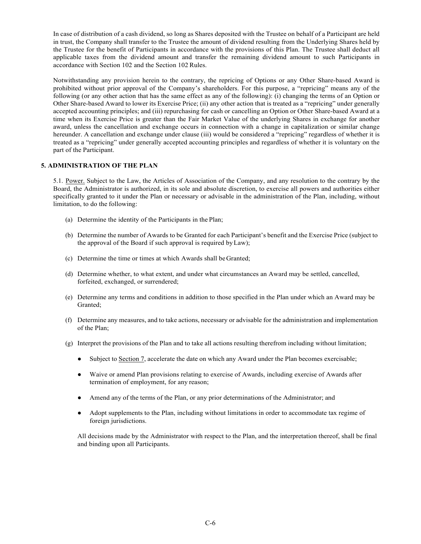In case of distribution of a cash dividend, so long as Shares deposited with the Trustee on behalf of a Participant are held in trust, the Company shall transfer to the Trustee the amount of dividend resulting from the Underlying Shares held by the Trustee for the benefit of Participants in accordance with the provisions of this Plan. The Trustee shall deduct all applicable taxes from the dividend amount and transfer the remaining dividend amount to such Participants in accordance with Section 102 and the Section 102 Rules.

Notwithstanding any provision herein to the contrary, the repricing of Options or any Other Share-based Award is prohibited without prior approval of the Company's shareholders. For this purpose, a "repricing" means any of the following (or any other action that has the same effect as any of the following): (i) changing the terms of an Option or Other Share-based Award to lower its Exercise Price; (ii) any other action that is treated as a "repricing" under generally accepted accounting principles; and (iii) repurchasing for cash or cancelling an Option or Other Share-based Award at a time when its Exercise Price is greater than the Fair Market Value of the underlying Shares in exchange for another award, unless the cancellation and exchange occurs in connection with a change in capitalization or similar change hereunder. A cancellation and exchange under clause (iii) would be considered a "repricing" regardless of whether it is treated as a "repricing" under generally accepted accounting principles and regardless of whether it is voluntary on the part of the Participant.

## **5. ADMINISTRATION OF THE PLAN**

5.1. Power. Subject to the Law, the Articles of Association of the Company, and any resolution to the contrary by the Board, the Administrator is authorized, in its sole and absolute discretion, to exercise all powers and authorities either specifically granted to it under the Plan or necessary or advisable in the administration of the Plan, including, without limitation, to do the following:

- (a) Determine the identity of the Participants in the Plan;
- (b) Determine the number of Awards to be Granted for each Participant's benefit and the Exercise Price (subject to the approval of the Board if such approval is required by Law);
- (c) Determine the time or times at which Awards shall be Granted;
- (d) Determine whether, to what extent, and under what circumstances an Award may be settled, cancelled, forfeited, exchanged, or surrendered;
- (e) Determine any terms and conditions in addition to those specified in the Plan under which an Award may be Granted;
- (f) Determine any measures, and to take actions, necessary or advisable for the administration and implementation of the Plan;
- (g) Interpret the provisions of the Plan and to take all actions resulting therefrom including without limitation;
	- Subject to Section 7, accelerate the date on which any Award under the Plan becomes exercisable;
	- Waive or amend Plan provisions relating to exercise of Awards, including exercise of Awards after termination of employment, for any reason;
	- Amend any of the terms of the Plan, or any prior determinations of the Administrator; and
	- Adopt supplements to the Plan, including without limitations in order to accommodate tax regime of foreign jurisdictions.

All decisions made by the Administrator with respect to the Plan, and the interpretation thereof, shall be final and binding upon all Participants.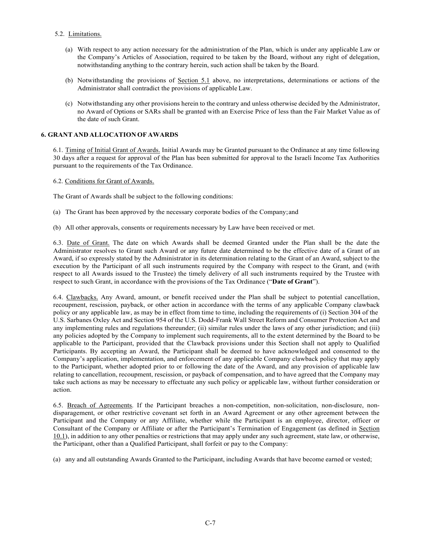## 5.2. Limitations.

- (a) With respect to any action necessary for the administration of the Plan, which is under any applicable Law or the Company's Articles of Association, required to be taken by the Board, without any right of delegation, notwithstanding anything to the contrary herein, such action shall be taken by the Board.
- (b) Notwithstanding the provisions of Section 5.1 above, no interpretations, determinations or actions of the Administrator shall contradict the provisions of applicable Law.
- (c) Notwithstanding any other provisions herein to the contrary and unless otherwise decided by the Administrator, no Award of Options or SARs shall be granted with an Exercise Price of less than the Fair Market Value as of the date of such Grant.

## **6. GRANT AND ALLOCATION OF AWARDS**

6.1. Timing of Initial Grant of Awards. Initial Awards may be Granted pursuant to the Ordinance at any time following 30 days after a request for approval of the Plan has been submitted for approval to the Israeli Income Tax Authorities pursuant to the requirements of the Tax Ordinance.

6.2. Conditions for Grant of Awards.

The Grant of Awards shall be subject to the following conditions:

- (a) The Grant has been approved by the necessary corporate bodies of the Company; and
- (b) All other approvals, consents or requirements necessary by Law have been received or met.

6.3. Date of Grant. The date on which Awards shall be deemed Granted under the Plan shall be the date the Administrator resolves to Grant such Award or any future date determined to be the effective date of a Grant of an Award, if so expressly stated by the Administrator in its determination relating to the Grant of an Award, subject to the execution by the Participant of all such instruments required by the Company with respect to the Grant, and (with respect to all Awards issued to the Trustee) the timely delivery of all such instruments required by the Trustee with respect to such Grant, in accordance with the provisions of the Tax Ordinance ("**Date of Grant**").

6.4. Clawbacks. Any Award, amount, or benefit received under the Plan shall be subject to potential cancellation, recoupment, rescission, payback, or other action in accordance with the terms of any applicable Company clawback policy or any applicable law, as may be in effect from time to time, including the requirements of (i) Section 304 of the U.S. Sarbanes Oxley Act and Section 954 of the U.S. Dodd-Frank Wall Street Reform and Consumer Protection Act and any implementing rules and regulations thereunder; (ii) similar rules under the laws of any other jurisdiction; and (iii) any policies adopted by the Company to implement such requirements, all to the extent determined by the Board to be applicable to the Participant, provided that the Clawback provisions under this Section shall not apply to Qualified Participants. By accepting an Award, the Participant shall be deemed to have acknowledged and consented to the Company's application, implementation, and enforcement of any applicable Company clawback policy that may apply to the Participant, whether adopted prior to or following the date of the Award, and any provision of applicable law relating to cancellation, recoupment, rescission, or payback of compensation, and to have agreed that the Company may take such actions as may be necessary to effectuate any such policy or applicable law, without further consideration or action.

6.5. Breach of Agreements. If the Participant breaches a non-competition, non-solicitation, non-disclosure, nondisparagement, or other restrictive covenant set forth in an Award Agreement or any other agreement between the Participant and the Company or any Affiliate, whether while the Participant is an employee, director, officer or Consultant of the Company or Affiliate or after the Participant's Termination of Engagement (as defined in Section 10.1), in addition to any other penalties or restrictions that may apply under any such agreement, state law, or otherwise, the Participant, other than a Qualified Participant, shall forfeit or pay to the Company:

(a) any and all outstanding Awards Granted to the Participant, including Awards that have become earned or vested;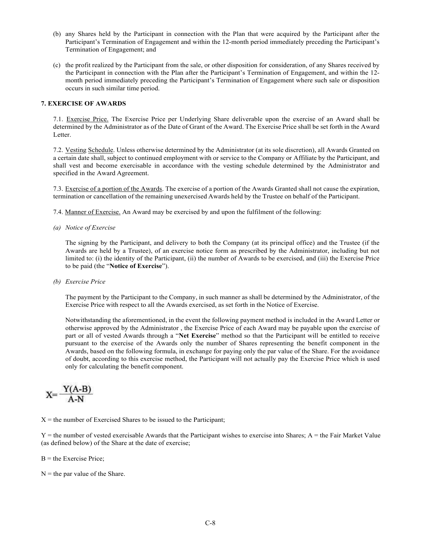- (b) any Shares held by the Participant in connection with the Plan that were acquired by the Participant after the Participant's Termination of Engagement and within the 12-month period immediately preceding the Participant's Termination of Engagement; and
- (c) the profit realized by the Participant from the sale, or other disposition for consideration, of any Shares received by the Participant in connection with the Plan after the Participant's Termination of Engagement, and within the 12 month period immediately preceding the Participant's Termination of Engagement where such sale or disposition occurs in such similar time period.

### **7. EXERCISE OF AWARDS**

7.1. Exercise Price. The Exercise Price per Underlying Share deliverable upon the exercise of an Award shall be determined by the Administrator as of the Date of Grant of the Award. The Exercise Price shall be set forth in the Award Letter.

7.2. Vesting Schedule. Unless otherwise determined by the Administrator (at its sole discretion), all Awards Granted on a certain date shall, subject to continued employment with or service to the Company or Affiliate by the Participant, and shall vest and become exercisable in accordance with the vesting schedule determined by the Administrator and specified in the Award Agreement.

7.3. Exercise of a portion of the Awards. The exercise of a portion of the Awards Granted shall not cause the expiration, termination or cancellation of the remaining unexercised Awards held by the Trustee on behalf of the Participant.

- 7.4. Manner of Exercise. An Award may be exercised by and upon the fulfilment of the following:
- *(a) Notice of Exercise*

The signing by the Participant, and delivery to both the Company (at its principal office) and the Trustee (if the Awards are held by a Trustee), of an exercise notice form as prescribed by the Administrator, including but not limited to: (i) the identity of the Participant, (ii) the number of Awards to be exercised, and (iii) the Exercise Price to be paid (the "**Notice of Exercise**").

*(b) Exercise Price*

The payment by the Participant to the Company, in such manner as shall be determined by the Administrator, of the Exercise Price with respect to all the Awards exercised, as set forth in the Notice of Exercise.

Notwithstanding the aforementioned, in the event the following payment method is included in the Award Letter or otherwise approved by the Administrator , the Exercise Price of each Award may be payable upon the exercise of part or all of vested Awards through a "**Net Exercise**" method so that the Participant will be entitled to receive pursuant to the exercise of the Awards only the number of Shares representing the benefit component in the Awards, based on the following formula, in exchange for paying only the par value of the Share. For the avoidance of doubt, according to this exercise method, the Participant will not actually pay the Exercise Price which is used only for calculating the benefit component.

$$
X = \frac{Y(A-B)}{A-N}
$$

 $X =$  the number of Exercised Shares to be issued to the Participant;

 $Y =$  the number of vested exercisable Awards that the Participant wishes to exercise into Shares; A  $=$  the Fair Market Value (as defined below) of the Share at the date of exercise;

 $B =$  the Exercise Price:

 $N =$  the par value of the Share.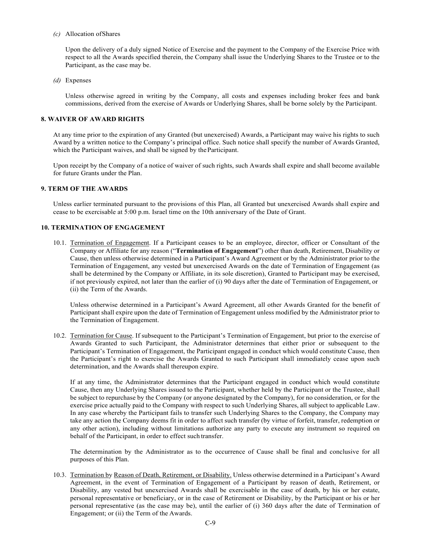*(c)* Allocation of Shares

Upon the delivery of a duly signed Notice of Exercise and the payment to the Company of the Exercise Price with respect to all the Awards specified therein, the Company shall issue the Underlying Shares to the Trustee or to the Participant, as the case may be.

*(d)* Expenses

Unless otherwise agreed in writing by the Company, all costs and expenses including broker fees and bank commissions, derived from the exercise of Awards or Underlying Shares, shall be borne solely by the Participant.

### **8. WAIVER OF AWARD RIGHTS**

At any time prior to the expiration of any Granted (but unexercised) Awards, a Participant may waive his rights to such Award by a written notice to the Company's principal office. Such notice shall specify the number of Awards Granted, which the Participant waives, and shall be signed by the Participant.

Upon receipt by the Company of a notice of waiver of such rights, such Awards shall expire and shall become available for future Grants under the Plan.

## **9. TERM OF THE AWARDS**

Unless earlier terminated pursuant to the provisions of this Plan, all Granted but unexercised Awards shall expire and cease to be exercisable at 5:00 p.m. Israel time on the 10th anniversary of the Date of Grant.

## **10. TERMINATION OF ENGAGEMENT**

10.1. Termination of Engagement. If a Participant ceases to be an employee, director, officer or Consultant of the Company or Affiliate for any reason ("**Termination of Engagement**") other than death, Retirement, Disability or Cause, then unless otherwise determined in a Participant's Award Agreement or by the Administrator prior to the Termination of Engagement, any vested but unexercised Awards on the date of Termination of Engagement (as shall be determined by the Company or Affiliate, in its sole discretion), Granted to Participant may be exercised, if not previously expired, not later than the earlier of (i) 90 days after the date of Termination of Engagement, or (ii) the Term of the Awards.

Unless otherwise determined in a Participant's Award Agreement, all other Awards Granted for the benefit of Participant shall expire upon the date of Termination of Engagement unless modified by the Administrator prior to the Termination of Engagement.

10.2. Termination for Cause. If subsequent to the Participant's Termination of Engagement, but prior to the exercise of Awards Granted to such Participant, the Administrator determines that either prior or subsequent to the Participant's Termination of Engagement, the Participant engaged in conduct which would constitute Cause, then the Participant's right to exercise the Awards Granted to such Participant shall immediately cease upon such determination, and the Awards shall thereupon expire.

If at any time, the Administrator determines that the Participant engaged in conduct which would constitute Cause, then any Underlying Shares issued to the Participant, whether held by the Participant or the Trustee, shall be subject to repurchase by the Company (or anyone designated by the Company), for no consideration, or for the exercise price actually paid to the Company with respect to such Underlying Shares, all subject to applicable Law. In any case whereby the Participant fails to transfer such Underlying Shares to the Company, the Company may take any action the Company deems fit in order to affect such transfer (by virtue of forfeit, transfer, redemption or any other action), including without limitations authorize any party to execute any instrument so required on behalf of the Participant, in order to effect such transfer.

The determination by the Administrator as to the occurrence of Cause shall be final and conclusive for all purposes of this Plan.

10.3. Termination by Reason of Death, Retirement, or Disability. Unless otherwise determined in a Participant's Award Agreement, in the event of Termination of Engagement of a Participant by reason of death, Retirement, or Disability, any vested but unexercised Awards shall be exercisable in the case of death, by his or her estate, personal representative or beneficiary, or in the case of Retirement or Disability, by the Participant or his or her personal representative (as the case may be), until the earlier of (i) 360 days after the date of Termination of Engagement; or (ii) the Term of the Awards.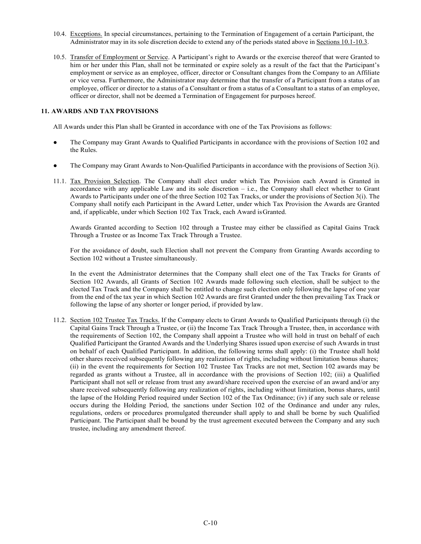- 10.4. Exceptions. In special circumstances, pertaining to the Termination of Engagement of a certain Participant, the Administrator may in its sole discretion decide to extend any of the periods stated above in Sections 10.1-10.3.
- 10.5. Transfer of Employment or Service. A Participant's right to Awards or the exercise thereof that were Granted to him or her under this Plan, shall not be terminated or expire solely as a result of the fact that the Participant's employment or service as an employee, officer, director or Consultant changes from the Company to an Affiliate or vice versa. Furthermore, the Administrator may determine that the transfer of a Participant from a status of an employee, officer or director to a status of a Consultant or from a status of a Consultant to a status of an employee, officer or director, shall not be deemed a Termination of Engagement for purposes hereof.

## **11. AWARDS AND TAX PROVISIONS**

All Awards under this Plan shall be Granted in accordance with one of the Tax Provisions as follows:

- The Company may Grant Awards to Qualified Participants in accordance with the provisions of Section 102 and the Rules.
- The Company may Grant Awards to Non-Qualified Participants in accordance with the provisions of Section 3(i).
- 11.1. Tax Provision Selection. The Company shall elect under which Tax Provision each Award is Granted in accordance with any applicable Law and its sole discretion – i.e., the Company shall elect whether to Grant Awards to Participants under one of the three Section 102 Tax Tracks, or under the provisions of Section 3(i). The Company shall notify each Participant in the Award Letter, under which Tax Provision the Awards are Granted and, if applicable, under which Section 102 Tax Track, each Award is Granted.

Awards Granted according to Section 102 through a Trustee may either be classified as Capital Gains Track Through a Trustee or as Income Tax Track Through a Trustee.

For the avoidance of doubt, such Election shall not prevent the Company from Granting Awards according to Section 102 without a Trustee simultaneously.

In the event the Administrator determines that the Company shall elect one of the Tax Tracks for Grants of Section 102 Awards, all Grants of Section 102 Awards made following such election, shall be subject to the elected Tax Track and the Company shall be entitled to change such election only following the lapse of one year from the end of the tax year in which Section 102 Awards are first Granted under the then prevailing Tax Track or following the lapse of any shorter or longer period, if provided by law.

11.2. Section 102 Trustee Tax Tracks. If the Company elects to Grant Awards to Qualified Participants through (i) the Capital Gains Track Through a Trustee, or (ii) the Income Tax Track Through a Trustee, then, in accordance with the requirements of Section 102, the Company shall appoint a Trustee who will hold in trust on behalf of each Qualified Participant the Granted Awards and the Underlying Shares issued upon exercise of such Awards in trust on behalf of each Qualified Participant. In addition, the following terms shall apply: (i) the Trustee shall hold other shares received subsequently following any realization of rights, including without limitation bonus shares; (ii) in the event the requirements for Section 102 Trustee Tax Tracks are not met, Section 102 awards may be regarded as grants without a Trustee, all in accordance with the provisions of Section 102; (iii) a Qualified Participant shall not sell or release from trust any award/share received upon the exercise of an award and/or any share received subsequently following any realization of rights, including without limitation, bonus shares, until the lapse of the Holding Period required under Section 102 of the Tax Ordinance; (iv) if any such sale or release occurs during the Holding Period, the sanctions under Section 102 of the Ordinance and under any rules, regulations, orders or procedures promulgated thereunder shall apply to and shall be borne by such Qualified Participant. The Participant shall be bound by the trust agreement executed between the Company and any such trustee, including any amendment thereof.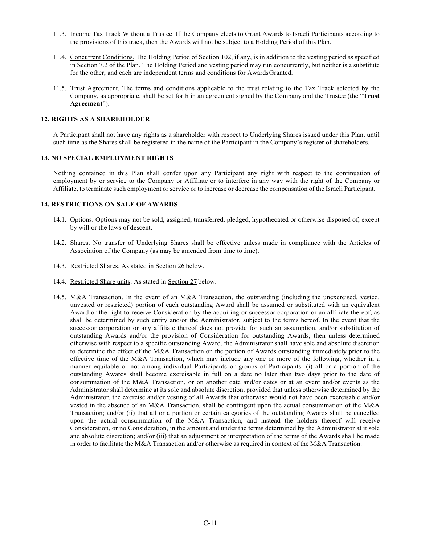- 11.3. Income Tax Track Without a Trustee. If the Company elects to Grant Awards to Israeli Participants according to the provisions of this track, then the Awards will not be subject to a Holding Period of this Plan.
- 11.4. Concurrent Conditions. The Holding Period of Section 102, if any, is in addition to the vesting period as specified in Section 7.2 of the Plan. The Holding Period and vesting period may run concurrently, but neither is a substitute for the other, and each are independent terms and conditions for Awards Granted.
- 11.5. Trust Agreement. The terms and conditions applicable to the trust relating to the Tax Track selected by the Company, as appropriate, shall be set forth in an agreement signed by the Company and the Trustee (the "**Trust Agreement**").

### **12. RIGHTS AS A SHAREHOLDER**

A Participant shall not have any rights as a shareholder with respect to Underlying Shares issued under this Plan, until such time as the Shares shall be registered in the name of the Participant in the Company's register of shareholders.

## **13. NO SPECIAL EMPLOYMENT RIGHTS**

Nothing contained in this Plan shall confer upon any Participant any right with respect to the continuation of employment by or service to the Company or Affiliate or to interfere in any way with the right of the Company or Affiliate, to terminate such employment or service or to increase or decrease the compensation of the Israeli Participant.

## **14. RESTRICTIONS ON SALE OF AWARDS**

- 14.1. Options. Options may not be sold, assigned, transferred, pledged, hypothecated or otherwise disposed of, except by will or the laws of descent.
- 14.2. Shares. No transfer of Underlying Shares shall be effective unless made in compliance with the Articles of Association of the Company (as may be amended from time to time).
- 14.3. Restricted Shares. As stated in Section 26 below.
- 14.4. Restricted Share units. As stated in Section 27 below.
- 14.5. M&A Transaction. In the event of an M&A Transaction, the outstanding (including the unexercised, vested, unvested or restricted) portion of each outstanding Award shall be assumed or substituted with an equivalent Award or the right to receive Consideration by the acquiring or successor corporation or an affiliate thereof, as shall be determined by such entity and/or the Administrator, subject to the terms hereof. In the event that the successor corporation or any affiliate thereof does not provide for such an assumption, and/or substitution of outstanding Awards and/or the provision of Consideration for outstanding Awards, then unless determined otherwise with respect to a specific outstanding Award, the Administrator shall have sole and absolute discretion to determine the effect of the M&A Transaction on the portion of Awards outstanding immediately prior to the effective time of the M&A Transaction, which may include any one or more of the following, whether in a manner equitable or not among individual Participants or groups of Participants: (i) all or a portion of the outstanding Awards shall become exercisable in full on a date no later than two days prior to the date of consummation of the M&A Transaction, or on another date and/or dates or at an event and/or events as the Administrator shall determine at its sole and absolute discretion, provided that unless otherwise determined by the Administrator, the exercise and/or vesting of all Awards that otherwise would not have been exercisable and/or vested in the absence of an M&A Transaction, shall be contingent upon the actual consummation of the M&A Transaction; and/or (ii) that all or a portion or certain categories of the outstanding Awards shall be cancelled upon the actual consummation of the M&A Transaction, and instead the holders thereof will receive Consideration, or no Consideration, in the amount and under the terms determined by the Administrator at it sole and absolute discretion; and/or (iii) that an adjustment or interpretation of the terms of the Awards shall be made in order to facilitate the M&A Transaction and/or otherwise as required in context of the M&A Transaction.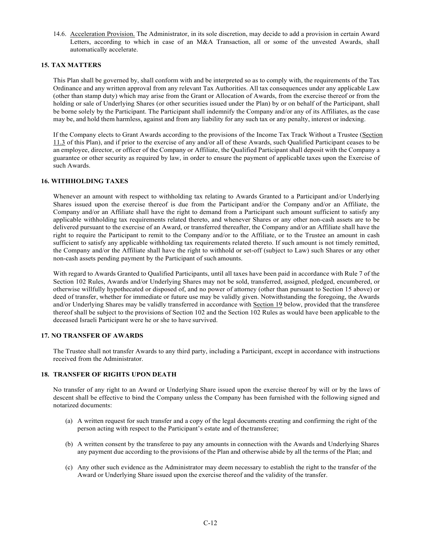14.6. Acceleration Provision. The Administrator, in its sole discretion, may decide to add a provision in certain Award Letters, according to which in case of an M&A Transaction, all or some of the unvested Awards, shall automatically accelerate.

## **15. TAX MATTERS**

This Plan shall be governed by, shall conform with and be interpreted so as to comply with, the requirements of the Tax Ordinance and any written approval from any relevant Tax Authorities. All tax consequences under any applicable Law (other than stamp duty) which may arise from the Grant or Allocation of Awards, from the exercise thereof or from the holding or sale of Underlying Shares (or other securities issued under the Plan) by or on behalf of the Participant, shall be borne solely by the Participant. The Participant shall indemnify the Company and/or any of its Affiliates, as the case may be, and hold them harmless, against and from any liability for any such tax or any penalty, interest or indexing.

If the Company elects to Grant Awards according to the provisions of the Income Tax Track Without a Trustee (Section 11.3 of this Plan), and if prior to the exercise of any and/or all of these Awards, such Qualified Participant ceases to be an employee, director, or officer of the Company or Affiliate, the Qualified Participant shall deposit with the Company a guarantee or other security as required by law, in order to ensure the payment of applicable taxes upon the Exercise of such Awards.

## **16. WITHHOLDING TAXES**

Whenever an amount with respect to withholding tax relating to Awards Granted to a Participant and/or Underlying Shares issued upon the exercise thereof is due from the Participant and/or the Company and/or an Affiliate, the Company and/or an Affiliate shall have the right to demand from a Participant such amount sufficient to satisfy any applicable withholding tax requirements related thereto, and whenever Shares or any other non-cash assets are to be delivered pursuant to the exercise of an Award, or transferred thereafter, the Company and/or an Affiliate shall have the right to require the Participant to remit to the Company and/or to the Affiliate, or to the Trustee an amount in cash sufficient to satisfy any applicable withholding tax requirements related thereto. If such amount is not timely remitted, the Company and/or the Affiliate shall have the right to withhold or set-off (subject to Law) such Shares or any other non-cash assets pending payment by the Participant of such amounts.

With regard to Awards Granted to Qualified Participants, until all taxes have been paid in accordance with Rule 7 of the Section 102 Rules, Awards and/or Underlying Shares may not be sold, transferred, assigned, pledged, encumbered, or otherwise willfully hypothecated or disposed of, and no power of attorney (other than pursuant to Section 15 above) or deed of transfer, whether for immediate or future use may be validly given. Notwithstanding the foregoing, the Awards and/or Underlying Shares may be validly transferred in accordance with Section 19 below, provided that the transferee thereof shall be subject to the provisions of Section 102 and the Section 102 Rules as would have been applicable to the deceased Israeli Participant were he or she to have survived.

## **17. NO TRANSFER OF AWARDS**

The Trustee shall not transfer Awards to any third party, including a Participant, except in accordance with instructions received from the Administrator.

## **18. TRANSFER OF RIGHTS UPON DEATH**

No transfer of any right to an Award or Underlying Share issued upon the exercise thereof by will or by the laws of descent shall be effective to bind the Company unless the Company has been furnished with the following signed and notarized documents:

- (a) A written request for such transfer and a copy of the legal documents creating and confirming the right of the person acting with respect to the Participant's estate and of the transferee;
- (b) A written consent by the transferee to pay any amounts in connection with the Awards and Underlying Shares any payment due according to the provisions of the Plan and otherwise abide by all the terms of the Plan; and
- (c) Any other such evidence as the Administrator may deem necessary to establish the right to the transfer of the Award or Underlying Share issued upon the exercise thereof and the validity of the transfer.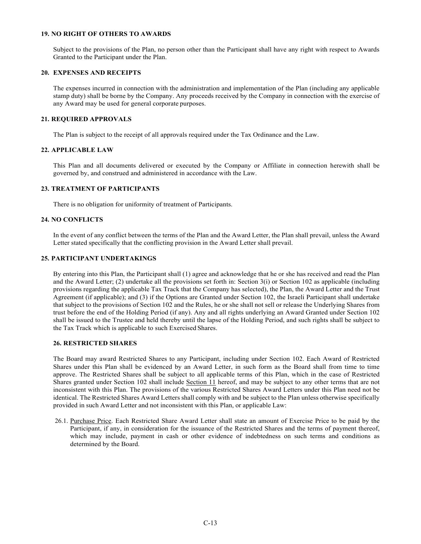# **19. NO RIGHT OF OTHERS TO AWARDS**

Subject to the provisions of the Plan, no person other than the Participant shall have any right with respect to Awards Granted to the Participant under the Plan.

## **20. EXPENSES AND RECEIPTS**

The expenses incurred in connection with the administration and implementation of the Plan (including any applicable stamp duty) shall be borne by the Company. Any proceeds received by the Company in connection with the exercise of any Award may be used for general corporate purposes.

### **21. REQUIRED APPROVALS**

The Plan is subject to the receipt of all approvals required under the Tax Ordinance and the Law.

### **22. APPLICABLE LAW**

This Plan and all documents delivered or executed by the Company or Affiliate in connection herewith shall be governed by, and construed and administered in accordance with the Law.

## **23. TREATMENT OF PARTICIPANTS**

There is no obligation for uniformity of treatment of Participants.

## **24. NO CONFLICTS**

In the event of any conflict between the terms of the Plan and the Award Letter, the Plan shall prevail, unless the Award Letter stated specifically that the conflicting provision in the Award Letter shall prevail.

## **25. PARTICIPANT UNDERTAKINGS**

By entering into this Plan, the Participant shall (1) agree and acknowledge that he or she has received and read the Plan and the Award Letter; (2) undertake all the provisions set forth in: Section 3(i) or Section 102 as applicable (including provisions regarding the applicable Tax Track that the Company has selected), the Plan, the Award Letter and the Trust Agreement (if applicable); and (3) if the Options are Granted under Section 102, the Israeli Participant shall undertake that subject to the provisions of Section 102 and the Rules, he or she shall not sell or release the Underlying Shares from trust before the end of the Holding Period (if any). Any and all rights underlying an Award Granted under Section 102 shall be issued to the Trustee and held thereby until the lapse of the Holding Period, and such rights shall be subject to the Tax Track which is applicable to such Exercised Shares.

## **26. RESTRICTED SHARES**

The Board may award Restricted Shares to any Participant, including under Section 102. Each Award of Restricted Shares under this Plan shall be evidenced by an Award Letter, in such form as the Board shall from time to time approve. The Restricted Shares shall be subject to all applicable terms of this Plan, which in the case of Restricted Shares granted under Section 102 shall include Section 11 hereof, and may be subject to any other terms that are not inconsistent with this Plan. The provisions of the various Restricted Shares Award Letters under this Plan need not be identical. The Restricted Shares Award Letters shall comply with and be subject to the Plan unless otherwise specifically provided in such Award Letter and not inconsistent with this Plan, or applicable Law:

26.1. Purchase Price. Each Restricted Share Award Letter shall state an amount of Exercise Price to be paid by the Participant, if any, in consideration for the issuance of the Restricted Shares and the terms of payment thereof, which may include, payment in cash or other evidence of indebtedness on such terms and conditions as determined by the Board.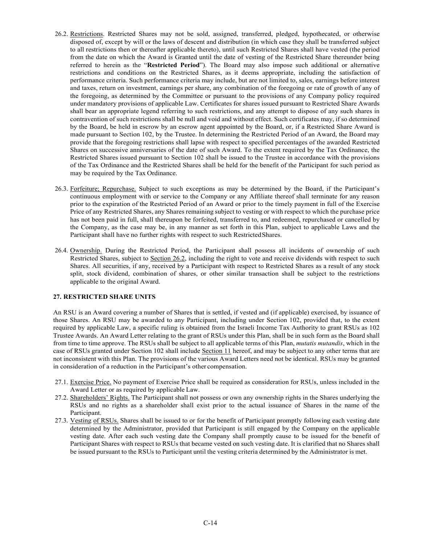- 26.2. Restrictions. Restricted Shares may not be sold, assigned, transferred, pledged, hypothecated, or otherwise disposed of, except by will or the laws of descent and distribution (in which case they shall be transferred subject to all restrictions then or thereafter applicable thereto), until such Restricted Shares shall have vested (the period from the date on which the Award is Granted until the date of vesting of the Restricted Share thereunder being referred to herein as the "**Restricted Period**"). The Board may also impose such additional or alternative restrictions and conditions on the Restricted Shares, as it deems appropriate, including the satisfaction of performance criteria. Such performance criteria may include, but are not limited to, sales, earnings before interest and taxes, return on investment, earnings per share, any combination of the foregoing or rate of growth of any of the foregoing, as determined by the Committee or pursuant to the provisions of any Company policy required under mandatory provisions of applicable Law. Certificates for shares issued pursuant to Restricted Share Awards shall bear an appropriate legend referring to such restrictions, and any attempt to dispose of any such shares in contravention of such restrictions shall be null and void and without effect. Such certificates may, if so determined by the Board, be held in escrow by an escrow agent appointed by the Board, or, if a Restricted Share Award is made pursuant to Section 102, by the Trustee. In determining the Restricted Period of an Award, the Board may provide that the foregoing restrictions shall lapse with respect to specified percentages of the awarded Restricted Shares on successive anniversaries of the date of such Award. To the extent required by the Tax Ordinance, the Restricted Shares issued pursuant to Section 102 shall be issued to the Trustee in accordance with the provisions of the Tax Ordinance and the Restricted Shares shall be held for the benefit of the Participant for such period as may be required by the Tax Ordinance.
- 26.3. Forfeiture; Repurchase. Subject to such exceptions as may be determined by the Board, if the Participant's continuous employment with or service to the Company or any Affiliate thereof shall terminate for any reason prior to the expiration of the Restricted Period of an Award or prior to the timely payment in full of the Exercise Price of any Restricted Shares, any Shares remaining subject to vesting or with respect to which the purchase price has not been paid in full, shall thereupon be forfeited, transferred to, and redeemed, repurchased or cancelled by the Company, as the case may be, in any manner as set forth in this Plan, subject to applicable Laws and the Participant shall have no further rights with respect to such Restricted Shares.
- 26.4. Ownership. During the Restricted Period, the Participant shall possess all incidents of ownership of such Restricted Shares, subject to Section 26.2, including the right to vote and receive dividends with respect to such Shares. All securities, if any, received by a Participant with respect to Restricted Shares as a result of any stock split, stock dividend, combination of shares, or other similar transaction shall be subject to the restrictions applicable to the original Award.

### **27. RESTRICTED SHARE UNITS**

An RSU is an Award covering a number of Shares that is settled, if vested and (if applicable) exercised, by issuance of those Shares. An RSU may be awarded to any Participant, including under Section 102, provided that, to the extent required by applicable Law, a specific ruling is obtained from the Israeli Income Tax Authority to grant RSUs as 102 Trustee Awards. An Award Letter relating to the grant of RSUs under this Plan, shall be in such form as the Board shall from time to time approve. The RSUs shall be subject to all applicable terms of this Plan, *mutatis mutandis*, which in the case of RSUs granted under Section 102 shall include Section 11 hereof, and may be subject to any other terms that are not inconsistent with this Plan. The provisions of the various Award Letters need not be identical. RSUs may be granted in consideration of a reduction in the Participant's other compensation.

- 27.1. Exercise Price. No payment of Exercise Price shall be required as consideration for RSUs, unless included in the Award Letter or as required by applicable Law.
- 27.2. Shareholders' Rights. The Participant shall not possess or own any ownership rights in the Shares underlying the RSUs and no rights as a shareholder shall exist prior to the actual issuance of Shares in the name of the Participant.
- 27.3. Vesting of RSUs. Shares shall be issued to or for the benefit of Participant promptly following each vesting date determined by the Administrator, provided that Participant is still engaged by the Company on the applicable vesting date. After each such vesting date the Company shall promptly cause to be issued for the benefit of Participant Shares with respect to RSUs that became vested on such vesting date. It is clarified that no Shares shall be issued pursuant to the RSUs to Participant until the vesting criteria determined by the Administrator is met.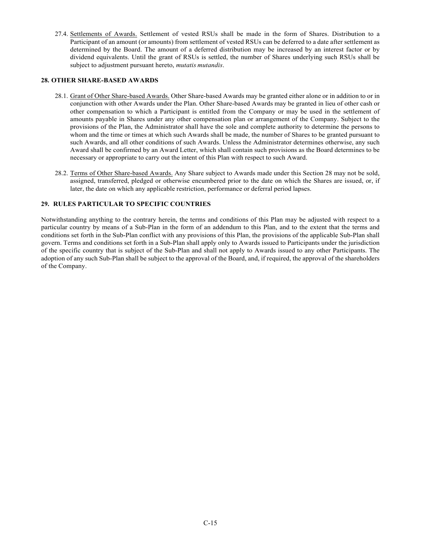27.4. Settlements of Awards. Settlement of vested RSUs shall be made in the form of Shares. Distribution to a Participant of an amount (or amounts) from settlement of vested RSUs can be deferred to a date after settlement as determined by the Board. The amount of a deferred distribution may be increased by an interest factor or by dividend equivalents. Until the grant of RSUs is settled, the number of Shares underlying such RSUs shall be subject to adjustment pursuant hereto, *mutatis mutandis*.

## **28. OTHER SHARE-BASED AWARDS**

- 28.1. Grant of Other Share-based Awards. Other Share-based Awards may be granted either alone or in addition to or in conjunction with other Awards under the Plan. Other Share-based Awards may be granted in lieu of other cash or other compensation to which a Participant is entitled from the Company or may be used in the settlement of amounts payable in Shares under any other compensation plan or arrangement of the Company. Subject to the provisions of the Plan, the Administrator shall have the sole and complete authority to determine the persons to whom and the time or times at which such Awards shall be made, the number of Shares to be granted pursuant to such Awards, and all other conditions of such Awards. Unless the Administrator determines otherwise, any such Award shall be confirmed by an Award Letter, which shall contain such provisions as the Board determines to be necessary or appropriate to carry out the intent of this Plan with respect to such Award.
- 28.2. Terms of Other Share-based Awards. Any Share subject to Awards made under this Section 28 may not be sold, assigned, transferred, pledged or otherwise encumbered prior to the date on which the Shares are issued, or, if later, the date on which any applicable restriction, performance or deferral period lapses.

# **29. RULES PARTICULAR TO SPECIFIC COUNTRIES**

Notwithstanding anything to the contrary herein, the terms and conditions of this Plan may be adjusted with respect to a particular country by means of a Sub-Plan in the form of an addendum to this Plan, and to the extent that the terms and conditions set forth in the Sub-Plan conflict with any provisions of this Plan, the provisions of the applicable Sub-Plan shall govern. Terms and conditions set forth in a Sub-Plan shall apply only to Awards issued to Participants under the jurisdiction of the specific country that is subject of the Sub-Plan and shall not apply to Awards issued to any other Participants. The adoption of any such Sub-Plan shall be subject to the approval of the Board, and, if required, the approval of the shareholders of the Company.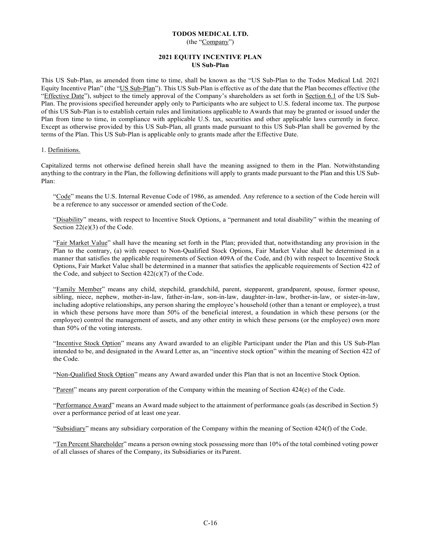## **TODOS MEDICAL LTD.** (the "Company")

### **2021 EQUITY INCENTIVE PLAN US Sub-Plan**

This US Sub-Plan, as amended from time to time, shall be known as the "US Sub-Plan to the Todos Medical Ltd. 2021 Equity Incentive Plan" (the "US Sub-Plan"). This US Sub-Plan is effective as of the date that the Plan becomes effective (the "Effective Date"), subject to the timely approval of the Company's shareholders as set forth in Section 6.1 of the US Sub-Plan. The provisions specified hereunder apply only to Participants who are subject to U.S. federal income tax. The purpose of this US Sub-Plan is to establish certain rules and limitations applicable to Awards that may be granted or issued under the Plan from time to time, in compliance with applicable U.S. tax, securities and other applicable laws currently in force. Except as otherwise provided by this US Sub-Plan, all grants made pursuant to this US Sub-Plan shall be governed by the terms of the Plan. This US Sub-Plan is applicable only to grants made after the Effective Date.

#### 1. Definitions.

Capitalized terms not otherwise defined herein shall have the meaning assigned to them in the Plan. Notwithstanding anything to the contrary in the Plan, the following definitions will apply to grants made pursuant to the Plan and this US Sub-Plan:

"Code" means the U.S. Internal Revenue Code of 1986, as amended. Any reference to a section of the Code herein will be a reference to any successor or amended section of the Code.

"Disability" means, with respect to Incentive Stock Options, a "permanent and total disability" within the meaning of Section 22(e)(3) of the Code.

"Fair Market Value" shall have the meaning set forth in the Plan; provided that, notwithstanding any provision in the Plan to the contrary, (a) with respect to Non-Qualified Stock Options, Fair Market Value shall be determined in a manner that satisfies the applicable requirements of Section 409A of the Code, and (b) with respect to Incentive Stock Options, Fair Market Value shall be determined in a manner that satisfies the applicable requirements of Section 422 of the Code, and subject to Section  $422(c)(7)$  of the Code.

"Family Member" means any child, stepchild, grandchild, parent, stepparent, grandparent, spouse, former spouse, sibling, niece, nephew, mother-in-law, father-in-law, son-in-law, daughter-in-law, brother-in-law, or sister-in-law, including adoptive relationships, any person sharing the employee's household (other than a tenant or employee), a trust in which these persons have more than 50% of the beneficial interest, a foundation in which these persons (or the employee) control the management of assets, and any other entity in which these persons (or the employee) own more than 50% of the voting interests.

"Incentive Stock Option" means any Award awarded to an eligible Participant under the Plan and this US Sub-Plan intended to be, and designated in the Award Letter as, an "incentive stock option" within the meaning of Section 422 of the Code.

"Non-Qualified Stock Option" means any Award awarded under this Plan that is not an Incentive Stock Option.

"Parent" means any parent corporation of the Company within the meaning of Section 424(e) of the Code.

"Performance Award" means an Award made subject to the attainment of performance goals (as described in Section 5) over a performance period of at least one year.

"Subsidiary" means any subsidiary corporation of the Company within the meaning of Section 424(f) of the Code.

"Ten Percent Shareholder" means a person owning stock possessing more than 10% of the total combined voting power of all classes of shares of the Company, its Subsidiaries or its Parent.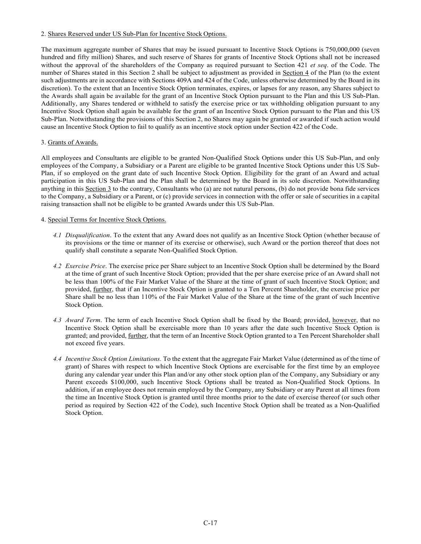## 2. Shares Reserved under US Sub-Plan for Incentive Stock Options.

The maximum aggregate number of Shares that may be issued pursuant to Incentive Stock Options is 750,000,000 (seven hundred and fifty million) Shares, and such reserve of Shares for grants of Incentive Stock Options shall not be increased without the approval of the shareholders of the Company as required pursuant to Section 421 *et seq*. of the Code. The number of Shares stated in this Section 2 shall be subject to adjustment as provided in Section 4 of the Plan (to the extent such adjustments are in accordance with Sections 409A and 424 of the Code, unless otherwise determined by the Board in its discretion). To the extent that an Incentive Stock Option terminates, expires, or lapses for any reason, any Shares subject to the Awards shall again be available for the grant of an Incentive Stock Option pursuant to the Plan and this US Sub-Plan. Additionally, any Shares tendered or withheld to satisfy the exercise price or tax withholding obligation pursuant to any Incentive Stock Option shall again be available for the grant of an Incentive Stock Option pursuant to the Plan and this US Sub-Plan. Notwithstanding the provisions of this Section 2, no Shares may again be granted or awarded if such action would cause an Incentive Stock Option to fail to qualify as an incentive stock option under Section 422 of the Code.

## 3. Grants of Awards.

All employees and Consultants are eligible to be granted Non-Qualified Stock Options under this US Sub-Plan, and only employees of the Company, a Subsidiary or a Parent are eligible to be granted Incentive Stock Options under this US Sub-Plan, if so employed on the grant date of such Incentive Stock Option. Eligibility for the grant of an Award and actual participation in this US Sub-Plan and the Plan shall be determined by the Board in its sole discretion. Notwithstanding anything in this Section 3 to the contrary, Consultants who (a) are not natural persons, (b) do not provide bona fide services to the Company, a Subsidiary or a Parent, or (c) provide services in connection with the offer or sale of securities in a capital raising transaction shall not be eligible to be granted Awards under this US Sub-Plan.

### 4. Special Terms for Incentive Stock Options.

- *4.1 Disqualification*. To the extent that any Award does not qualify as an Incentive Stock Option (whether because of its provisions or the time or manner of its exercise or otherwise), such Award or the portion thereof that does not qualify shall constitute a separate Non-Qualified Stock Option.
- *4.2 Exercise Price*. The exercise price per Share subject to an Incentive Stock Option shall be determined by the Board at the time of grant of such Incentive Stock Option; provided that the per share exercise price of an Award shall not be less than 100% of the Fair Market Value of the Share at the time of grant of such Incentive Stock Option; and provided, <u>further</u>, that if an Incentive Stock Option is granted to a Ten Percent Shareholder, the exercise price per Share shall be no less than 110% of the Fair Market Value of the Share at the time of the grant of such Incentive Stock Option.
- *4.3 Award Term*. The term of each Incentive Stock Option shall be fixed by the Board; provided, however, that no Incentive Stock Option shall be exercisable more than 10 years after the date such Incentive Stock Option is granted; and provided, further, that the term of an Incentive Stock Option granted to a Ten Percent Shareholder shall not exceed five years.
- *4.4 Incentive Stock Option Limitations.* To the extent that the aggregate Fair Market Value (determined as of the time of grant) of Shares with respect to which Incentive Stock Options are exercisable for the first time by an employee during any calendar year under this Plan and/or any other stock option plan of the Company, any Subsidiary or any Parent exceeds \$100,000, such Incentive Stock Options shall be treated as Non-Qualified Stock Options. In addition, if an employee does not remain employed by the Company, any Subsidiary or any Parent at all times from the time an Incentive Stock Option is granted until three months prior to the date of exercise thereof (or such other period as required by Section 422 of the Code), such Incentive Stock Option shall be treated as a Non-Qualified Stock Option.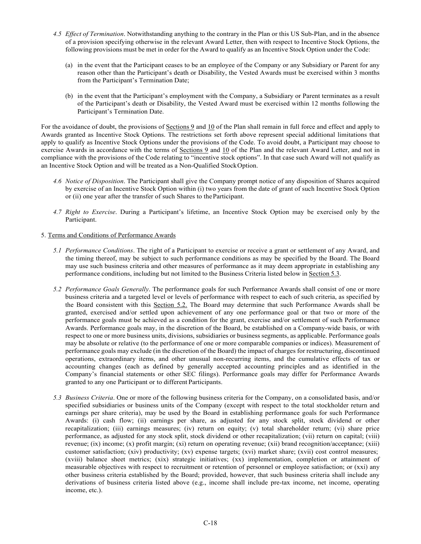- *4.5 Effect of Termination*. Notwithstanding anything to the contrary in the Plan or this US Sub-Plan, and in the absence of a provision specifying otherwise in the relevant Award Letter, then with respect to Incentive Stock Options, the following provisions must be met in order for the Award to qualify as an Incentive Stock Option under the Code:
	- (a) in the event that the Participant ceases to be an employee of the Company or any Subsidiary or Parent for any reason other than the Participant's death or Disability, the Vested Awards must be exercised within 3 months from the Participant's Termination Date;
	- (b) in the event that the Participant's employment with the Company, a Subsidiary or Parent terminates as a result of the Participant's death or Disability, the Vested Award must be exercised within 12 months following the Participant's Termination Date.

For the avoidance of doubt, the provisions of Sections 9 and 10 of the Plan shall remain in full force and effect and apply to Awards granted as Incentive Stock Options. The restrictions set forth above represent special additional limitations that apply to qualify as Incentive Stock Options under the provisions of the Code. To avoid doubt, a Participant may choose to exercise Awards in accordance with the terms of Sections 9 and 10 of the Plan and the relevant Award Letter, and not in compliance with the provisions of the Code relating to "incentive stock options". In that case such Award will not qualify as an Incentive Stock Option and will be treated as a Non-Qualified Stock Option.

- *4.6 Notice of Disposition*. The Participant shall give the Company prompt notice of any disposition of Shares acquired by exercise of an Incentive Stock Option within (i) two years from the date of grant of such Incentive Stock Option or (ii) one year after the transfer of such Shares to the Participant.
- *4.7 Right to Exercise*. During a Participant's lifetime, an Incentive Stock Option may be exercised only by the Participant.

### 5. Terms and Conditions of Performance Awards

- *5.1 Performance Conditions*. The right of a Participant to exercise or receive a grant or settlement of any Award, and the timing thereof, may be subject to such performance conditions as may be specified by the Board. The Board may use such business criteria and other measures of performance as it may deem appropriate in establishing any performance conditions, including but not limited to the Business Criteria listed below in Section 5.3.
- *5.2 Performance Goals Generally*. The performance goals for such Performance Awards shall consist of one or more business criteria and a targeted level or levels of performance with respect to each of such criteria, as specified by the Board consistent with this Section 5.2. The Board may determine that such Performance Awards shall be granted, exercised and/or settled upon achievement of any one performance goal or that two or more of the performance goals must be achieved as a condition for the grant, exercise and/or settlement of such Performance Awards. Performance goals may, in the discretion of the Board, be established on a Company-wide basis, or with respect to one or more business units, divisions, subsidiaries or business segments, as applicable. Performance goals may be absolute or relative (to the performance of one or more comparable companies or indices). Measurement of performance goals may exclude (in the discretion of the Board) the impact of charges for restructuring, discontinued operations, extraordinary items, and other unusual non-recurring items, and the cumulative effects of tax or accounting changes (each as defined by generally accepted accounting principles and as identified in the Company's financial statements or other SEC filings). Performance goals may differ for Performance Awards granted to any one Participant or to different Participants.
- *5.3 Business Criteria*. One or more of the following business criteria for the Company, on a consolidated basis, and/or specified subsidiaries or business units of the Company (except with respect to the total stockholder return and earnings per share criteria), may be used by the Board in establishing performance goals for such Performance Awards: (i) cash flow; (ii) earnings per share, as adjusted for any stock split, stock dividend or other recapitalization; (iii) earnings measures; (iv) return on equity; (v) total shareholder return; (vi) share price performance, as adjusted for any stock split, stock dividend or other recapitalization; (vii) return on capital; (viii) revenue; (ix) income; (x) profit margin; (xi) return on operating revenue; (xii) brand recognition/acceptance; (xiii) customer satisfaction; (xiv) productivity; (xv) expense targets; (xvi) market share; (xvii) cost control measures; (xviii) balance sheet metrics; (xix) strategic initiatives; (xx) implementation, completion or attainment of measurable objectives with respect to recruitment or retention of personnel or employee satisfaction; or (xxi) any other business criteria established by the Board; provided, however, that such business criteria shall include any derivations of business criteria listed above (e.g., income shall include pre-tax income, net income, operating income, etc.).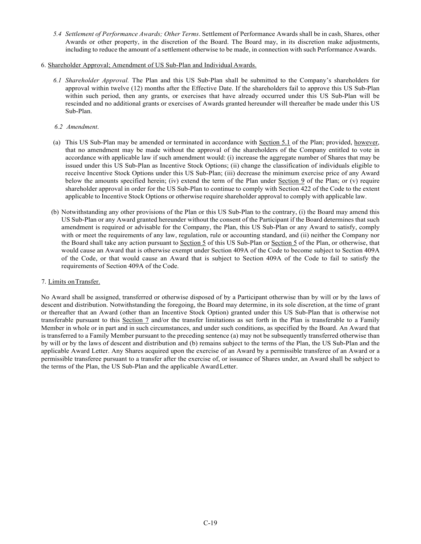- *5.4 Settlement of Performance Awards; Other Terms*. Settlement of Performance Awards shall be in cash, Shares, other Awards or other property, in the discretion of the Board. The Board may, in its discretion make adjustments, including to reduce the amount of a settlement otherwise to be made, in connection with such Performance Awards.
- 6. Shareholder Approval; Amendment of US Sub-Plan and Individual Awards.
	- *6.1 Shareholder Approval.* The Plan and this US Sub-Plan shall be submitted to the Company's shareholders for approval within twelve (12) months after the Effective Date. If the shareholders fail to approve this US Sub-Plan within such period, then any grants, or exercises that have already occurred under this US Sub-Plan will be rescinded and no additional grants or exercises of Awards granted hereunder will thereafter be made under this US Sub-Plan.

#### *6.2 Amendment*.

- (a) This US Sub-Plan may be amended or terminated in accordance with Section 5.1 of the Plan; provided, however, that no amendment may be made without the approval of the shareholders of the Company entitled to vote in accordance with applicable law if such amendment would: (i) increase the aggregate number of Shares that may be issued under this US Sub-Plan as Incentive Stock Options; (ii) change the classification of individuals eligible to receive Incentive Stock Options under this US Sub-Plan; (iii) decrease the minimum exercise price of any Award below the amounts specified herein; (iv) extend the term of the Plan under Section 9 of the Plan; or (v) require shareholder approval in order for the US Sub-Plan to continue to comply with Section 422 of the Code to the extent applicable to Incentive Stock Options or otherwise require shareholder approval to comply with applicable law.
- (b) Notwithstanding any other provisions of the Plan or this US Sub-Plan to the contrary, (i) the Board may amend this US Sub-Plan or any Award granted hereunder without the consent of the Participant if the Board determines that such amendment is required or advisable for the Company, the Plan, this US Sub-Plan or any Award to satisfy, comply with or meet the requirements of any law, regulation, rule or accounting standard, and (ii) neither the Company nor the Board shall take any action pursuant to Section 5 of this US Sub-Plan or Section 5 of the Plan, or otherwise, that would cause an Award that is otherwise exempt under Section 409A of the Code to become subject to Section 409A of the Code, or that would cause an Award that is subject to Section 409A of the Code to fail to satisfy the requirements of Section 409A of the Code.

### 7. Limits on Transfer.

No Award shall be assigned, transferred or otherwise disposed of by a Participant otherwise than by will or by the laws of descent and distribution. Notwithstanding the foregoing, the Board may determine, in its sole discretion, at the time of grant or thereafter that an Award (other than an Incentive Stock Option) granted under this US Sub-Plan that is otherwise not transferable pursuant to this Section  $\frac{7}{1}$  and/or the transfer limitations as set forth in the Plan is transferable to a Family Member in whole or in part and in such circumstances, and under such conditions, as specified by the Board. An Award that is transferred to a Family Member pursuant to the preceding sentence (a) may not be subsequently transferred otherwise than by will or by the laws of descent and distribution and (b) remains subject to the terms of the Plan, the US Sub-Plan and the applicable Award Letter. Any Shares acquired upon the exercise of an Award by a permissible transferee of an Award or a permissible transferee pursuant to a transfer after the exercise of, or issuance of Shares under, an Award shall be subject to the terms of the Plan, the US Sub-Plan and the applicable Award Letter.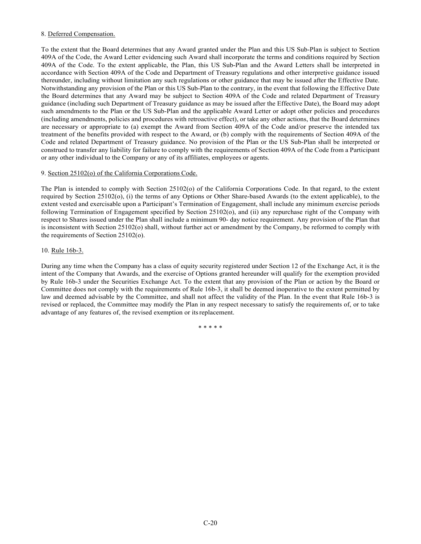## 8. Deferred Compensation.

To the extent that the Board determines that any Award granted under the Plan and this US Sub-Plan is subject to Section 409A of the Code, the Award Letter evidencing such Award shall incorporate the terms and conditions required by Section 409A of the Code. To the extent applicable, the Plan, this US Sub-Plan and the Award Letters shall be interpreted in accordance with Section 409A of the Code and Department of Treasury regulations and other interpretive guidance issued thereunder, including without limitation any such regulations or other guidance that may be issued after the Effective Date. Notwithstanding any provision of the Plan or this US Sub-Plan to the contrary, in the event that following the Effective Date the Board determines that any Award may be subject to Section 409A of the Code and related Department of Treasury guidance (including such Department of Treasury guidance as may be issued after the Effective Date), the Board may adopt such amendments to the Plan or the US Sub-Plan and the applicable Award Letter or adopt other policies and procedures (including amendments, policies and procedures with retroactive effect), or take any other actions, that the Board determines are necessary or appropriate to (a) exempt the Award from Section 409A of the Code and/or preserve the intended tax treatment of the benefits provided with respect to the Award, or (b) comply with the requirements of Section 409A of the Code and related Department of Treasury guidance. No provision of the Plan or the US Sub-Plan shall be interpreted or construed to transfer any liability for failure to comply with the requirements of Section 409A of the Code from a Participant or any other individual to the Company or any of its affiliates, employees or agents.

### 9. Section 25102(o) of the California Corporations Code.

The Plan is intended to comply with Section 25102(o) of the California Corporations Code. In that regard, to the extent required by Section 25102(o), (i) the terms of any Options or Other Share-based Awards (to the extent applicable), to the extent vested and exercisable upon a Participant's Termination of Engagement, shall include any minimum exercise periods following Termination of Engagement specified by Section 25102(o), and (ii) any repurchase right of the Company with respect to Shares issued under the Plan shall include a minimum 90- day notice requirement. Any provision of the Plan that is inconsistent with Section 25102(o) shall, without further act or amendment by the Company, be reformed to comply with the requirements of Section 25102(o).

### 10. Rule 16b-3.

During any time when the Company has a class of equity security registered under Section 12 of the Exchange Act, it is the intent of the Company that Awards, and the exercise of Options granted hereunder will qualify for the exemption provided by Rule 16b-3 under the Securities Exchange Act. To the extent that any provision of the Plan or action by the Board or Committee does not comply with the requirements of Rule 16b-3, it shall be deemed inoperative to the extent permitted by law and deemed advisable by the Committee, and shall not affect the validity of the Plan. In the event that Rule 16b-3 is revised or replaced, the Committee may modify the Plan in any respect necessary to satisfy the requirements of, or to take advantage of any features of, the revised exemption or its replacement.

\* \* \* \* \*